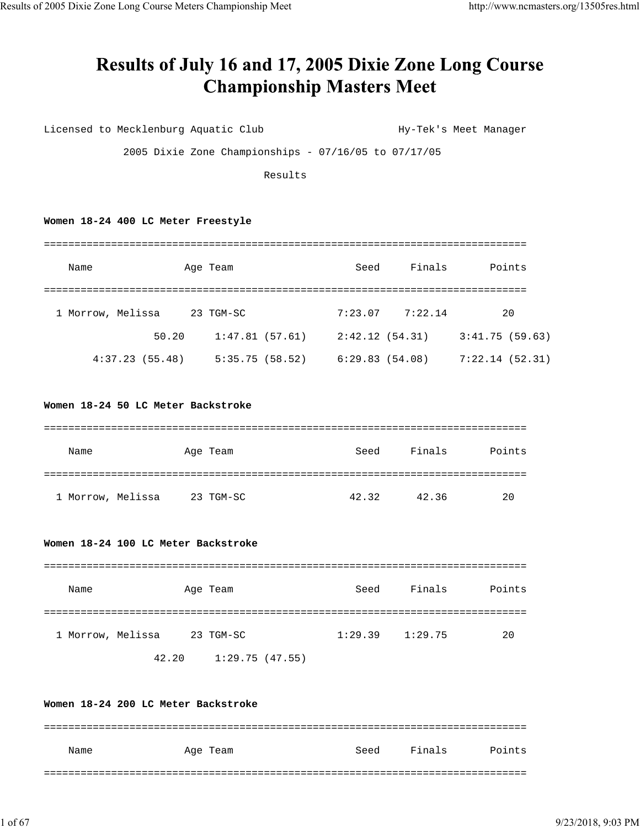## Results of July 16 and 17, 2005 Dixie Zone Long Course **Championship Masters Meet**

Licensed to Mecklenburg Aquatic Club Hy-Tek's Meet Manager

2005 Dixie Zone Championships - 07/16/05 to 07/17/05

Results

## **Women 18-24 400 LC Meter Freestyle**

| Name              |       | Age Team       | Seed           | Finals  | Points         |
|-------------------|-------|----------------|----------------|---------|----------------|
| 1 Morrow, Melissa |       | 23 TGM-SC      | 7:23.07        | 7:22.14 | 20             |
|                   | 50.20 | 1:47.81(57.61) | 2:42.12(54.31) |         | 3:41.75(59.63) |
| 4:37.23(55.48)    |       | 5:35.75(58.52) | 6:29.83(54.08) |         | 7:22.14(52.31) |

## **Women 18-24 50 LC Meter Backstroke**

| Name              | Age Team  | Seed  | Finals | Points |
|-------------------|-----------|-------|--------|--------|
|                   |           |       |        |        |
| 1 Morrow, Melissa | 23 TGM-SC | 42.32 | 42.36  | 20     |

## **Women 18-24 100 LC Meter Backstroke**

| Name              | Age Team  | Seed    | Finals  | Points |
|-------------------|-----------|---------|---------|--------|
|                   |           |         |         |        |
| 1 Morrow, Melissa | 23 TGM-SC | 1:29.39 | 1:29.75 | 20     |

42.20 1:29.75 (47.55)

## **Women 18-24 200 LC Meter Backstroke**

| Name | Age Team | Seed | Finals | Points |
|------|----------|------|--------|--------|
|      |          |      |        |        |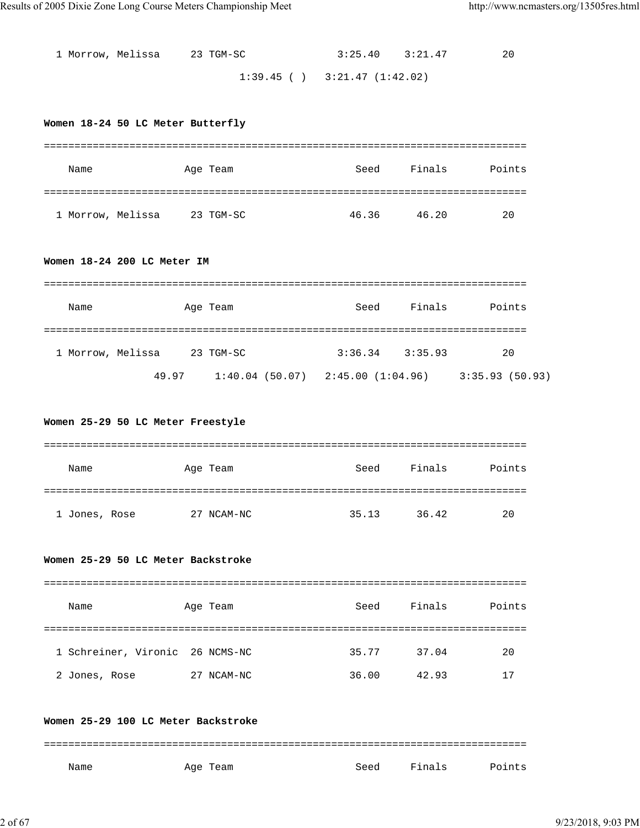| 1 Morrow, Melissa 23 TGM-SC | $3:25.40$ $3:21.47$               | 20 |
|-----------------------------|-----------------------------------|----|
|                             | $1:39.45$ ( ) $3:21.47$ (1:42.02) |    |

## **Women 18-24 50 LC Meter Butterfly**

| Name              | Age Team  | Seed  | Finals | Points |
|-------------------|-----------|-------|--------|--------|
|                   |           |       |        |        |
| 1 Morrow, Melissa | 23 TGM-SC | 46.36 | 46.20  | 20     |

## **Women 18-24 200 LC Meter IM**

| Name              |       | Age Team                              | Seed                | Finals | Points         |
|-------------------|-------|---------------------------------------|---------------------|--------|----------------|
|                   |       |                                       |                     |        |                |
| 1 Morrow, Melissa |       | 23 TGM-SC                             | $3:36.34$ $3:35.93$ |        | 20             |
|                   | 49.97 | $1:40.04$ (50.07) $2:45.00$ (1:04.96) |                     |        | 3:35.93(50.93) |

#### **Women 25-29 50 LC Meter Freestyle**

| Name          | Age Team      | Seed  | Finals | Points |
|---------------|---------------|-------|--------|--------|
|               |               |       |        |        |
| 1 Jones, Rose | NCAM-NC<br>27 | 35.13 | 36.42  | 20     |

#### **Women 25-29 50 LC Meter Backstroke**

| Name                            | Age Team   | Seed  | Finals | Points |
|---------------------------------|------------|-------|--------|--------|
|                                 |            |       |        |        |
| 1 Schreiner, Vironic 26 NCMS-NC |            | 35.77 | 37.04  | 20     |
| 2 Jones, Rose                   | 27 NCAM-NC | 36.00 | 42.93  | 17     |

#### **Women 25-29 100 LC Meter Backstroke**

=============================================================================== Name Month Age Team Seed Finals Points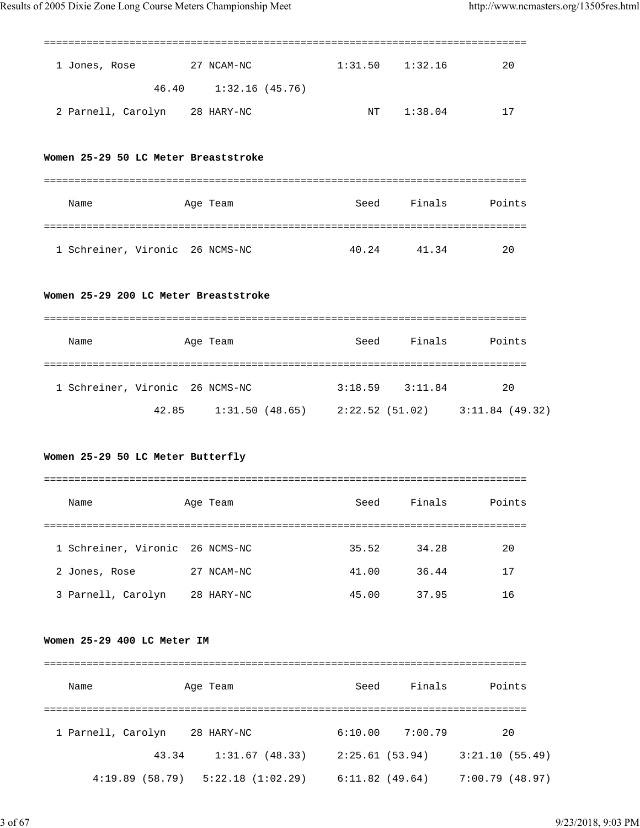|                                       | =====================                                 |                     |            |                    |
|---------------------------------------|-------------------------------------------------------|---------------------|------------|--------------------|
| 1 Jones, Rose 27 NCAM-NC              |                                                       | $1:31.50$ $1:32.16$ |            | 20                 |
|                                       | 46.40 1:32.16 (45.76)                                 |                     |            |                    |
| 2 Parnell, Carolyn 28 HARY-NC         |                                                       |                     | NT 1:38.04 | 17                 |
| Women 25-29 50 LC Meter Breaststroke  |                                                       |                     |            |                    |
| Name                                  | Age Team                                              |                     |            | Seed Finals Points |
|                                       |                                                       |                     |            |                    |
| 1 Schreiner, Vironic 26 NCMS-NC       |                                                       | 40.24 41.34         |            | 20                 |
| Women 25-29 200 LC Meter Breaststroke |                                                       |                     |            |                    |
| Name                                  | Age Team                                              |                     |            | Seed Finals Points |
|                                       |                                                       |                     |            |                    |
| 1 Schreiner, Vironic 26 NCMS-NC       |                                                       | $3:18.59$ $3:11.84$ |            | 20                 |
|                                       | 42.85 1:31.50 (48.65) 2:22.52 (51.02) 3:11.84 (49.32) |                     |            |                    |

## **Women 25-29 50 LC Meter Butterfly**

===============================================================================

| Name                            | Age Team   | Seed  | Finals | Points |
|---------------------------------|------------|-------|--------|--------|
|                                 |            |       |        |        |
| 1 Schreiner, Vironic 26 NCMS-NC |            | 35.52 | 34.28  | 20     |
| 2 Jones, Rose                   | 27 NCAM-NC | 41.00 | 36.44  | 17     |
| 3 Parnell, Carolyn              | 28 HARY-NC | 45.00 | 37.95  | 16     |

#### **Women 25-29 400 LC Meter IM**

| Name               |       | Age Team         | Seed           | Finals  | Points         |
|--------------------|-------|------------------|----------------|---------|----------------|
|                    |       |                  |                |         |                |
| 1 Parnell, Carolyn |       | 28 HARY-NC       | 6:10.00        | 7:00.79 | 20             |
|                    | 43.34 | 1:31.67(48.33)   | 2:25.61(53.94) |         | 3:21.10(55.49) |
| 4:19.89(58.79)     |       | 5:22.18(1:02.29) | 6:11.82(49.64) |         | 7:00.79(48.97) |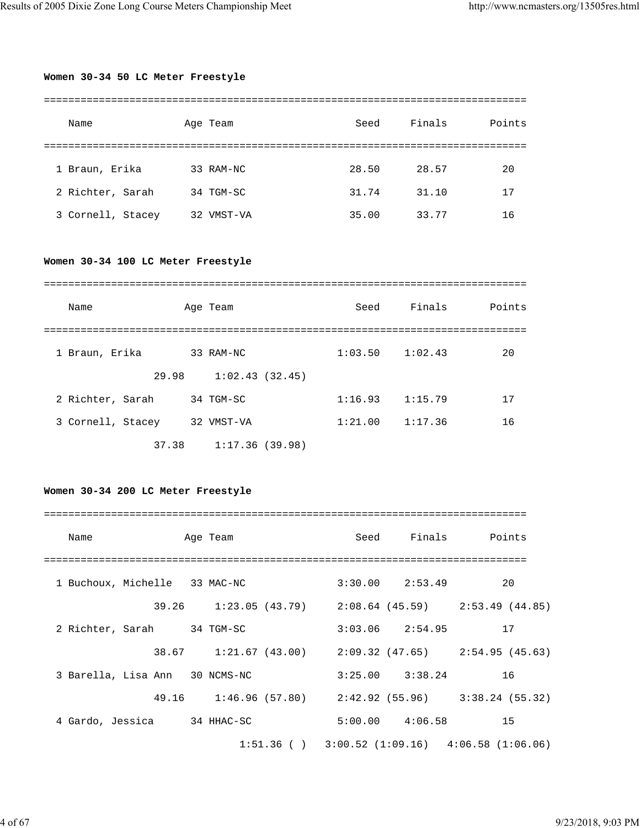## **Women 30-34 50 LC Meter Freestyle**

| Name              | Age Team      | Seed  | Finals | Points |
|-------------------|---------------|-------|--------|--------|
|                   |               |       |        |        |
| 1 Braun, Erika    | 33 RAM-NC     | 28.50 | 28.57  | 20     |
| 2 Richter, Sarah  | 34 TGM-SC     | 31.74 | 31.10  | 17     |
| 3 Cornell, Stacey | VMST-VA<br>32 | 35.00 | 33.77  | 16     |

## **Women 30-34 100 LC Meter Freestyle**

| Name              | Age Team       | Seed                | Finals  | Points |
|-------------------|----------------|---------------------|---------|--------|
|                   |                |                     |         |        |
| 1 Braun, Erika    | 33 RAM-NC      | $1:03.50$ $1:02.43$ |         | 20     |
| 29.98             | 1:02.43(32.45) |                     |         |        |
| 2 Richter, Sarah  | 34 TGM-SC      | 1:16.93             | 1:15.79 | 17     |
| 3 Cornell, Stacey | 32 VMST-VA     | 1:21.00             | 1:17.36 | 16     |
| 37.38             | 1:17.36(39.98) |                     |         |        |

## **Women 30-34 200 LC Meter Freestyle**

| Name<br>Age Team               |                                                       |                        | Seed Finals Points                                    |
|--------------------------------|-------------------------------------------------------|------------------------|-------------------------------------------------------|
|                                |                                                       |                        |                                                       |
| 1 Buchoux, Michelle 33 MAC-NC  |                                                       | $3:30.00$ $2:53.49$ 20 |                                                       |
|                                | 39.26 1:23.05 (43.79) 2:08.64 (45.59) 2:53.49 (44.85) |                        |                                                       |
| 2 Richter, Sarah 34 TGM-SC     |                                                       | $3:03.06$ $2:54.95$ 17 |                                                       |
|                                | 38.67 1:21.67 (43.00) 2:09.32 (47.65) 2:54.95 (45.63) |                        |                                                       |
| 3 Barella, Lisa Ann 30 NCMS-NC |                                                       | $3:25.00$ $3:38.24$ 16 |                                                       |
|                                | 49.16 1:46.96 (57.80) 2:42.92 (55.96) 3:38.24 (55.32) |                        |                                                       |
| 4 Gardo, Jessica 34 HHAC-SC    |                                                       | $5:00.00$ $4:06.58$ 15 |                                                       |
|                                |                                                       |                        | $1:51.36$ ( ) $3:00.52$ (1:09.16) $4:06.58$ (1:06.06) |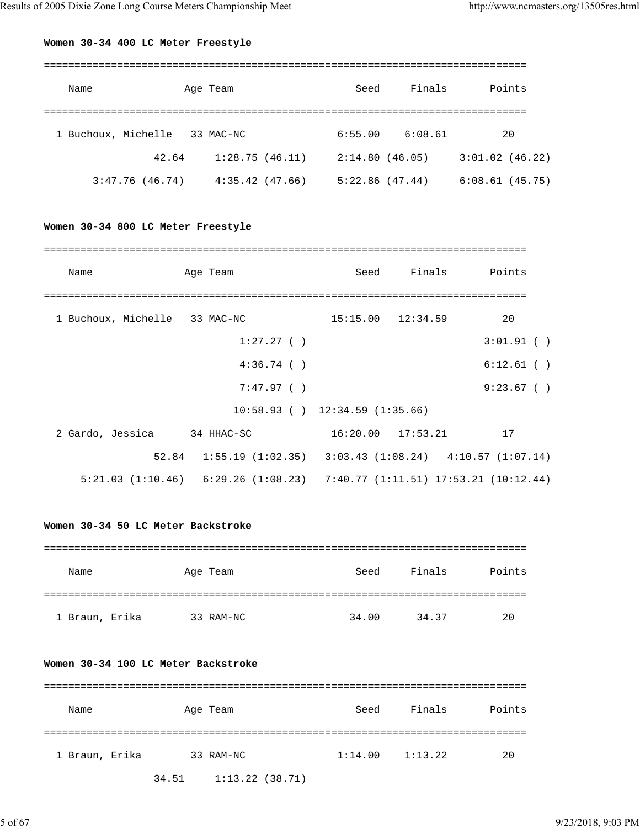## **Women 30-34 400 LC Meter Freestyle**

| Name                | Age Team       | Seed           | Finals  | Points            |
|---------------------|----------------|----------------|---------|-------------------|
|                     |                |                |         |                   |
| 1 Buchoux, Michelle | 33 MAC-NC      | 6:55.00        | 6:08.61 | 20                |
| 42.64               | 1:28.75(46.11) | 2:14.80(46.05) |         | $3:01.02$ (46.22) |
| 3:47.76(46.74)      | 4:35.42(47.66) | 5:22.86(47.44) |         | 6:08.61(45.75)    |

## **Women 30-34 800 LC Meter Freestyle**

| Name                          | Age Team                                                                        | Seed                  | Finals Points |
|-------------------------------|---------------------------------------------------------------------------------|-----------------------|---------------|
|                               |                                                                                 |                       |               |
| 1 Buchoux, Michelle 33 MAC-NC |                                                                                 | $15:15.00$ $12:34.59$ | 20            |
|                               | 1:27.27()                                                                       |                       | 3:01.91()     |
|                               | 4:36.74()                                                                       |                       | $6:12.61$ ()  |
|                               | 7:47.97()                                                                       |                       | 9:23.67()     |
|                               | $10:58.93$ ( ) $12:34.59$ (1:35.66)                                             |                       |               |
| 2 Gardo, Jessica 34 HHAC-SC   |                                                                                 | $16:20.00$ $17:53.21$ | 17            |
|                               | $52.84$ 1:55.19 (1:02.35) 3:03.43 (1:08.24) 4:10.57 (1:07.14)                   |                       |               |
|                               | $5:21.03$ (1:10.46) $6:29.26$ (1:08.23) $7:40.77$ (1:11.51) 17:53.21 (10:12.44) |                       |               |

## **Women 30-34 50 LC Meter Backstroke**

| Name           | Age Team  | Seed  | Finals | Points |
|----------------|-----------|-------|--------|--------|
|                |           |       |        |        |
| 1 Braun, Erika | 33 RAM-NC | 34.00 | 34.37  | 20     |

## **Women 30-34 100 LC Meter Backstroke**

| Name           | Age Team                | Seed    | Finals  | Points |
|----------------|-------------------------|---------|---------|--------|
| 1 Braun, Erika | 33 RAM-NC               | 1:14.00 | 1:13.22 | 20     |
|                | 34.51   1:13.22 (38.71) |         |         |        |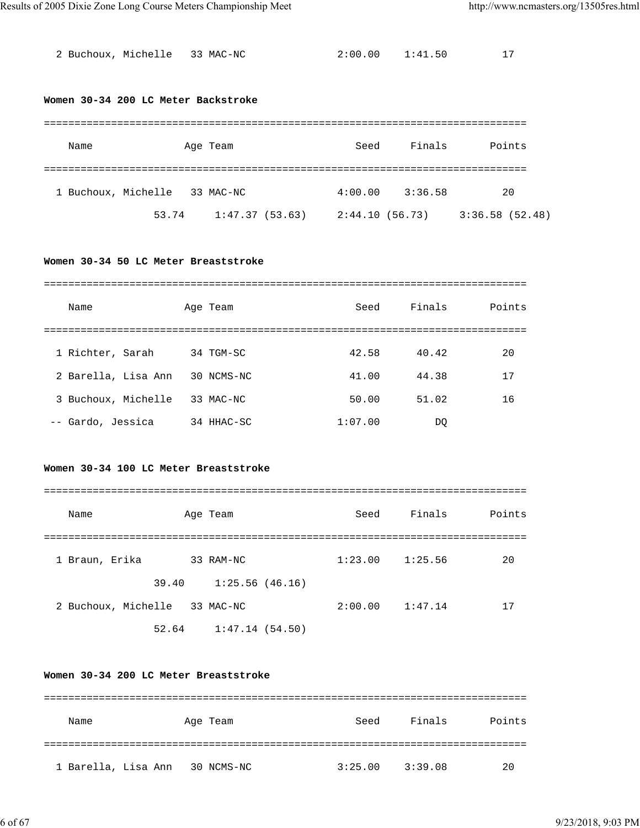| 2 Buchoux, Michelle 33 MAC-NC | 2:00.00 | 1:41.50 |  |
|-------------------------------|---------|---------|--|
|                               |         |         |  |

#### **Women 30-34 200 LC Meter Backstroke**

| Name                |       | Age Team       | Seed            | Finals  | Points         |
|---------------------|-------|----------------|-----------------|---------|----------------|
| 1 Buchoux, Michelle |       | 33 MAC-NC      | 4:00.00         | 3:36.58 | 20             |
|                     | 53.74 | 1:47.37(53.63) | 2:44.10 (56.73) |         | 3:36.58(52.48) |

## **Women 30-34 50 LC Meter Breaststroke**

| Name                | Age Team   | Seed    | Finals | Points |
|---------------------|------------|---------|--------|--------|
|                     |            |         |        |        |
| 1 Richter, Sarah    | 34 TGM-SC  | 42.58   | 40.42  | 20     |
| 2 Barella, Lisa Ann | 30 NCMS-NC | 41.00   | 44.38  | 17     |
| 3 Buchoux, Michelle | 33 MAC-NC  | 50.00   | 51.02  | 16     |
| -- Gardo, Jessica   | 34 HHAC-SC | 1:07.00 | DO     |        |

## **Women 30-34 100 LC Meter Breaststroke**

| Name                |       | Age Team       | Seed    | Finals  | Points |
|---------------------|-------|----------------|---------|---------|--------|
|                     |       |                |         |         |        |
| 1 Braun, Erika      |       | 33 RAM-NC      | 1:23.00 | 1:25.56 | 20     |
|                     | 39.40 | 1:25.56(46.16) |         |         |        |
| 2 Buchoux, Michelle |       | 33 MAC-NC      | 2:00.00 | 1:47.14 | 17     |
|                     | 52.64 | 1:47.14(54.50) |         |         |        |

## **Women 30-34 200 LC Meter Breaststroke**

| Name                | Age Team   | Seed    | Finals  | Points |
|---------------------|------------|---------|---------|--------|
|                     |            |         |         |        |
| 1 Barella, Lisa Ann | 30 NCMS-NC | 3:25.00 | 3:39.08 | 20     |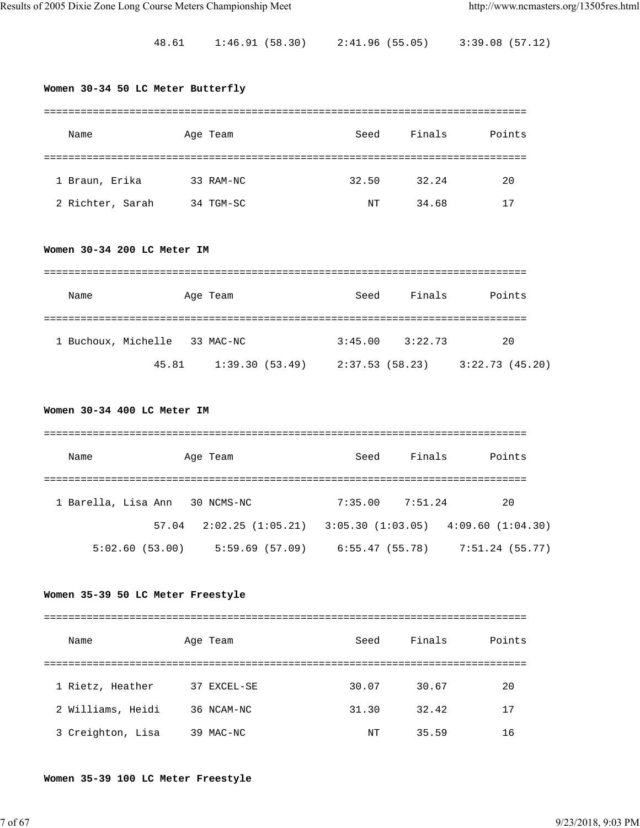48.61 1:46.91 (58.30) 2:41.96 (55.05) 3:39.08 (57.12)

## **Women 30-34 50 LC Meter Butterfly**

| Name             | Age Team  | Seed  | Finals | Points |
|------------------|-----------|-------|--------|--------|
|                  |           |       |        |        |
| 1 Braun, Erika   | 33 RAM-NC | 32.50 | 32.24  | 20     |
| 2 Richter, Sarah | 34 TGM-SC | NT    | 34.68  | 17     |

#### **Women 30-34 200 LC Meter IM**

| Name                | Age Team  |                | Seed            | Finals  | Points         |
|---------------------|-----------|----------------|-----------------|---------|----------------|
| 1 Buchoux, Michelle | 33 MAC-NC |                | 3:45.00         | 3:22.73 | 20             |
|                     | 45.81     | 1:39.30(53.49) | 2:37.53 (58.23) |         | 3:22.73(45.20) |

#### **Women 30-34 400 LC Meter IM**

| Name                | Age Team          | Seed            | Finals  | Points                                |
|---------------------|-------------------|-----------------|---------|---------------------------------------|
|                     |                   |                 |         |                                       |
| 1 Barella, Lisa Ann | 30 NCMS-NC        | 7:35.00         | 7:51.24 | 20                                    |
| 57.04               | 2:02.25 (1:05.21) |                 |         | $3:05.30(1:03.05)$ $4:09.60(1:04.30)$ |
| 5:02.60(53.00)      | 5:59.69(57.09)    | 6:55.47 (55.78) |         | 7:51.24 (55.77)                       |

#### **Women 35-39 50 LC Meter Freestyle**

| Name              | Age Team     | Seed  | Finals | Points |
|-------------------|--------------|-------|--------|--------|
|                   |              |       |        |        |
| 1 Rietz, Heather  | 37 EXCEL-SE  | 30.07 | 30.67  | 20     |
| 2 Williams, Heidi | 36 NCAM-NC   | 31.30 | 32.42  | 17     |
| 3 Creighton, Lisa | MAC-NC<br>39 | NΤ    | 35.59  | 16     |

#### **Women 35-39 100 LC Meter Freestyle**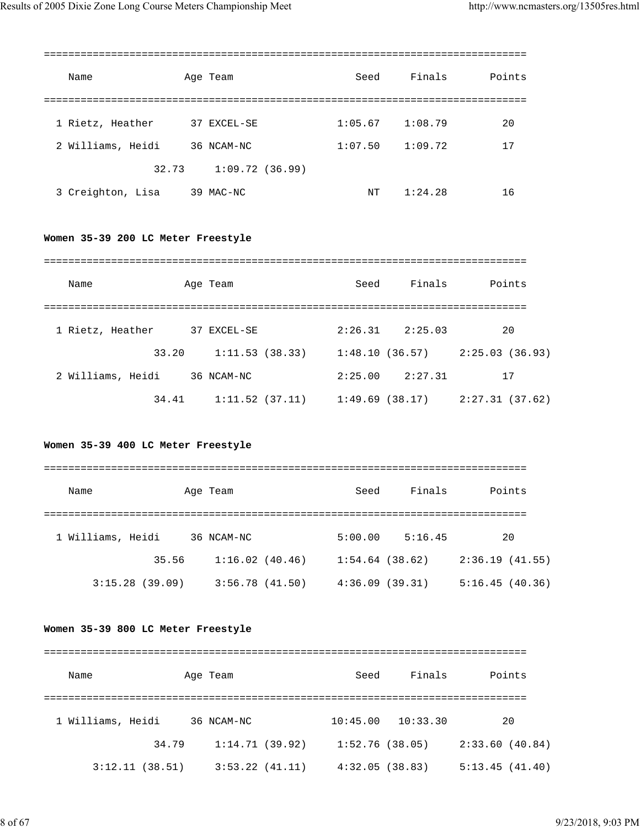| Name              | Age Team       | Seed    | Finals  | Points |
|-------------------|----------------|---------|---------|--------|
|                   |                |         |         |        |
| 1 Rietz, Heather  | 37 EXCEL-SE    | 1:05.67 | 1:08.79 | 20     |
| 2 Williams, Heidi | 36 NCAM-NC     | 1:07.50 | 1:09.72 | 17     |
| 32.73             | 1:09.72(36.99) |         |         |        |
| 3 Creighton, Lisa | 39 MAC-NC      | NT      | 1:24.28 | 16     |

## **Women 35-39 200 LC Meter Freestyle**

| Name              | Age Team       | Seed           | Finals  | Points         |
|-------------------|----------------|----------------|---------|----------------|
|                   |                |                |         |                |
| 1 Rietz, Heather  | 37 EXCEL-SE    | 2:26.31        | 2:25.03 | 20             |
| 33.20             | 1:11.53(38.33) | 1:48.10(36.57) |         | 2:25.03(36.93) |
| 2 Williams, Heidi | 36 NCAM-NC     | 2:25.00        | 2:27.31 | 17             |
| 34.41             | 1:11.52(37.11) | 1:49.69(38.17) |         | 2:27.31(37.62) |

## **Women 35-39 400 LC Meter Freestyle**

| Name              |       | Age Team       | Seed           | Finals  | Points         |
|-------------------|-------|----------------|----------------|---------|----------------|
|                   |       |                |                |         |                |
| 1 Williams, Heidi |       | 36 NCAM-NC     | 5:00.00        | 5:16.45 | 20             |
|                   | 35.56 | 1:16.02(40.46) | 1:54.64(38.62) |         | 2:36.19(41.55) |
| 3:15.28(39.09)    |       | 3:56.78(41.50) | 4:36.09(39.31) |         | 5:16.45(40.36) |

#### **Women 35-39 800 LC Meter Freestyle**

## =============================================================================== Name Age Team Seed Finals Points =============================================================================== 1 Williams, Heidi 36 NCAM-NC 10:45.00 10:33.30 20 34.79 1:14.71 (39.92) 1:52.76 (38.05) 2:33.60 (40.84) 3:12.11 (38.51) 3:53.22 (41.11) 4:32.05 (38.83) 5:13.45 (41.40)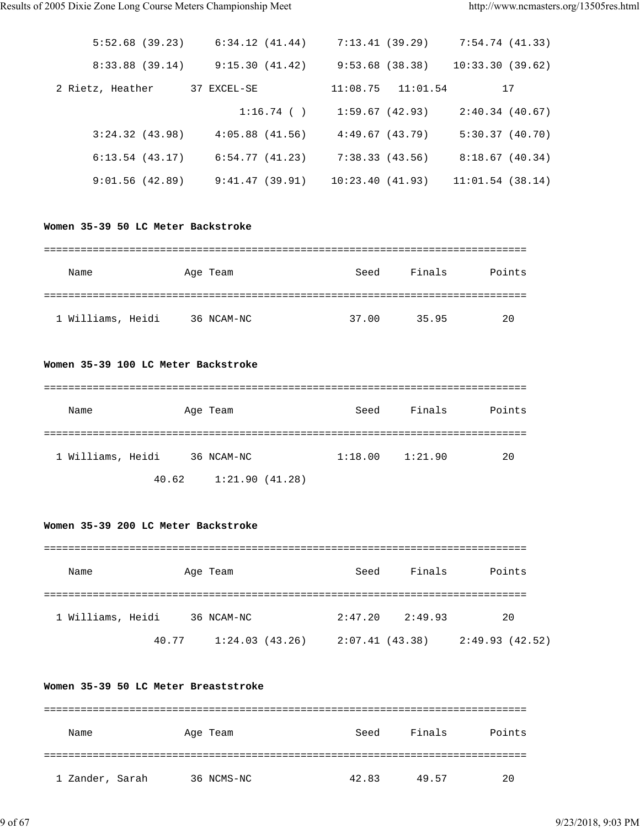| 5:52.68(39.23)   | 6:34.12(41.44)      | 7:13.41 (39.29) |                       | 7:54.74(41.33)  |
|------------------|---------------------|-----------------|-----------------------|-----------------|
| 8:33.88(39.14)   | 9:15.30(41.42)      |                 | 9:53.68(38.38)        | 10:33.30(39.62) |
| 2 Rietz, Heather | 37 EXCEL-SE         |                 | $11:08.75$ $11:01.54$ | 17              |
|                  | $1:16.74$ ( )       | 1:59.67 (42.93) |                       | 2:40.34(40.67)  |
| 3:24.32(43.98)   | $4:05.88$ $(41.56)$ | 4:49.67(43.79)  |                       | 5:30.37(40.70)  |
| 6:13.54(43.17)   | 6:54.77(41.23)      | 7:38.33(43.56)  |                       | 8:18.67(40.34)  |
| 9:01.56(42.89)   | 9:41.47(39.91)      | 10:23.40(41.93) |                       | 11:01.54(38.14) |

#### **Women 35-39 50 LC Meter Backstroke**

| Name              | Age Team   | Seed  | Finals | Points |
|-------------------|------------|-------|--------|--------|
|                   |            |       |        |        |
| 1 Williams, Heidi | 36 NCAM-NC | 37.00 | 35.95  | 20     |

#### **Women 35-39 100 LC Meter Backstroke**

| Name              |       | Age Team       | Seed    | Finals  | Points |
|-------------------|-------|----------------|---------|---------|--------|
|                   |       |                |         |         |        |
| 1 Williams, Heidi |       | 36 NCAM-NC     | 1:18.00 | 1:21.90 | 20     |
|                   | 40.62 | 1:21.90(41.28) |         |         |        |

## **Women 35-39 200 LC Meter Backstroke**

| Name              |       | Age Team       | Seed           | Finals  | Points          |
|-------------------|-------|----------------|----------------|---------|-----------------|
| 1 Williams, Heidi |       | 36 NCAM-NC     | 2:47.20        | 2:49.93 | 20              |
|                   | 40.77 | 1:24.03(43.26) | 2:07.41(43.38) |         | 2:49.93 (42.52) |

## **Women 35-39 50 LC Meter Breaststroke**

| Name            | Age Team   | Seed  | Finals | Points |
|-----------------|------------|-------|--------|--------|
|                 |            |       |        |        |
| 1 Zander, Sarah | 36 NCMS-NC | 42.83 | 49.57  | 20     |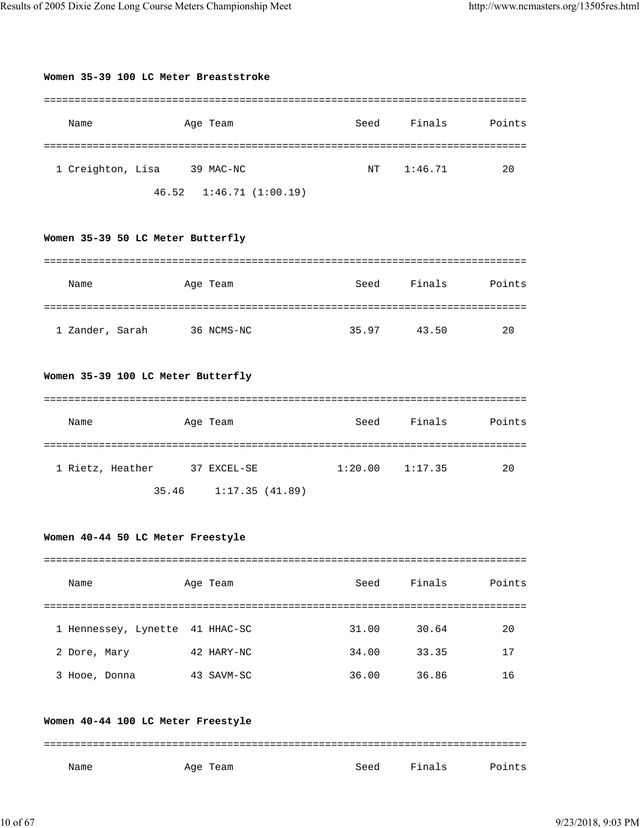**Women 35-39 100 LC Meter Breaststroke**

| Name                                            | Age Team                             | Seed                | Finals         | Points   |  |  |  |  |
|-------------------------------------------------|--------------------------------------|---------------------|----------------|----------|--|--|--|--|
| 1 Creighton, Lisa 39 MAC-NC                     | 46.52 1:46.71 (1:00.19)              | NT                  | 1:46.71        | 20       |  |  |  |  |
| Women 35-39 50 LC Meter Butterfly               |                                      |                     |                |          |  |  |  |  |
| Name                                            | Age Team                             | Seed                | Finals         | Points   |  |  |  |  |
| 1 Zander, Sarah                                 | 36 NCMS-NC                           |                     | 35.97 43.50    | 20       |  |  |  |  |
| Women 35-39 100 LC Meter Butterfly              |                                      |                     |                |          |  |  |  |  |
| Name                                            | Age Team                             | Seed                | Finals         | Points   |  |  |  |  |
| 1 Rietz, Heather                                | 37 EXCEL-SE<br>35.46 1:17.35 (41.89) | $1:20.00$ $1:17.35$ |                | 20       |  |  |  |  |
| Women 40-44 50 LC Meter Freestyle               |                                      |                     |                |          |  |  |  |  |
| Name                                            | Age Team                             | Seed                | Finals         | Points   |  |  |  |  |
| 1 Hennessey, Lynette 41 HHAC-SC<br>2 Dore, Mary | 42 HARY-NC                           | 31.00<br>34.00      | 30.64<br>33.35 | 20<br>17 |  |  |  |  |
| 3 Hooe, Donna                                   | 43 SAVM-SC                           |                     | 36.00 36.86    | 16       |  |  |  |  |
| Women 40-44 100 LC Meter Freestyle              |                                      |                     |                |          |  |  |  |  |
| Name                                            | Age Team                             | Seed                | Finals         | Points   |  |  |  |  |

===============================================================================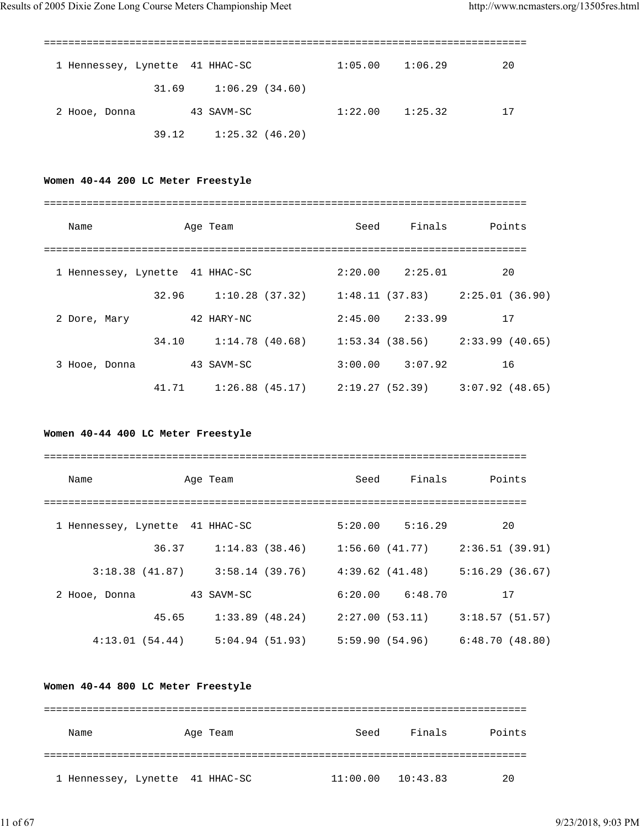| 1 Hennessey, Lynette 41 HHAC-SC |                         | 1:05.00 | 1:06.29 | 20 |
|---------------------------------|-------------------------|---------|---------|----|
|                                 | 1:06.29(34.60)<br>31.69 |         |         |    |
| 2 Hooe, Donna                   | 43 SAVM-SC              | 1:22.00 | 1:25.32 | 17 |
|                                 | 1:25.32(46.20)<br>39.12 |         |         |    |

## **Women 40-44 200 LC Meter Freestyle**

| Name                            |       | Age Team          |  | Seed | Finals              | Points                                                |  |  |
|---------------------------------|-------|-------------------|--|------|---------------------|-------------------------------------------------------|--|--|
| 1 Hennessey, Lynette 41 HHAC-SC |       |                   |  |      | $2:20.00$ $2:25.01$ | 20                                                    |  |  |
|                                 | 32.96 |                   |  |      |                     | $1:10.28$ (37.32) $1:48.11$ (37.83) $2:25.01$ (36.90) |  |  |
| 2 Dore, Mary                    |       | 42 HARY-NC        |  |      | $2:45.00$ $2:33.99$ | 17                                                    |  |  |
|                                 | 34.10 | 1:14.78(40.68)    |  |      |                     | $1:53.34$ (38.56) $2:33.99$ (40.65)                   |  |  |
| 3 Hooe, Donna                   |       | 43 SAVM-SC        |  |      | $3:00.00$ $3:07.92$ | 16                                                    |  |  |
|                                 | 41.71 | $1:26.88$ (45.17) |  |      |                     | 2:19.27 (52.39) 3:07.92 (48.65)                       |  |  |

## **Women 40-44 400 LC Meter Freestyle**

| Name                            |                | Age Team       |                   | Seed | Finals              | Points         |  |  |
|---------------------------------|----------------|----------------|-------------------|------|---------------------|----------------|--|--|
|                                 |                |                |                   |      |                     |                |  |  |
| 1 Hennessey, Lynette 41 HHAC-SC |                |                |                   |      | $5:20.00$ $5:16.29$ | 20             |  |  |
|                                 | 36.37          |                | 1:14.83(38.46)    |      | 1:56.60 (41.77)     | 2:36.51(39.91) |  |  |
|                                 | 3:18.38(41.87) |                | 3:58.14 (39.76)   |      | 4:39.62 (41.48)     | 5:16.29(36.67) |  |  |
| 2 Hooe, Donna                   |                | 43 SAVM-SC     |                   |      | $6:20.00$ $6:48.70$ | 17             |  |  |
|                                 | 45.65          |                | $1:33.89$ (48.24) |      | 2:27.00 (53.11)     | 3:18.57(51.57) |  |  |
|                                 | 4:13.01(54.44) | 5:04.94(51.93) |                   |      |                     |                |  |  |

## **Women 40-44 800 LC Meter Freestyle**

| Name                            | Age Team | Seed     | Finals   | Points |
|---------------------------------|----------|----------|----------|--------|
|                                 |          |          |          |        |
| 1 Hennessey, Lynette 41 HHAC-SC |          | 11:00.00 | 10:43.83 | 20     |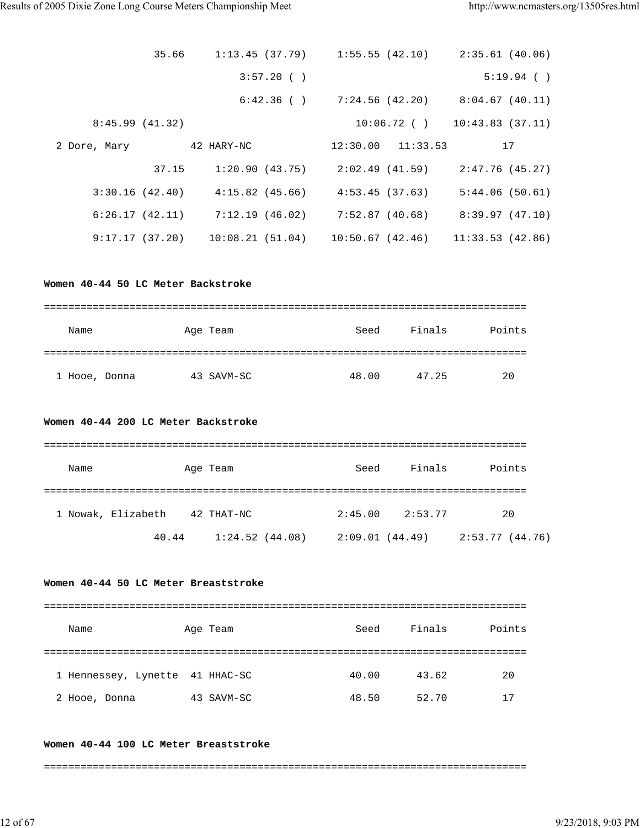|                                           | 35.66 1:13.45 (37.79) 1:55.55 (42.10) 2:35.61 (40.06)                       |      |                      |                                                   |
|-------------------------------------------|-----------------------------------------------------------------------------|------|----------------------|---------------------------------------------------|
|                                           | 3:57.20( )                                                                  |      |                      | $5:19.94$ ()                                      |
|                                           |                                                                             |      |                      | $6:42.36$ ( ) $7:24.56$ (42.20) $8:04.67$ (40.11) |
| 8:45.99(41.32)                            |                                                                             |      |                      | $10:06.72$ ( ) $10:43.83$ (37.11)                 |
|                                           | 2 Dore, Mary 32 HARY-NC                                                     |      | 12:30.00    11:33.53 | 17                                                |
|                                           | 37.15 1:20.90 (43.75) 2:02.49 (41.59) 2:47.76 (45.27)                       |      |                      |                                                   |
|                                           | $3:30.16$ (42.40) $4:15.82$ (45.66) $4:53.45$ (37.63) $5:44.06$ (50.61)     |      |                      |                                                   |
|                                           | 6:26.17 (42.11) 7:12.19 (46.02) 7:52.87 (40.68) 8:39.97 (47.10)             |      |                      |                                                   |
|                                           | 9:17.17 (37.20)    10:08.21 (51.04)    10:50.67 (42.46)    11:33.53 (42.86) |      |                      |                                                   |
| Women 40-44 50 LC Meter Backstroke        |                                                                             |      |                      |                                                   |
| Name                                      | Age Team                                                                    |      |                      | Seed Finals Points                                |
| 1 Hooe, Donna                  43 SAVM-SC |                                                                             |      | 48.00 47.25          | 20                                                |
| Women 40-44 200 LC Meter Backstroke       |                                                                             |      |                      |                                                   |
| Name                                      | Age Team                                                                    |      |                      | Seed Finals Points                                |
| 1 Nowak, Elizabeth 42 THAT-NC             |                                                                             |      | $2:45.00$ $2:53.77$  | 20                                                |
|                                           | 40.44 $1:24.52$ (44.08) $2:09.01$ (44.49) $2:53.77$ (44.76)                 |      |                      |                                                   |
| Women 40-44 50 LC Meter Breaststroke      |                                                                             |      |                      |                                                   |
| Name                                      | Age Team                                                                    | Seed | Finals               | Points                                            |
| 1 Hennessey, Lynette 41 HHAC-SC           |                                                                             |      | 40.00 43.62          | 20                                                |
| 2 Hooe, Donna 43 SAVM-SC                  |                                                                             |      | 48.50 52.70          | 17                                                |
| Women 40-44 100 LC Meter Breaststroke     |                                                                             |      |                      |                                                   |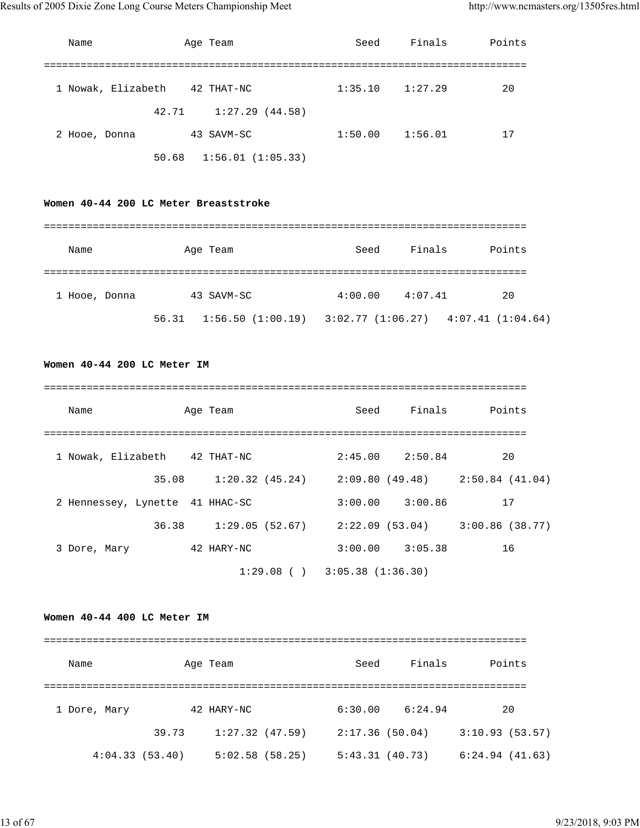| Name               |       | Age Team                  | Seed    | Finals  | Points |
|--------------------|-------|---------------------------|---------|---------|--------|
|                    |       |                           |         |         |        |
| 1 Nowak, Elizabeth |       | 42 THAT-NC                | 1:35.10 | 1:27.29 | 20     |
|                    | 42.71 | 1:27.29(44.58)            |         |         |        |
| 2 Hooe, Donna      |       | 43 SAVM-SC                | 1:50.00 | 1:56.01 | 17     |
|                    |       | $50.68$ 1:56.01 (1:05.33) |         |         |        |

## **Women 40-44 200 LC Meter Breaststroke**

| Name          | Age Team                              | Seed    | Finals  | Points                                      |
|---------------|---------------------------------------|---------|---------|---------------------------------------------|
| 1 Hooe, Donna | 43 SAVM-SC                            | 4:00.00 | 4:07.41 | 20                                          |
|               | $56.31 \quad 1:56.50 \quad (1:00.19)$ |         |         | $3:02.77$ $(1:06.27)$ $4:07.41$ $(1:04.64)$ |

#### **Women 40-44 200 LC Meter IM**

| Name                            | Age Team                          | Seed | Finals              | Points                          |
|---------------------------------|-----------------------------------|------|---------------------|---------------------------------|
| 1 Nowak, Elizabeth 42 THAT-NC   |                                   |      | $2:45.00$ $2:50.84$ | 20                              |
| 35.08                           | 1:20.32 (45.24)                   |      |                     | 2:09.80 (49.48) 2:50.84 (41.04) |
| 2 Hennessey, Lynette 41 HHAC-SC |                                   |      | $3:00.00$ $3:00.86$ | 17                              |
| 36.38                           | 1:29.05(52.67)                    |      | 2:22.09 (53.04)     | 3:00.86(38.77)                  |
| 3 Dore, Mary                    | 42 HARY-NC                        |      | $3:00.00$ $3:05.38$ | 16                              |
|                                 | $1:29.08$ ( ) $3:05.38$ (1:36.30) |      |                     |                                 |

#### **Women 40-44 400 LC Meter IM**

| Name           | Age Team |                | Seed           | Finals  | Points         |  |  |  |  |  |
|----------------|----------|----------------|----------------|---------|----------------|--|--|--|--|--|
| 1 Dore, Mary   |          | 42 HARY-NC     | 6:30.00        | 6:24.94 | 20             |  |  |  |  |  |
|                | 39.73    | 1:27.32(47.59) | 2:17.36(50.04) |         | 3:10.93(53.57) |  |  |  |  |  |
| 4:04.33(53.40) |          | 5:02.58(58.25) | 5:43.31(40.73) |         | 6:24.94(41.63) |  |  |  |  |  |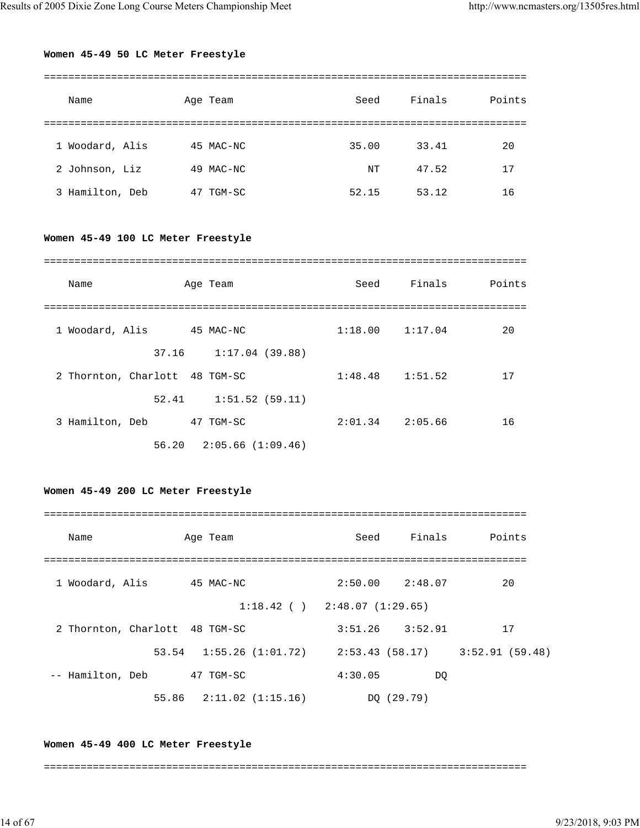## **Women 45-49 50 LC Meter Freestyle**

|              | Name            | Age Team     | Seed  | Finals | Points |  |  |  |  |
|--------------|-----------------|--------------|-------|--------|--------|--|--|--|--|
|              |                 |              |       |        |        |  |  |  |  |
| $\mathbf{1}$ | Woodard, Alis   | 45 MAC-NC    | 35.00 | 33.41  | 20     |  |  |  |  |
|              | 2 Johnson, Liz  | 49 MAC-NC    | NΤ    | 47.52  | 17     |  |  |  |  |
|              | 3 Hamilton, Deb | TGM-SC<br>47 | 52.15 | 53.12  | 16     |  |  |  |  |

## **Women 45-49 100 LC Meter Freestyle**

| Name                           | Age Team                      | Seed                | Finals | Points |
|--------------------------------|-------------------------------|---------------------|--------|--------|
| 1 Woodard, Alis                | 45 MAC-NC                     | $1:18.00$ $1:17.04$ |        | 20     |
|                                | 37.16 1:17.04 (39.88)         |                     |        |        |
| 2 Thornton, Charlott 48 TGM-SC |                               | $1:48.48$ $1:51.52$ |        | 17     |
|                                | 52.41 1:51.52 (59.11)         |                     |        |        |
| 3 Hamilton, Deb                | 47 TGM-SC                     | $2:01.34$ $2:05.66$ |        | 16     |
|                                | $56.20$ $2:05.66$ $(1:09.46)$ |                     |        |        |

#### **Women 45-49 200 LC Meter Freestyle**

| Name                           | Age Team                                  | Seed                              | Finals     | Points         |
|--------------------------------|-------------------------------------------|-----------------------------------|------------|----------------|
| 1 Woodard, Alis                | 45 MAC-NC                                 | $2:50.00$ $2:48.07$               |            | 20             |
|                                |                                           | $1:18.42$ ( ) $2:48.07$ (1:29.65) |            |                |
| 2 Thornton, Charlott 48 TGM-SC |                                           | $3:51.26$ $3:52.91$               |            | 17             |
|                                | $53.54$ 1:55.26 (1:01.72) 2:53.43 (58.17) |                                   |            | 3:52.91(59.48) |
| -- Hamilton, Deb               | 47 TGM-SC                                 | 4:30.05                           | DO         |                |
|                                | $55.86$ $2:11.02$ $(1:15.16)$             |                                   | DO (29.79) |                |

#### **Women 45-49 400 LC Meter Freestyle**

===============================================================================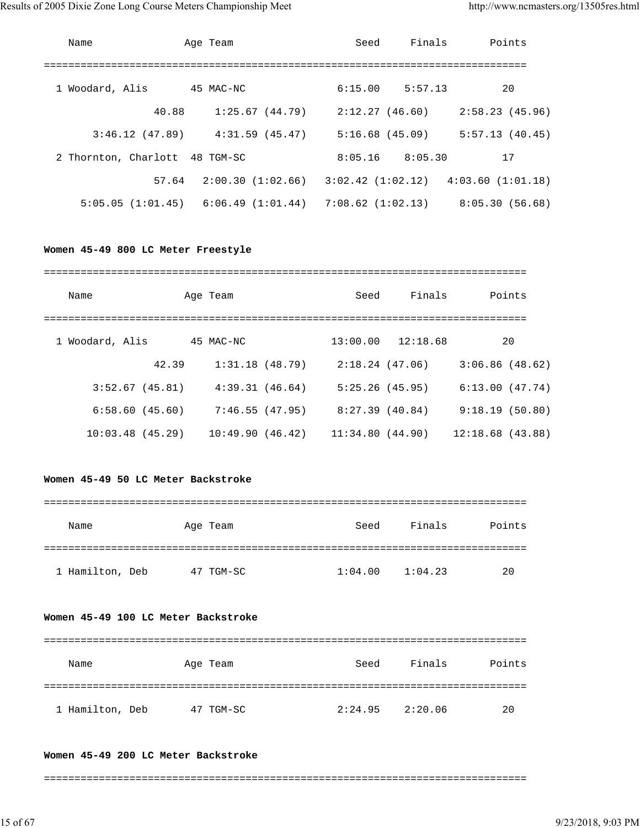| Name                           | Age Team                                                    | Seed           | Finals              | Points         |
|--------------------------------|-------------------------------------------------------------|----------------|---------------------|----------------|
| 1 Woodard, Alis                | 45 MAC-NC                                                   |                | $6:15.00$ $5:57.13$ | 20             |
| 40.88                          | 1:25.67(44.79)                                              |                | 2:12.27 (46.60)     | 2:58.23(45.96) |
| 3:46.12(47.89)                 | $4:31.59$ (45.47)                                           | 5:16.68(45.09) |                     | 5:57.13(40.45) |
| 2 Thornton, Charlott 48 TGM-SC |                                                             | 8:05.16        | 8:05.30             | 17             |
| 57.64                          | $2:00.30$ (1:02.66) $3:02.42$ (1:02.12) $4:03.60$ (1:01.18) |                |                     |                |
| 5:05.05 (1:01.45)              | $6:06.49$ (1:01.44) 7:08.62 (1:02.13)                       |                |                     | 8:05.30(56.68) |

#### **Women 45-49 800 LC Meter Freestyle**

| Name            |       | Age Team        |                | Seed            | Finals                | Points          |
|-----------------|-------|-----------------|----------------|-----------------|-----------------------|-----------------|
| 1 Woodard, Alis |       | 45 MAC-NC       |                |                 | $13:00.00$ $12:18.68$ | 20              |
|                 | 42.39 |                 | 1:31.18(48.79) | 2:18.24(47.06)  |                       | 3:06.86(48.62)  |
| 3:52.67(45.81)  |       | 4:39.31(46.64)  |                | 5:25.26(45.95)  |                       | 6:13.00(47.74)  |
| 6:58.60(45.60)  |       |                 | 7:46.55(47.95) | 8:27.39(40.84)  |                       | 9:18.19(50.80)  |
| 10:03.48(45.29) |       | 10:49.90(46.42) |                | 11:34.80(44.90) |                       | 12:18.68(43.88) |

## **Women 45-49 50 LC Meter Backstroke**

| Name            |    | Age Team | Seed    | Finals  | Points |
|-----------------|----|----------|---------|---------|--------|
|                 |    |          |         |         |        |
| 1 Hamilton, Deb | 47 | TGM-SC   | 1:04.00 | 1:04.23 | 20     |

## **Women 45-49 100 LC Meter Backstroke**

| Name            | Age Team     | Seed    | Finals  | Points |
|-----------------|--------------|---------|---------|--------|
|                 |              |         |         |        |
| 1 Hamilton, Deb | TGM-SC<br>47 | 2:24.95 | 2:20.06 | 20     |

#### **Women 45-49 200 LC Meter Backstroke**

===============================================================================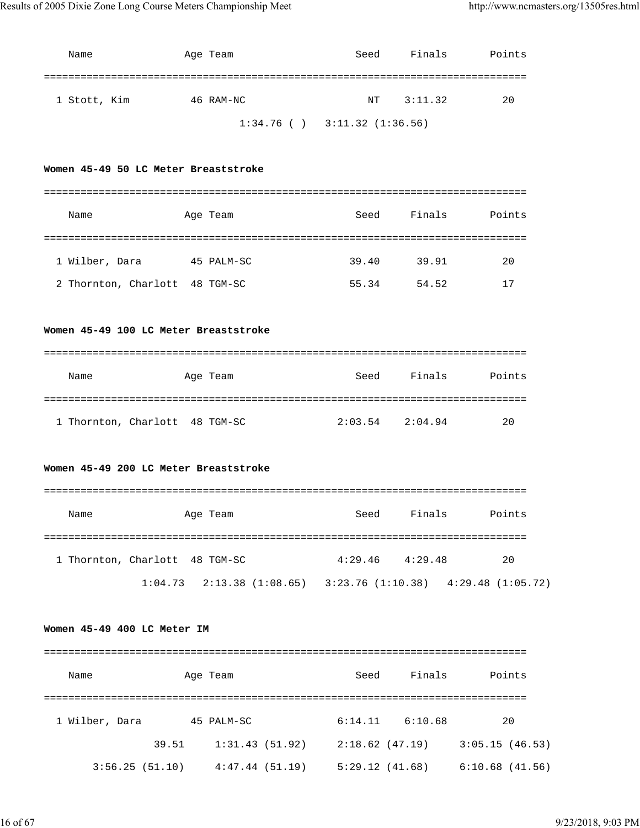| Name         | Age Team  | Seed                              | Finals  | Points |
|--------------|-----------|-----------------------------------|---------|--------|
|              |           |                                   |         |        |
| 1 Stott, Kim | 46 RAM-NC | NT                                | 3:11.32 | 20     |
|              |           | $1:34.76$ ( ) $3:11.32$ (1:36.56) |         |        |

## **Women 45-49 50 LC Meter Breaststroke**

| Name                           | Age Team   | Seed  | Finals | Points |
|--------------------------------|------------|-------|--------|--------|
|                                |            |       |        |        |
| 1 Wilber, Dara                 | 45 PALM-SC | 39.40 | 39.91  | 20     |
| 2 Thornton, Charlott 48 TGM-SC |            | 55.34 | 54.52  | ۱7     |

## **Women 45-49 100 LC Meter Breaststroke**

| Name                           | Age Team | Seed    | Finals  | Points |
|--------------------------------|----------|---------|---------|--------|
|                                |          |         |         |        |
| 1 Thornton, Charlott 48 TGM-SC |          | 2:03.54 | 2:04.94 | 20     |

## **Women 45-49 200 LC Meter Breaststroke**

| Name                           | Age Team |                                 | Seed | Finals              | Points                                |
|--------------------------------|----------|---------------------------------|------|---------------------|---------------------------------------|
|                                |          |                                 |      |                     |                                       |
| 1 Thornton, Charlott 48 TGM-SC |          |                                 |      | $4:29.46$ $4:29.48$ | 20                                    |
|                                |          | $1:04.73$ $2:13.38$ $(1:08.65)$ |      |                     | $3:23.76(1:10.38)$ $4:29.48(1:05.72)$ |

#### **Women 45-49 400 LC Meter IM**

| Name           |       | Age Team       | Seed           | Finals  | Points            |
|----------------|-------|----------------|----------------|---------|-------------------|
|                |       |                |                |         |                   |
| 1 Wilber, Dara |       | 45 PALM-SC     | 6:14.11        | 6:10.68 | 20                |
|                | 39.51 | 1:31.43(51.92) | 2:18.62(47.19) |         | 3:05.15(46.53)    |
| 3:56.25(51.10) |       | 4:47.44(51.19) | 5:29.12(41.68) |         | $6:10.68$ (41.56) |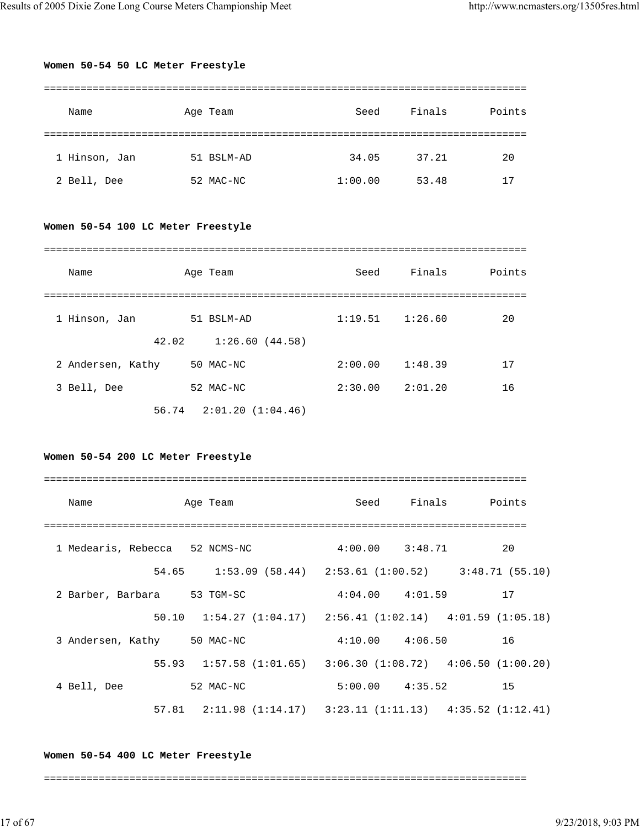#### **Women 50-54 50 LC Meter Freestyle**

| Name          | Age Team   | Seed    | Finals | Points |
|---------------|------------|---------|--------|--------|
|               |            |         |        |        |
| 1 Hinson, Jan | 51 BSLM-AD | 34.05   | 37.21  | 20     |
| 2 Bell, Dee   | 52 MAC-NC  | 1:00.00 | 53.48  | 17     |

## **Women 50-54 100 LC Meter Freestyle**

| Name              | Age Team                      | Seed    | Finals  | Points |
|-------------------|-------------------------------|---------|---------|--------|
|                   |                               |         |         |        |
| 1 Hinson, Jan     | 51 BSLM-AD                    | 1:19.51 | 1:26.60 | 20     |
|                   | 42.02<br>1:26.60(44.58)       |         |         |        |
| 2 Andersen, Kathy | 50 MAC-NC                     | 2:00.00 | 1:48.39 | 17     |
| 3 Bell, Dee       | 52 MAC-NC                     | 2:30.00 | 2:01.20 | 16     |
|                   | $56.74$ $2:01.20$ $(1:04.46)$ |         |         |        |

## **Women 50-54 200 LC Meter Freestyle**

| Name                           | Age Team  | Seed Finals Points                                                        |    |
|--------------------------------|-----------|---------------------------------------------------------------------------|----|
|                                |           |                                                                           |    |
| 1 Medearis, Rebecca 52 NCMS-NC |           | $4:00.00$ $3:48.71$                                                       | 20 |
|                                |           | 54.65 1:53.09 (58.44) 2:53.61 (1:00.52) 3:48.71 (55.10)                   |    |
| 2 Barber, Barbara 53 TGM-SC    |           | $4:04.00$ $4:01.59$ 17                                                    |    |
|                                |           | $50.10$ $1:54.27$ $(1:04.17)$ $2:56.41$ $(1:02.14)$ $4:01.59$ $(1:05.18)$ |    |
| 3 Andersen, Kathy 50 MAC-NC    |           | $4:10.00$ $4:06.50$                                                       | 16 |
|                                |           | 55.93 1:57.58 (1:01.65) 3:06.30 (1:08.72) 4:06.50 (1:00.20)               |    |
| 4 Bell, Dee                    | 52 MAC-NC | $5:00.00$ $4:35.52$ 15                                                    |    |
|                                |           | 57.81   2:11.98   (1:14.17)   3:23.11   (1:11.13)   4:35.52   (1:12.41)   |    |

#### **Women 50-54 400 LC Meter Freestyle**

===============================================================================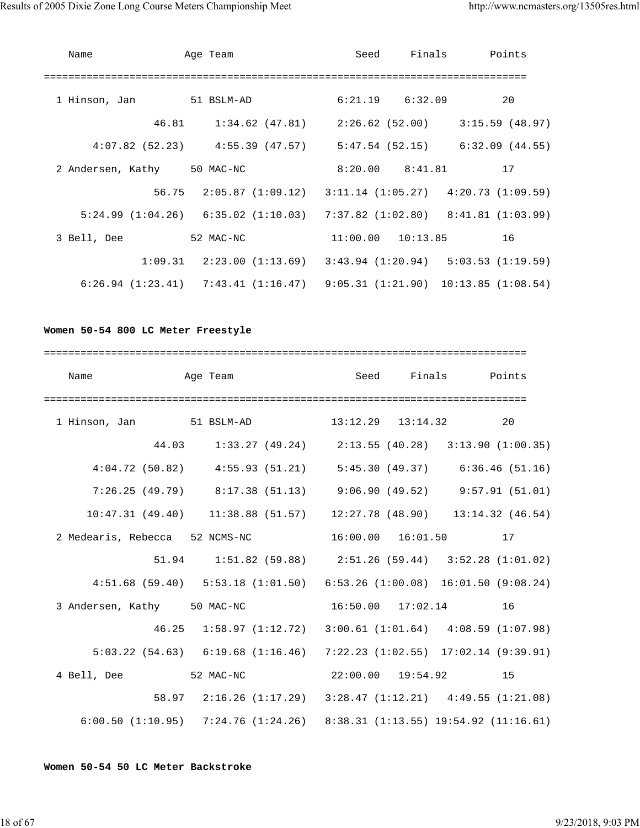| Name        | Age Team                                                                                | Seed       |                     | Finals Points         |    |
|-------------|-----------------------------------------------------------------------------------------|------------|---------------------|-----------------------|----|
|             |                                                                                         | ========== |                     |                       |    |
|             | 1 Hinson, Jan 51 BSLM-AD                                                                |            | $6:21.19$ $6:32.09$ |                       | 20 |
|             | 46.81   1:34.62 (47.81)   2:26.62 (52.00)   3:15.59 (48.97)                             |            |                     |                       |    |
|             | $4:07.82$ (52.23) $4:55.39$ (47.57) $5:47.54$ (52.15) $6:32.09$ (44.55)                 |            |                     |                       |    |
|             | 2 Andersen, Kathy 50 MAC-NC                                                             |            | $8:20.00$ $8:41.81$ | 17                    |    |
|             | $56.75$ $2:05.87$ $(1:09.12)$ $3:11.14$ $(1:05.27)$ $4:20.73$ $(1:09.59)$               |            |                     |                       |    |
|             | $5:24.99$ $(1:04.26)$ $6:35.02$ $(1:10.03)$ $7:37.82$ $(1:02.80)$ $8:41.81$ $(1:03.99)$ |            |                     |                       |    |
| 3 Bell, Dee | 52 MAC-NC                                                                               |            |                     | $11:00.00$ $10:13.85$ | 16 |
|             | $1:09.31$ $2:23.00$ $(1:13.69)$ $3:43.94$ $(1:20.94)$ $5:03.53$ $(1:19.59)$             |            |                     |                       |    |
|             | $6:26.94$ (1:23.41) $7:43.41$ (1:16.47) $9:05.31$ (1:21.90) 10:13.85 (1:08.54)          |            |                     |                       |    |

## **Women 50-54 800 LC Meter Freestyle**

| Name                                                                      | Age Team |  |                                                                             | Seed Finals Points       |  |
|---------------------------------------------------------------------------|----------|--|-----------------------------------------------------------------------------|--------------------------|--|
|                                                                           |          |  |                                                                             |                          |  |
| 1 Hinson, Jan 51 BSLM-AD 13:12.29 13:14.32 20                             |          |  |                                                                             |                          |  |
|                                                                           |          |  | 44.03 1:33.27 (49.24) 2:13.55 (40.28) 3:13.90 (1:00.35)                     |                          |  |
|                                                                           |          |  | $4:04.72$ (50.82) $4:55.93$ (51.21) $5:45.30$ (49.37) $6:36.46$ (51.16)     |                          |  |
|                                                                           |          |  | 7:26.25 (49.79) 8:17.38 (51.13) 9:06.90 (49.52) 9:57.91 (51.01)             |                          |  |
|                                                                           |          |  | $10:47.31$ (49.40) $11:38.88$ (51.57) $12:27.78$ (48.90) $13:14.32$ (46.54) |                          |  |
| 2 Medearis, Rebecca 52 NCMS-NC                                            |          |  |                                                                             | $16:00.00$ $16:01.50$ 17 |  |
|                                                                           |          |  | 51.94   1:51.82   (59.88)   2:51.26   (59.44)   3:52.28   (1:01.02)         |                          |  |
|                                                                           |          |  | 4:51.68 (59.40) 5:53.18 (1:01.50) 6:53.26 (1:00.08) 16:01.50 (9:08.24)      |                          |  |
| 3 Andersen, Kathy 50 MAC-NC 16:50.00 17:02.14 16                          |          |  |                                                                             |                          |  |
|                                                                           |          |  | 46.25 1:58.97 (1:12.72) 3:00.61 (1:01.64) 4:08.59 (1:07.98)                 |                          |  |
|                                                                           |          |  | 5:03.22 (54.63) 6:19.68 (1:16.46) 7:22.23 (1:02.55) 17:02.14 (9:39.91)      |                          |  |
| 4 Bell, Dee 52 MAC-NC 22:00.00 19:54.92 15                                |          |  |                                                                             |                          |  |
|                                                                           |          |  | 58.97 2:16.26 (1:17.29) 3:28.47 (1:12.21) 4:49.55 (1:21.08)                 |                          |  |
| 6:00.50 (1:10.95) 7:24.76 (1:24.26) 8:38.31 (1:13.55) 19:54.92 (11:16.61) |          |  |                                                                             |                          |  |

**Women 50-54 50 LC Meter Backstroke**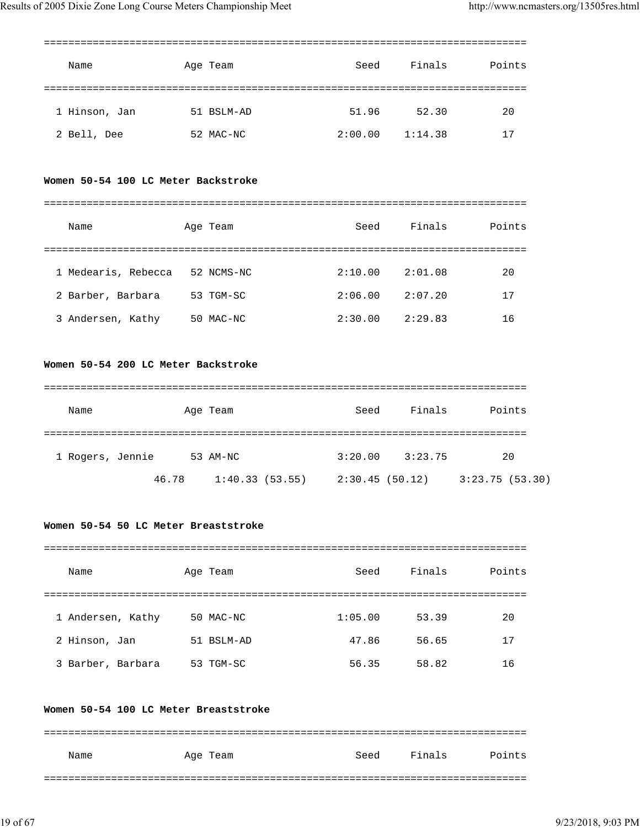| Name          | Age Team   | Seed    | Finals  | Points |
|---------------|------------|---------|---------|--------|
|               |            |         |         |        |
| 1 Hinson, Jan | 51 BSLM-AD | 51.96   | 52.30   | 20     |
| 2 Bell, Dee   | 52 MAC-NC  | 2:00.00 | 1:14.38 | 17     |

#### **Women 50-54 100 LC Meter Backstroke**

| Name                | Age Team    | Seed    | Finals  | Points |
|---------------------|-------------|---------|---------|--------|
|                     |             |         |         |        |
| 1 Medearis, Rebecca | 52 NCMS-NC  | 2:10.00 | 2:01.08 | 20     |
| 2 Barber, Barbara   | 53 TGM-SC   | 2:06.00 | 2:07.20 | 17     |
| 3 Andersen, Kathy   | $50$ MAC-NC | 2:30.00 | 2:29.83 | 16     |

#### **Women 50-54 200 LC Meter Backstroke**

| Name             |       | Age Team       | Seed           | Finals  | Points         |
|------------------|-------|----------------|----------------|---------|----------------|
| 1 Rogers, Jennie |       | 53 AM-NC       | 3:20.00        | 3:23.75 | 20             |
|                  | 46.78 | 1:40.33(53.55) | 2:30.45(50.12) |         | 3:23.75(53.30) |

## **Women 50-54 50 LC Meter Breaststroke**

| Name              | Age Team   | Seed    | Finals | Points |
|-------------------|------------|---------|--------|--------|
|                   |            |         |        |        |
| 1 Andersen, Kathy | 50 MAC-NC  | 1:05.00 | 53.39  | 20     |
| 2 Hinson, Jan     | 51 BSLM-AD | 47.86   | 56.65  | 17     |
| 3 Barber, Barbara | 53 TGM-SC  | 56.35   | 58.82  | 16     |

#### **Women 50-54 100 LC Meter Breaststroke**

| Name | Age Team | Seed | Finals | Points |
|------|----------|------|--------|--------|
|      |          |      |        |        |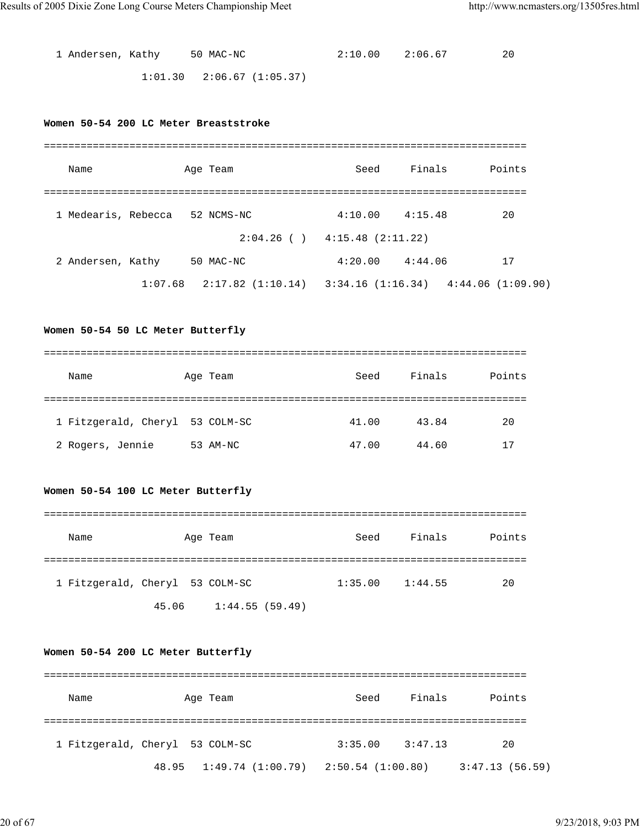| 1 Andersen, Kathy 50 MAC-NC |                                 | 2:10.00 2:06.67 | 20 |
|-----------------------------|---------------------------------|-----------------|----|
|                             | $1:01.30$ $2:06.67$ $(1:05.37)$ |                 |    |

## **Women 50-54 200 LC Meter Breaststroke**

| Name                |         | Age Team                          | Seed             | Finals  | Points           |
|---------------------|---------|-----------------------------------|------------------|---------|------------------|
|                     |         |                                   |                  |         |                  |
| 1 Medearis, Rebecca |         | 52 NCMS-NC                        | 4:10.00          | 4:15.48 | 20               |
|                     |         | $2:04.26$ ( ) $4:15.48$ (2:11.22) |                  |         |                  |
| 2 Andersen, Kathy   |         | 50 MAC-NC                         | 4:20.00          | 4:44.06 | 17               |
|                     | 1:07.68 | 2:17.82(1:10.14)                  | 3:34.16(1:16.34) |         | 4:44.06(1:09.90) |

## **Women 50-54 50 LC Meter Butterfly**

| Name                            | Age Team | Seed  | Finals | Points |
|---------------------------------|----------|-------|--------|--------|
|                                 |          |       |        |        |
| 1 Fitzgerald, Cheryl 53 COLM-SC |          | 41.00 | 43.84  | 20     |
| 2 Rogers, Jennie                | 53 AM-NC | 47.00 | 44.60  | 17     |

## **Women 50-54 100 LC Meter Butterfly**

| Name                            |       | Age Team       | Seed    | Finals  | Points |
|---------------------------------|-------|----------------|---------|---------|--------|
| 1 Fitzgerald, Cheryl 53 COLM-SC |       |                | 1:35.00 | 1:44.55 | 20     |
|                                 | 45.06 | 1:44.55(59.49) |         |         |        |

## **Women 50-54 200 LC Meter Butterfly**

| Name                            | Age Team                                    | Seed    | Finals  | Points         |
|---------------------------------|---------------------------------------------|---------|---------|----------------|
|                                 |                                             |         |         |                |
| 1 Fitzgerald, Cheryl 53 COLM-SC |                                             | 3:35.00 | 3:47.13 | 20             |
|                                 | $48.95$ 1:49.74 (1:00.79) 2:50.54 (1:00.80) |         |         | 3:47.13(56.59) |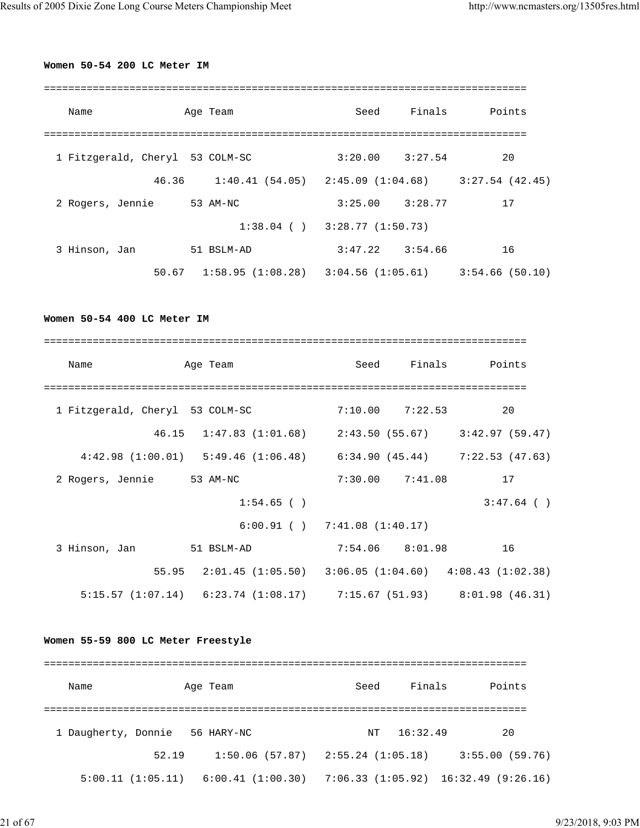## **Women 50-54 200 LC Meter IM**

| Name                            | Age Team                                    | Seed                | Finals | Points         |
|---------------------------------|---------------------------------------------|---------------------|--------|----------------|
| 1 Fitzgerald, Cheryl 53 COLM-SC |                                             | $3:20.00$ $3:27.54$ |        | 20             |
| 46.36                           | $1:40.41$ (54.05) $2:45.09$ (1:04.68)       |                     |        | 3:27.54(42.45) |
| 2 Rogers, Jennie                | 53 AM-NC                                    | $3:25.00$ $3:28.77$ |        | 17             |
|                                 | $1:38.04$ ( ) $3:28.77$ (1:50.73)           |                     |        |                |
| 3 Hinson, Jan                   | 51 BSLM-AD                                  | $3:47.22$ $3:54.66$ |        | 16             |
|                                 | $50.67$ 1:58.95 (1:08.28) 3:04.56 (1:05.61) |                     |        | 3:54.66(50.10) |

**Women 50-54 400 LC Meter IM**

| Name                            | Age Team                                                                    | Seed | Finals              | Points       |
|---------------------------------|-----------------------------------------------------------------------------|------|---------------------|--------------|
|                                 |                                                                             |      |                     |              |
| 1 Fitzgerald, Cheryl 53 COLM-SC |                                                                             |      | $7:10.00$ $7:22.53$ | 20           |
|                                 | 46.15 1:47.83 (1:01.68) 2:43.50 (55.67) 3:42.97 (59.47)                     |      |                     |              |
|                                 | $4:42.98$ (1:00.01) $5:49.46$ (1:06.48) $6:34.90$ (45.44) $7:22.53$ (47.63) |      |                     |              |
| 2 Rogers, Jennie 53 AM-NC       |                                                                             |      | $7:30.00$ $7:41.08$ | 17           |
|                                 | $1:54.65$ ()                                                                |      |                     | $3:47.64$ () |
|                                 | $6:00.91$ ( ) $7:41.08$ (1:40.17)                                           |      |                     |              |
| 3 Hinson, Jan                   | 51 BSLM-AD                                                                  |      | $7:54.06$ 8:01.98   | 16           |
|                                 | 55.95 2:01.45 (1:05.50) 3:06.05 (1:04.60) 4:08.43 (1:02.38)                 |      |                     |              |
|                                 | 5:15.57 $(1:07.14)$ 6:23.74 $(1:08.17)$ 7:15.67 $(51.93)$ 8:01.98 $(46.31)$ |      |                     |              |

## **Women 55-59 800 LC Meter Freestyle**

| Name                |                  | Age Team                              | Seed | Finals   | Points                                       |
|---------------------|------------------|---------------------------------------|------|----------|----------------------------------------------|
|                     |                  |                                       |      |          |                                              |
| 1 Daugherty, Donnie |                  | 56 HARY-NC                            | NT   | 16:32.49 | 20                                           |
|                     | 52.19            | $1:50.06$ (57.87) $2:55.24$ (1:05.18) |      |          | 3:55.00(59.76)                               |
|                     | 5:00.11(1:05.11) | $6:00.41$ (1:00.30)                   |      |          | $7:06.33$ $(1:05.92)$ $16:32.49$ $(9:26.16)$ |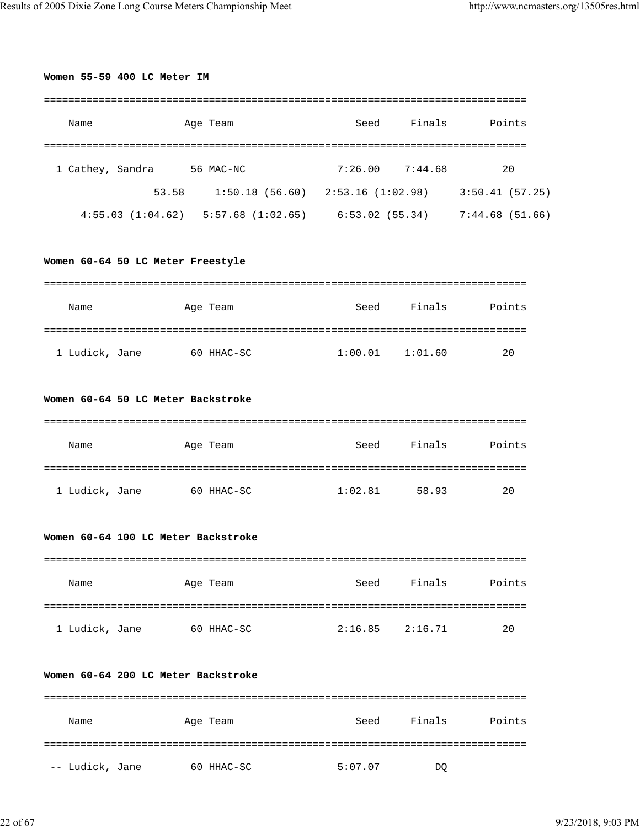| Name                                                  | Age Team                                                                            |      |                     | Seed Finals Points     |
|-------------------------------------------------------|-------------------------------------------------------------------------------------|------|---------------------|------------------------|
| 1 Cathey, Sandra 56 MAC-NC                            |                                                                                     |      |                     | $7:26.00$ $7:44.68$ 20 |
|                                                       | 53.58 1:50.18 (56.60) 2:53.16 (1:02.98) 3:50.41 (57.25)                             |      |                     |                        |
|                                                       | $4:55.03$ $(1:04.62)$ $5:57.68$ $(1:02.65)$ $6:53.02$ $(55.34)$ $7:44.68$ $(51.66)$ |      |                     |                        |
| Women 60-64 50 LC Meter Freestyle                     |                                                                                     |      |                     |                        |
| Name                                                  | Age Team                                                                            |      |                     | Seed Finals Points     |
| 1 Ludick, Jane 60 HHAC-SC                             |                                                                                     |      | $1:00.01$ $1:01.60$ | 20                     |
| Women 60-64 50 LC Meter Backstroke                    |                                                                                     |      |                     |                        |
| Name                                                  | Age Team                                                                            |      |                     |                        |
|                                                       |                                                                                     |      |                     | Seed Finals Points     |
| 1 Ludick, Jane 60 HHAC-SC                             |                                                                                     |      | $1:02.81$ 58.93     | 20                     |
|                                                       |                                                                                     |      |                     |                        |
| Name                                                  | Age Team                                                                            | Seed | Finals              | Points                 |
| Women 60-64 100 LC Meter Backstroke<br>1 Ludick, Jane | 60 HHAC-SC                                                                          |      | $2:16.85$ $2:16.71$ | 20                     |
| Women 60-64 200 LC Meter Backstroke                   |                                                                                     |      |                     |                        |
| Name                                                  | Age Team                                                                            | Seed | Finals              | Points                 |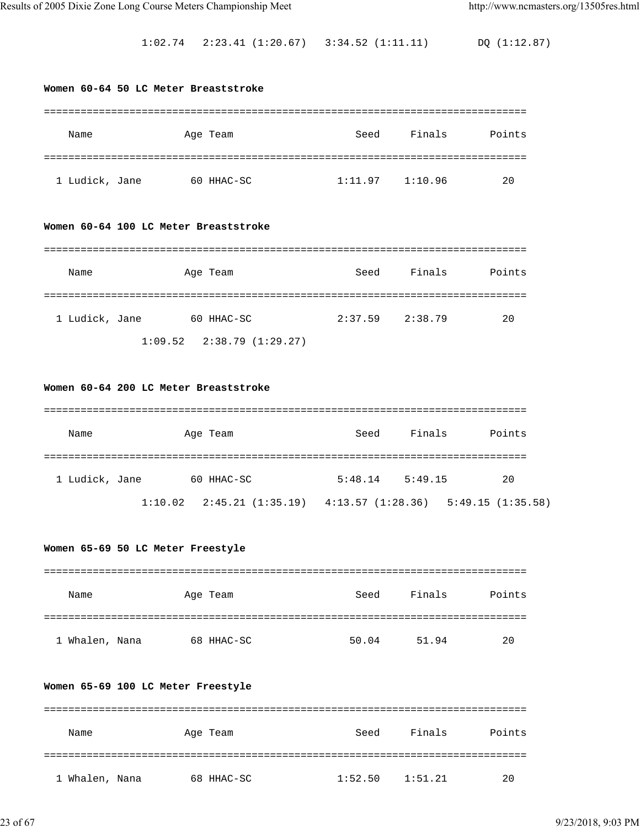1:02.74 2:23.41 (1:20.67) 3:34.52 (1:11.11) DQ (1:12.87)

# **Women 60-64 50 LC Meter Breaststroke** =============================================================================== Name Age Team Seed Finals Points =============================================================================== 1 Ludick, Jane 60 HHAC-SC 1:11.97 1:10.96 20 **Women 60-64 100 LC Meter Breaststroke** =============================================================================== Name Age Team Seed Finals Points =============================================================================== 1 Ludick, Jane 60 HHAC-SC 2:37.59 2:38.79 20 1:09.52 2:38.79 (1:29.27) **Women 60-64 200 LC Meter Breaststroke** =============================================================================== Name Age Team Seed Finals Points =============================================================================== 1 Ludick, Jane 60 HHAC-SC 5:48.14 5:49.15 20 1:10.02 2:45.21 (1:35.19) 4:13.57 (1:28.36) 5:49.15 (1:35.58) **Women 65-69 50 LC Meter Freestyle** =============================================================================== Name Age Team Seed Finals Points =============================================================================== 1 Whalen, Nana 68 HHAC-SC 50.04 51.94 20

#### **Women 65-69 100 LC Meter Freestyle**

| Name           | Age Team   | Seed    | Finals  | Points |
|----------------|------------|---------|---------|--------|
|                |            |         |         |        |
| 1 Whalen, Nana | 68 HHAC-SC | 1:52.50 | 1:51.21 | 20     |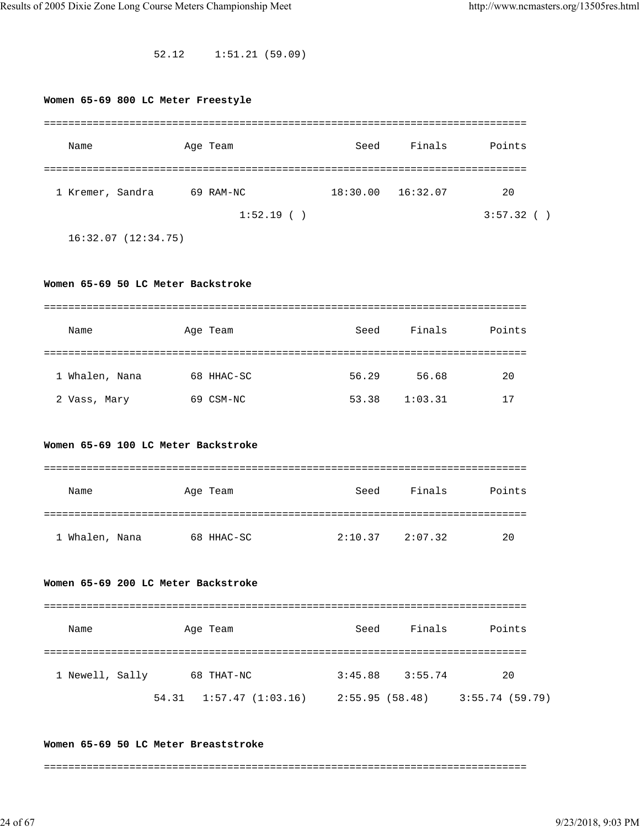52.12 1:51.21 (59.09)

| Women 65-69 800 LC Meter Freestyle |                                                         |       |                     |                    |
|------------------------------------|---------------------------------------------------------|-------|---------------------|--------------------|
|                                    |                                                         |       |                     |                    |
| Name                               | Age Team                                                | Seed  | Finals              | Points             |
| 1 Kremer, Sandra                   | 69 RAM-NC                                               |       | 18:30.00 16:32.07   | 20                 |
|                                    | 1:52.19()                                               |       |                     | 3:57.32()          |
| 16:32.07(12:34.75)                 |                                                         |       |                     |                    |
|                                    |                                                         |       |                     |                    |
| Women 65-69 50 LC Meter Backstroke |                                                         |       |                     |                    |
|                                    |                                                         |       |                     |                    |
| Name                               | Age Team                                                | Seed  | Finals              | Points             |
|                                    |                                                         |       |                     |                    |
| 1 Whalen, Nana                     | 68 HHAC-SC                                              |       | 56.29 56.68         | 20                 |
| 2 Vass, Mary                       | 69 CSM-NC                                               | 53.38 | 1:03.31             | 17                 |
|                                    |                                                         |       |                     |                    |
|                                    | Women 65-69 100 LC Meter Backstroke                     |       |                     |                    |
|                                    |                                                         |       |                     |                    |
| Name                               | Age Team                                                | Seed  | Finals              | Points             |
|                                    |                                                         |       |                     |                    |
| 1 Whalen, Nana                     | 68 HHAC-SC                                              |       | $2:10.37$ $2:07.32$ | 20                 |
|                                    |                                                         |       |                     |                    |
|                                    | Women 65-69 200 LC Meter Backstroke                     |       |                     |                    |
|                                    |                                                         |       |                     |                    |
| Name                               |                                                         |       |                     | Seed Finals Points |
|                                    | Age Team                                                |       |                     |                    |
|                                    |                                                         |       |                     |                    |
|                                    | 1 Newell, Sally 68 THAT-NC                              |       | $3:45.88$ $3:55.74$ | 20                 |
|                                    | 54.31 1:57.47 (1:03.16) 2:55.95 (58.48) 3:55.74 (59.79) |       |                     |                    |
|                                    |                                                         |       |                     |                    |

#### **Women 65-69 50 LC Meter Breaststroke**

===============================================================================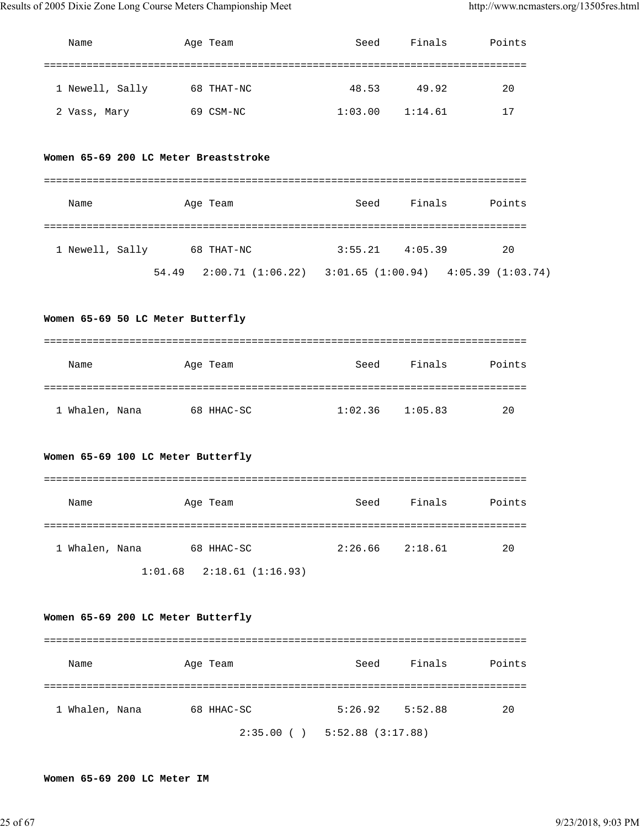| Name                                  | Age Team                                                    | Seed                |                     | Finals Points |
|---------------------------------------|-------------------------------------------------------------|---------------------|---------------------|---------------|
|                                       |                                                             |                     |                     |               |
|                                       |                                                             |                     |                     |               |
| 1 Newell, Sally                       | 68 THAT-NC                                                  | 48.53               | 49.92               | 20            |
| 2 Vass, Mary                          | 69 CSM-NC                                                   |                     | $1:03.00$ $1:14.61$ | 17            |
|                                       |                                                             |                     |                     |               |
| Women 65-69 200 LC Meter Breaststroke |                                                             |                     |                     |               |
|                                       |                                                             |                     |                     |               |
|                                       |                                                             |                     |                     |               |
| Name                                  | Age Team                                                    | Seed                | Finals              | Points        |
|                                       |                                                             |                     |                     |               |
| 1 Newell, Sally 68 THAT-NC            |                                                             |                     | $3:55.21$ 4:05.39   | 20            |
|                                       | 54.49 2:00.71 (1:06.22) 3:01.65 (1:00.94) 4:05.39 (1:03.74) |                     |                     |               |
|                                       |                                                             |                     |                     |               |
| Women 65-69 50 LC Meter Butterfly     |                                                             |                     |                     |               |
|                                       |                                                             |                     |                     |               |
|                                       |                                                             |                     |                     |               |
| Name                                  | Age Team                                                    |                     | Seed Finals Points  |               |
|                                       |                                                             |                     |                     |               |
| 1 Whalen, Nana                        | 68 HHAC-SC                                                  | $1:02.36$ $1:05.83$ |                     | 20            |
|                                       |                                                             |                     |                     |               |
|                                       |                                                             |                     |                     |               |
| Women 65-69 100 LC Meter Butterfly    |                                                             |                     |                     |               |
|                                       |                                                             |                     |                     |               |
| Name                                  | Age Team                                                    | Seed                | Finals              | Points        |
|                                       |                                                             |                     |                     |               |
| 1 Whalen, Nana                        | 68 HHAC-SC                                                  |                     | $2:26.66$ $2:18.61$ | 20            |
|                                       |                                                             |                     |                     |               |
|                                       | $1:01.68$ $2:18.61$ (1:16.93)                               |                     |                     |               |
|                                       |                                                             |                     |                     |               |
| Women 65-69 200 LC Meter Butterfly    |                                                             |                     |                     |               |

| Name           | Age Team   | Seed                | Finals | Points |
|----------------|------------|---------------------|--------|--------|
|                |            |                     |        |        |
| 1 Whalen, Nana | 68 HHAC-SC | $5:26.92$ $5:52.88$ |        | 20     |
|                | 2:35.00(   | 5:52.88(3:17.88)    |        |        |

## **Women 65-69 200 LC Meter IM**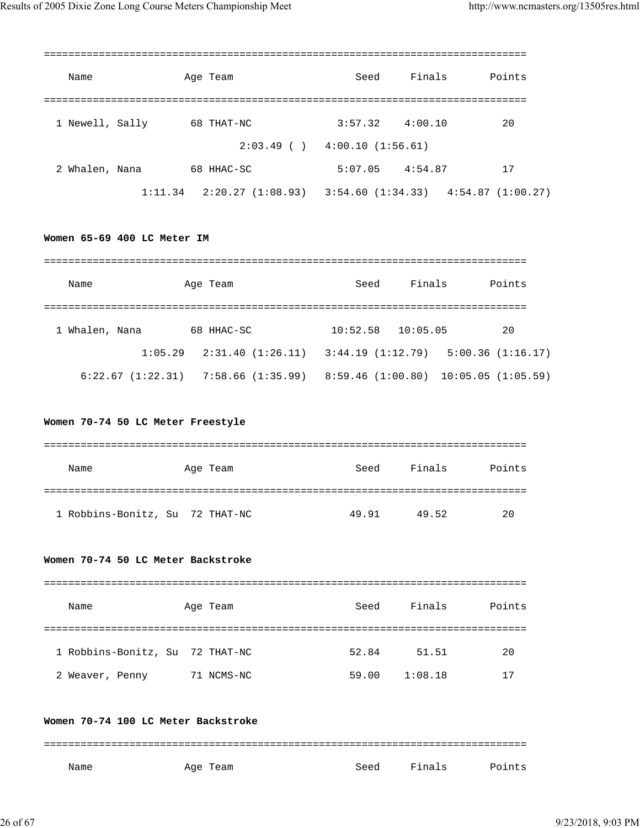| Name            | Age Team                        | Seed                              | Finals  | Points                              |
|-----------------|---------------------------------|-----------------------------------|---------|-------------------------------------|
|                 |                                 |                                   |         |                                     |
| 1 Newell, Sally | 68 THAT-NC                      | 3:57.32                           | 4:00.10 | 20                                  |
|                 |                                 | $2:03.49$ ( ) $4:00.10$ (1:56.61) |         |                                     |
| 2 Whalen, Nana  | 68 HHAC-SC                      | 5:07.05                           | 4:54.87 | 17                                  |
|                 | $1:11.34$ $2:20.27$ $(1:08.93)$ |                                   |         | 3:54.60 (1:34.33) 4:54.87 (1:00.27) |

#### **Women 65-69 400 LC Meter IM**

| Name           | Age Team                                              | Seed     | Finals   | Points                               |
|----------------|-------------------------------------------------------|----------|----------|--------------------------------------|
| 1 Whalen, Nana | 68 HHAC-SC                                            | 10:52.58 | 10:05.05 | 20                                   |
|                | $1:05.29$ $2:31.40$ $(1:26.11)$ $3:44.19$ $(1:12.79)$ |          |          | 5:00.36(1:16.17)                     |
|                | $6:22.67$ $(1:22.31)$ $7:58.66$ $(1:35.99)$           |          |          | 8:59.46 (1:00.80) 10:05.05 (1:05.59) |

#### **Women 70-74 50 LC Meter Freestyle**

| Name | Age Team                        | Seed  | Finals | Points |
|------|---------------------------------|-------|--------|--------|
|      |                                 |       |        |        |
|      | 1 Robbins-Bonitz, Su 72 THAT-NC | 49.91 | 49.52  | 20     |

#### **Women 70-74 50 LC Meter Backstroke**

| Name                            | Age Team   | Seed  | Finals  | Points |
|---------------------------------|------------|-------|---------|--------|
|                                 |            |       |         |        |
| 1 Robbins-Bonitz, Su 72 THAT-NC |            | 52.84 | 51.51   | 20     |
| 2 Weaver, Penny                 | 71 NCMS-NC | 59.00 | 1:08.18 | 17     |

#### **Women 70-74 100 LC Meter Backstroke**

=============================================================================== Name Mage Team Seed Finals Points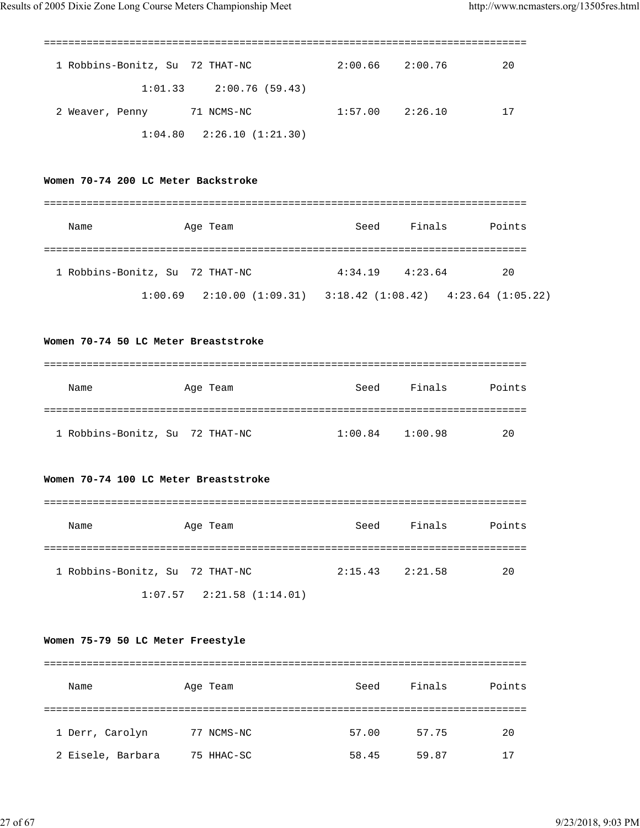| 1 Robbins-Bonitz, Su 72 THAT-NC |                                 | 2:00.66 | 2:00.76 | 20 |
|---------------------------------|---------------------------------|---------|---------|----|
|                                 | $1:01.33$ $2:00.76$ (59.43)     |         |         |    |
| 2 Weaver, Penny                 | 71 NCMS-NC                      | 1:57.00 | 2:26.10 | 17 |
|                                 | $1:04.80$ $2:26.10$ $(1:21.30)$ |         |         |    |

## **Women 70-74 200 LC Meter Backstroke**

| Name                            | Age Team                        | Seed    | Finals  | Points                                  |
|---------------------------------|---------------------------------|---------|---------|-----------------------------------------|
| 1 Robbins-Bonitz, Su 72 THAT-NC |                                 | 4:34.19 | 4:23.64 | 20                                      |
|                                 | $1:00.69$ $2:10.00$ $(1:09.31)$ |         |         | $3:18.42$ (1:08.42) $4:23.64$ (1:05.22) |

## **Women 70-74 50 LC Meter Breaststroke**

| Name | Age Team                        | Seed    | Finals  | Points |
|------|---------------------------------|---------|---------|--------|
|      |                                 |         |         |        |
|      | 1 Robbins-Bonitz, Su 72 THAT-NC | 1:00.84 | 1:00.98 | 20     |

## **Women 70-74 100 LC Meter Breaststroke**

| Name | Age Team                        | Seed    | Finals  | Points |
|------|---------------------------------|---------|---------|--------|
|      |                                 |         |         |        |
|      | 1 Robbins-Bonitz, Su 72 THAT-NC | 2:15.43 | 2:21.58 | 20     |
|      | $1:07.57$ $2:21.58$ $(1:14.01)$ |         |         |        |

#### **Women 75-79 50 LC Meter Freestyle**

| Name              | Age Team   | Seed  | Finals | Points |
|-------------------|------------|-------|--------|--------|
|                   |            |       |        |        |
| 1 Derr, Carolyn   | 77 NCMS-NC | 57.00 | 57.75  | 20     |
| 2 Eisele, Barbara | 75 HHAC-SC | 58.45 | 59.87  | 17     |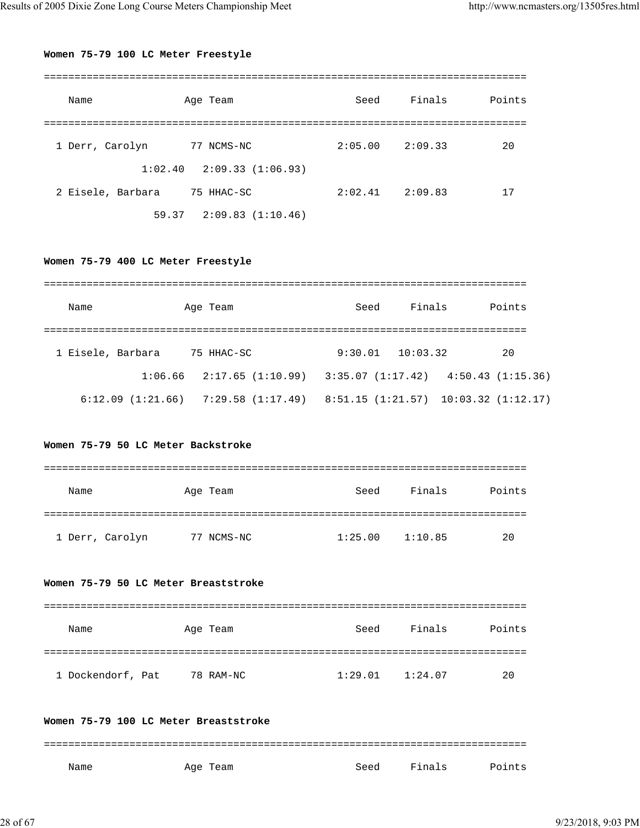## **Women 75-79 100 LC Meter Freestyle**

| Name              | Age Team                        | Seed    | Finals  | Points |
|-------------------|---------------------------------|---------|---------|--------|
|                   |                                 |         |         |        |
| 1 Derr, Carolyn   | 77 NCMS-NC                      | 2:05.00 | 2:09.33 | 20     |
|                   | $1:02.40$ $2:09.33$ $(1:06.93)$ |         |         |        |
| 2 Eisele, Barbara | 75 HHAC-SC                      | 2:02.41 | 2:09.83 | 17     |
|                   | $59.37$ $2:09.83$ $(1:10.46)$   |         |         |        |

**Women 75-79 400 LC Meter Freestyle**

| Name              | Age Team                      | Seed    | Finals   | Points                                |
|-------------------|-------------------------------|---------|----------|---------------------------------------|
|                   |                               |         |          |                                       |
| 1 Eisele, Barbara | 75 HHAC-SC                    | 9:30.01 | 10:03.32 | 20                                    |
|                   | $1:06.66$ $2:17.65$ (1:10.99) |         |          | $3:35.07(1:17.42)$ $4:50.43(1:15.36)$ |
| 6:12.09(1:21.66)  | 7:29.58 (1:17.49)             |         |          | 8:51.15(1:21.57)10:03.32(1:12.17)     |

## **Women 75-79 50 LC Meter Backstroke**

| Name            | Age Team   | Seed    | Finals  | Points |
|-----------------|------------|---------|---------|--------|
|                 |            |         |         |        |
| 1 Derr, Carolyn | 77 NCMS-NC | 1:25.00 | 1:10.85 | 20     |

## **Women 75-79 50 LC Meter Breaststroke**

| Name              | Age Team  | Seed    | Finals  | Points |
|-------------------|-----------|---------|---------|--------|
|                   |           |         |         |        |
| 1 Dockendorf, Pat | 78 RAM-NC | 1:29.01 | 1:24.07 | 20     |

## **Women 75-79 100 LC Meter Breaststroke**

| Name | Age Team | Seed | Finals | Points |
|------|----------|------|--------|--------|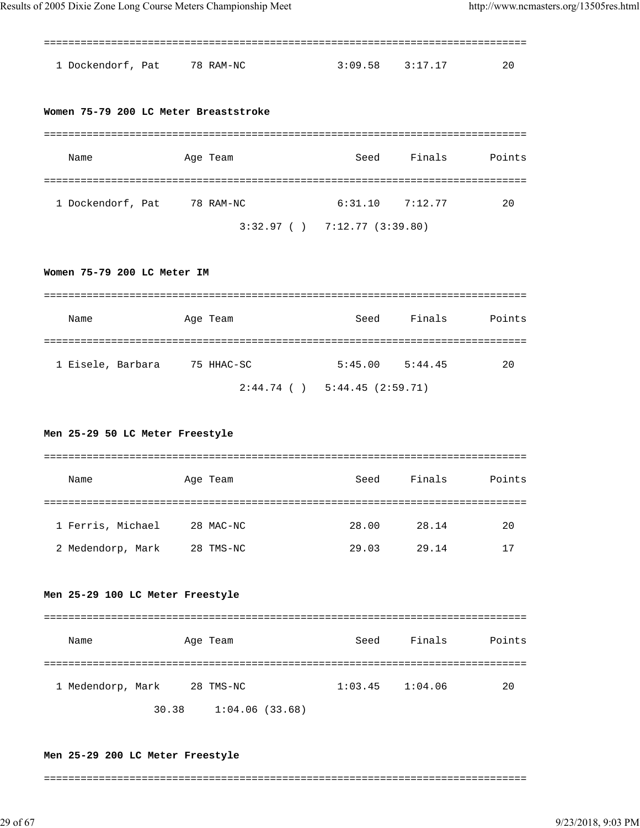=============================================================================== 1 Dockendorf, Pat 78 RAM-NC 3:09.58 3:17.17 20 **Women 75-79 200 LC Meter Breaststroke** =============================================================================== Name Age Team Seed Finals Points =============================================================================== 1 Dockendorf, Pat 78 RAM-NC 6:31.10 7:12.77 20 3:32.97 ( ) 7:12.77 (3:39.80) **Women 75-79 200 LC Meter IM** =============================================================================== Name Age Team Seed Finals Points =============================================================================== 1 Eisele, Barbara 75 HHAC-SC 5:45.00 5:44.45 20 2:44.74 ( ) 5:44.45 (2:59.71) **Men 25-29 50 LC Meter Freestyle** =============================================================================== Name Age Team Seed Finals Points =============================================================================== 1 Ferris, Michael 28 MAC-NC 28.00 28.14 20 2 Medendorp, Mark 28 TMS-NC 29.03 29.14 17 **Men 25-29 100 LC Meter Freestyle** =============================================================================== Name Age Team Seed Finals Points =============================================================================== 1 Medendorp, Mark 28 TMS-NC 1:03.45 1:04.06 20 30.38 1:04.06 (33.68) Results of 2005 Dixie Zone Long Course Meters Championship Meet http://www.ncmasters.org/13505res.html

#### **Men 25-29 200 LC Meter Freestyle**

===============================================================================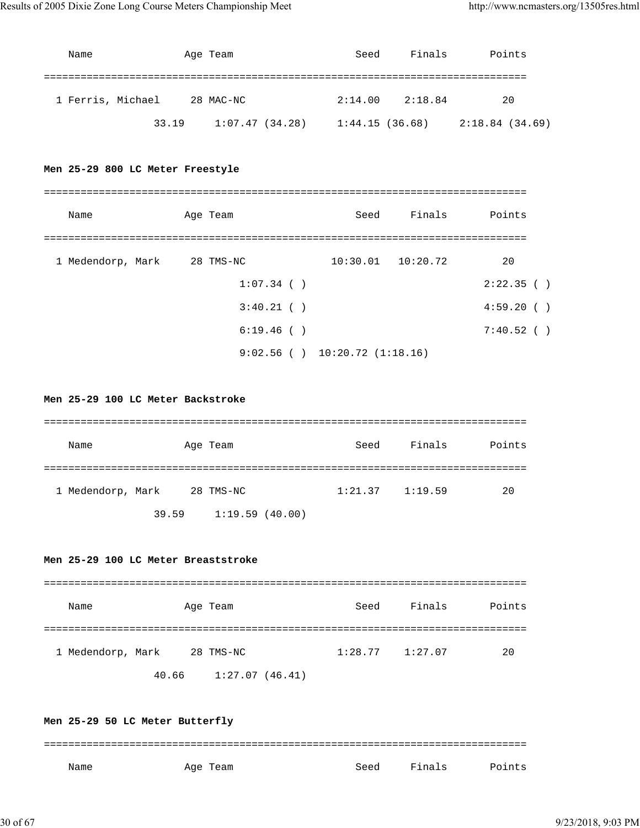| Name              |       | Age Team       | Seed           | Finals  | Points          |
|-------------------|-------|----------------|----------------|---------|-----------------|
|                   |       |                |                |         |                 |
| 1 Ferris, Michael |       | 28 MAC-NC      | 2:14.00        | 2:18.84 | 20              |
|                   | 33.19 | 1:07.47(34.28) | 1:44.15(36.68) |         | 2:18.84 (34.69) |

## **Men 25-29 800 LC Meter Freestyle**

| Name              | Age Team      | Seed                               | Finals                | Points     |
|-------------------|---------------|------------------------------------|-----------------------|------------|
|                   |               |                                    |                       |            |
| 1 Medendorp, Mark | 28 TMS-NC     |                                    | $10:30.01$ $10:20.72$ | 20         |
|                   | $1:07.34$ ( ) |                                    |                       | 2:22.35()  |
|                   | 3:40.21()     |                                    |                       | 4:59.20(   |
|                   | 6:19.46(      |                                    |                       | 7:40.52( ) |
|                   |               | $9:02.56$ ( ) $10:20.72$ (1:18.16) |                       |            |

#### **Men 25-29 100 LC Meter Backstroke**

| Name              |       | Age Team       | Seed                | Finals | Points |
|-------------------|-------|----------------|---------------------|--------|--------|
|                   |       |                |                     |        |        |
| 1 Medendorp, Mark |       | 28 TMS-NC      | $1:21.37$ $1:19.59$ |        | 20     |
|                   | 39.59 | 1:19.59(40.00) |                     |        |        |

#### **Men 25-29 100 LC Meter Breaststroke**

| Name              |       | Age Team       | Seed                | Finals | Points |
|-------------------|-------|----------------|---------------------|--------|--------|
| 1 Medendorp, Mark |       | 28 TMS-NC      | $1:28.77$ $1:27.07$ |        | 20     |
|                   | 40.66 | 1:27.07(46.41) |                     |        |        |

## **Men 25-29 50 LC Meter Butterfly** =============================================================================== Name Month Age Team Seed Finals Points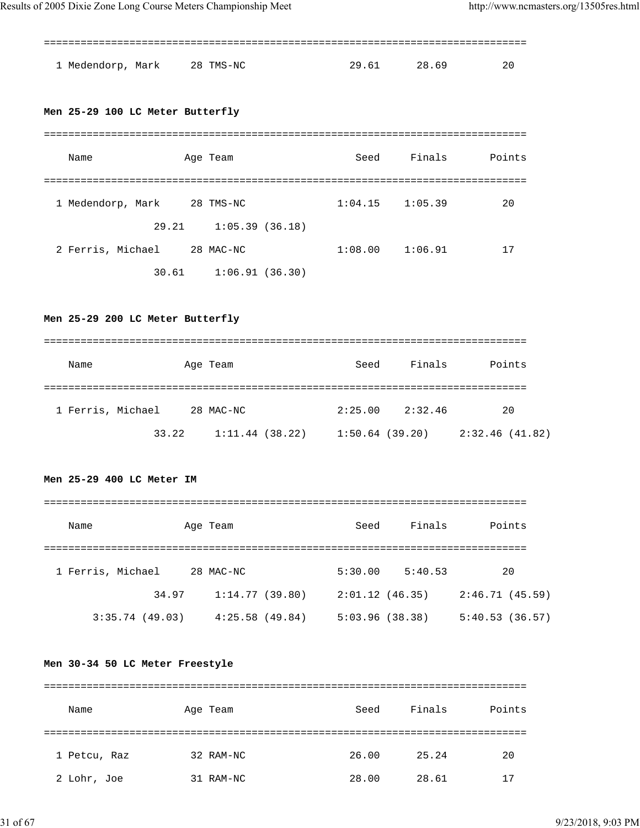| 1 Medendorp, Mark 28 TMS-NC | 29.61 | 28.69 | -20 |
|-----------------------------|-------|-------|-----|

## **Men 25-29 100 LC Meter Butterfly**

| Name              | Age Team       | Seed                | Finals  | Points |
|-------------------|----------------|---------------------|---------|--------|
|                   |                |                     |         |        |
| 1 Medendorp, Mark | 28 TMS-NC      | $1:04.15$ $1:05.39$ |         | 20     |
| 29.21             | 1:05.39(36.18) |                     |         |        |
| 2 Ferris, Michael | 28 MAC-NC      | 1:08.00             | 1:06.91 | 17     |
| 30.61             | 1:06.91(36.30) |                     |         |        |

## **Men 25-29 200 LC Meter Butterfly**

| Name              |       | Age Team       | Seed           | Finals  | Points          |
|-------------------|-------|----------------|----------------|---------|-----------------|
| 1 Ferris, Michael |       | 28 MAC-NC      | 2:25.00        | 2:32.46 | 20              |
|                   | 33.22 | 1:11.44(38.22) | 1:50.64(39.20) |         | 2:32.46 (41.82) |

## **Men 25-29 400 LC Meter IM**

| Name              | Age Team       | Seed           | Finals  | Points         |
|-------------------|----------------|----------------|---------|----------------|
|                   |                |                |         |                |
| 1 Ferris, Michael | 28 MAC-NC      | 5:30.00        | 5:40.53 | 20             |
| 34.97             | 1:14.77(39.80) | 2:01.12(46.35) |         | 2:46.71(45.59) |
| 3:35.74(49.03)    | 4:25.58(49.84) | 5:03.96(38.38) |         | 5:40.53(36.57) |

## **Men 30-34 50 LC Meter Freestyle**

| Name         | Age Team  | Seed  | Finals | Points |
|--------------|-----------|-------|--------|--------|
|              |           |       |        |        |
| 1 Petcu, Raz | 32 RAM-NC | 26.00 | 25.24  | 20     |
| 2 Lohr, Joe  | 31 RAM-NC | 28.00 | 28.61  | 17     |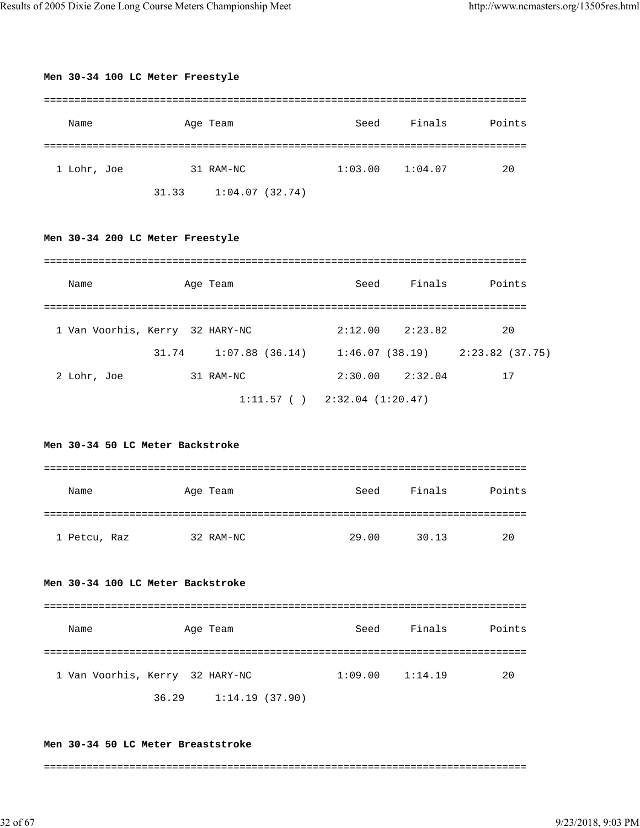| Men 30-34 100 LC Meter Freestyle  |           |                                                                         |       |                     |        |
|-----------------------------------|-----------|-------------------------------------------------------------------------|-------|---------------------|--------|
| Name                              |           | Age Team                                                                | Seed  | Finals              | Points |
| 1 Lohr, Joe                       | 31 RAM-NC |                                                                         |       | $1:03.00$ $1:04.07$ | 20     |
|                                   |           | 31.33 1:04.07 (32.74)                                                   |       |                     |        |
| Men 30-34 200 LC Meter Freestyle  |           |                                                                         |       |                     |        |
| Name                              |           | Age Team                                                                | Seed  | Finals              | Points |
| 1 Van Voorhis, Kerry 32 HARY-NC   |           |                                                                         |       | $2:12.00$ $2:23.82$ | 20     |
|                                   |           | 31.74    1:07.88    (36.14)    1:46.07    (38.19)    2:23.82    (37.75) |       |                     |        |
| 2 Lohr, Joe 31 RAM-NC             |           |                                                                         |       | $2:30.00$ $2:32.04$ | 17     |
| Men 30-34 50 LC Meter Backstroke  |           | $1:11.57$ ( ) $2:32.04$ (1:20.47)                                       |       |                     |        |
|                                   |           |                                                                         |       |                     |        |
| Name                              |           | Age Team                                                                | Seed  | Finals              | Points |
|                                   |           |                                                                         |       |                     |        |
| 1 Petcu, Raz                      |           | 32 RAM-NC                                                               | 29.00 | 30.13               | 20     |
| Men 30-34 100 LC Meter Backstroke |           |                                                                         |       |                     |        |
| Name                              |           | Age Team                                                                | Seed  | Finals              | Points |
|                                   |           |                                                                         |       |                     |        |
| 1 Van Voorhis, Kerry 32 HARY-NC   |           |                                                                         |       | $1:09.00$ $1:14.19$ | 20     |
|                                   |           | 36.29 1:14.19 (37.90)                                                   |       |                     |        |
|                                   |           |                                                                         |       |                     |        |

## **Men 30-34 50 LC Meter Breaststroke**

===============================================================================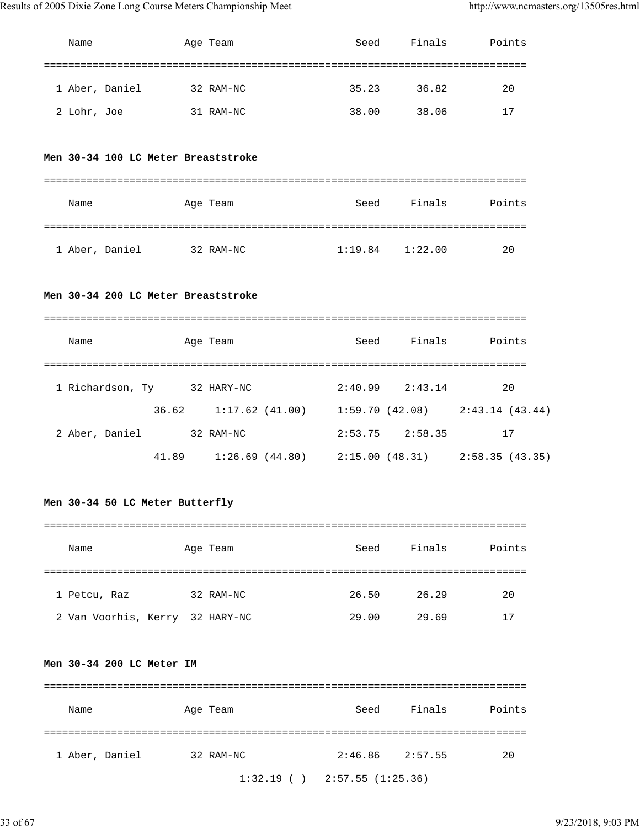| Name |                             |  | Age Team                            | Seed |                     | Finals Points                                         |
|------|-----------------------------|--|-------------------------------------|------|---------------------|-------------------------------------------------------|
|      |                             |  |                                     |      |                     |                                                       |
|      | 1 Aber, Daniel              |  | 32 RAM-NC                           |      | 35.23 36.82         | 20                                                    |
|      | 2 Lohr, Joe 31 RAM-NC       |  |                                     |      | 38.00 38.06         | 17                                                    |
|      |                             |  | Men 30-34 100 LC Meter Breaststroke |      |                     |                                                       |
| Name |                             |  | Age Team                            |      |                     | Seed Finals Points                                    |
|      | 1 Aber, Daniel 32 RAM-NC    |  |                                     |      | $1:19.84$ $1:22.00$ | 20                                                    |
|      |                             |  | Men 30-34 200 LC Meter Breaststroke |      |                     |                                                       |
| Name |                             |  | Age Team                            | Seed |                     | Finals Points                                         |
|      |                             |  |                                     |      |                     |                                                       |
|      | 1 Richardson, Ty 32 HARY-NC |  |                                     |      | $2:40.99$ $2:43.14$ | 20                                                    |
|      |                             |  |                                     |      |                     | 36.62 1:17.62 (41.00) 1:59.70 (42.08) 2:43.14 (43.44) |
|      | 2 Aber, Daniel 32 RAM-NC    |  |                                     |      | $2:53.75$ $2:58.35$ | 17                                                    |
|      |                             |  |                                     |      |                     | 41.89 1:26.69 (44.80) 2:15.00 (48.31) 2:58.35 (43.35) |

## **Men 30-34 50 LC Meter Butterfly**

| Name                            | Age Team  | Seed  | Finals | Points |
|---------------------------------|-----------|-------|--------|--------|
|                                 |           |       |        |        |
| 1 Petcu, Raz                    | 32 RAM-NC | 26.50 | 26.29  | 20     |
| 2 Van Voorhis, Kerry 32 HARY-NC |           | 29.00 | 29.69  | 17     |

## **Men 30-34 200 LC Meter IM**

| Name           | Age Team  | Seed                              | Finals              | Points |
|----------------|-----------|-----------------------------------|---------------------|--------|
| 1 Aber, Daniel | 32 RAM-NC |                                   | $2:46.86$ $2:57.55$ | 20     |
|                |           | $1:32.19$ ( ) $2:57.55$ (1:25.36) |                     |        |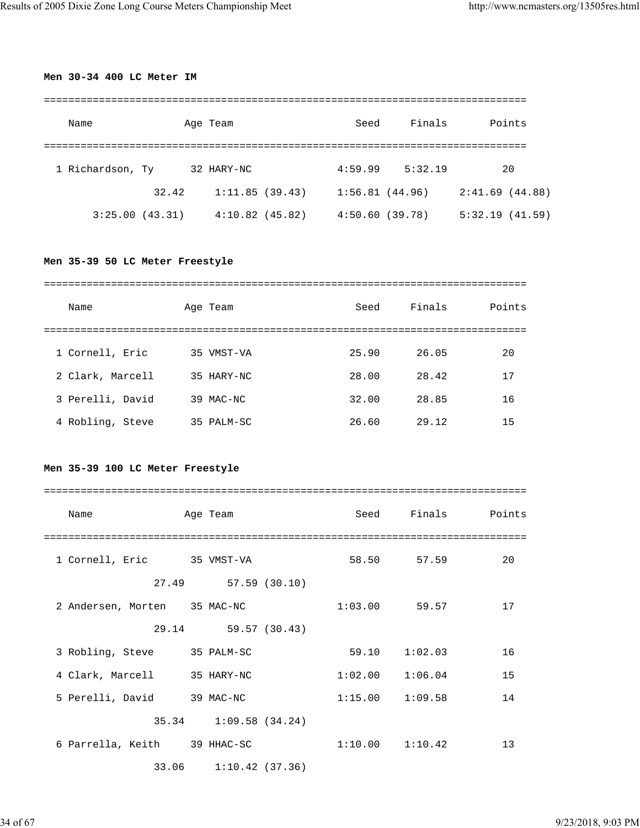## **Men 30-34 400 LC Meter IM**

| Name             |                | Age Team       | Seed           | Finals  | Points         |
|------------------|----------------|----------------|----------------|---------|----------------|
|                  |                |                |                |         |                |
| 1 Richardson, Ty |                | 32 HARY-NC     | 4:59.99        | 5:32.19 | 20             |
|                  | 32.42          | 1:11.85(39.43) | 1:56.81(44.96) |         | 2:41.69(44.88) |
|                  | 3:25.00(43.31) | 4:10.82(45.82) | 4:50.60(39.78) |         | 5:32.19(41.59) |

## **Men 35-39 50 LC Meter Freestyle**

| Name             | Age Team   | Seed  | Finals | Points |
|------------------|------------|-------|--------|--------|
|                  |            |       |        |        |
| 1 Cornell, Eric  | 35 VMST-VA | 25.90 | 26.05  | 20     |
| 2 Clark, Marcell | 35 HARY-NC | 28.00 | 28.42  | 17     |
| 3 Perelli, David | 39 MAC-NC  | 32.00 | 28.85  | 16     |
| 4 Robling, Steve | 35 PALM-SC | 26.60 | 29.12  | 15     |

## **Men 35-39 100 LC Meter Freestyle**

| Name                         | Age Team              | Seed                | Finals            | Points |
|------------------------------|-----------------------|---------------------|-------------------|--------|
|                              |                       |                     |                   |        |
| 1 Cornell, Eric 35 VMST-VA   |                       |                     | 58.50 57.59       | 20     |
|                              | 27.49 57.59 (30.10)   |                     |                   |        |
| 2 Andersen, Morten 35 MAC-NC |                       | $1:03.00$ 59.57     |                   | 17     |
|                              | 29.14 59.57 (30.43)   |                     |                   |        |
| 3 Robling, Steve             | 35 PALM-SC            |                     | $59.10 \t1:02.03$ | 16     |
| 4 Clark, Marcell 35 HARY-NC  |                       | 1:02.00             | 1:06.04           | 15     |
| 5 Perelli, David             | 39 MAC-NC             | $1:15.00$ $1:09.58$ |                   | 14     |
|                              | 35.34 1:09.58 (34.24) |                     |                   |        |
| 6 Parrella, Keith 39 HHAC-SC |                       | $1:10.00$ $1:10.42$ |                   | 13     |
|                              | 33.06 1:10.42 (37.36) |                     |                   |        |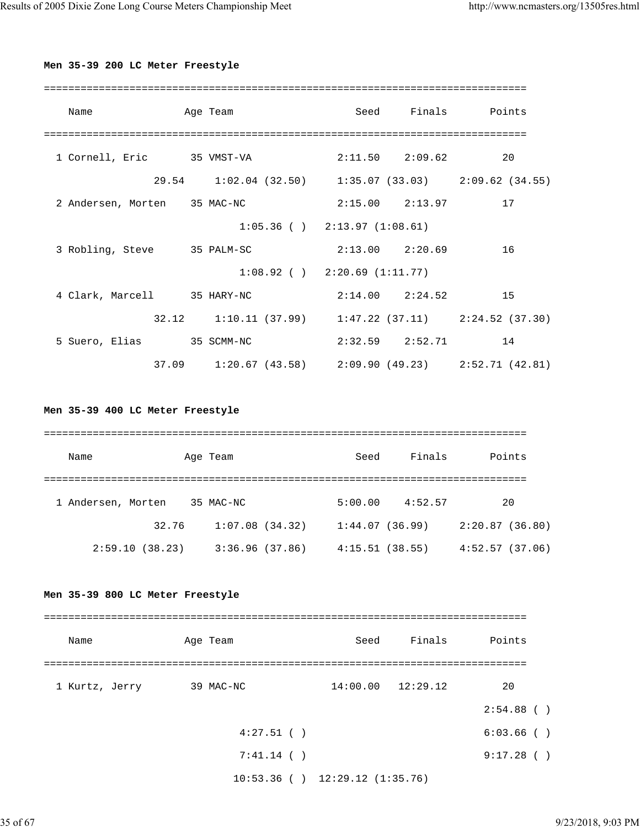## **Men 35-39 200 LC Meter Freestyle**

| Name                         |  | Age Team                                                |  |                        | Seed Finals Points |  |  |  |  |  |  |  |
|------------------------------|--|---------------------------------------------------------|--|------------------------|--------------------|--|--|--|--|--|--|--|
|                              |  |                                                         |  |                        |                    |  |  |  |  |  |  |  |
| 1 Cornell, Eric 35 VMST-VA   |  |                                                         |  | $2:11.50$ $2:09.62$    | 20                 |  |  |  |  |  |  |  |
|                              |  | 29.54 1:02.04 (32.50) 1:35.07 (33.03) 2:09.62 (34.55)   |  |                        |                    |  |  |  |  |  |  |  |
| 2 Andersen, Morten 35 MAC-NC |  |                                                         |  | $2:15.00$ $2:13.97$    | 17                 |  |  |  |  |  |  |  |
|                              |  | $1:05.36$ ( ) $2:13.97$ (1:08.61)                       |  |                        |                    |  |  |  |  |  |  |  |
| 3 Robling, Steve             |  | 35 PALM-SC                                              |  | $2:13.00$ $2:20.69$    | 16                 |  |  |  |  |  |  |  |
|                              |  | $1:08.92$ ( ) $2:20.69$ (1:11.77)                       |  |                        |                    |  |  |  |  |  |  |  |
| 4 Clark, Marcell 35 HARY-NC  |  |                                                         |  | $2:14.00$ $2:24.52$ 15 |                    |  |  |  |  |  |  |  |
|                              |  | $32.12$ 1:10.11 (37.99) 1:47.22 (37.11) 2:24.52 (37.30) |  |                        |                    |  |  |  |  |  |  |  |
| 5 Suero, Elias               |  | 35 SCMM-NC                                              |  | $2:32.59$ $2:52.71$ 14 |                    |  |  |  |  |  |  |  |
| 37.09                        |  | $1:20.67$ (43.58) $2:09.90$ (49.23) $2:52.71$ (42.81)   |  |                        |                    |  |  |  |  |  |  |  |

## **Men 35-39 400 LC Meter Freestyle**

| Name               | Age Team  | Seed                             | Finals  | Points         |  |  |  |  |  |  |  |  |  |
|--------------------|-----------|----------------------------------|---------|----------------|--|--|--|--|--|--|--|--|--|
| 1 Andersen, Morten | 35 MAC-NC | 5:00.00                          | 4:52.57 | 20             |  |  |  |  |  |  |  |  |  |
|                    | 32.76     | 1:07.08(34.32)<br>1:44.07(36.99) |         | 2:20.87(36.80) |  |  |  |  |  |  |  |  |  |
| 2:59.10(38.23)     |           | 3:36.96(37.86)<br>4:15.51(38.55) |         | 4:52.57(37.06) |  |  |  |  |  |  |  |  |  |

## **Men 35-39 800 LC Meter Freestyle**

| Name           | Age Team     | Seed                                | Finals                | Points        |
|----------------|--------------|-------------------------------------|-----------------------|---------------|
|                |              |                                     |                       |               |
| 1 Kurtz, Jerry | 39 MAC-NC    |                                     | $14:00.00$ $12:29.12$ | 20            |
|                |              |                                     |                       | $2:54.88$ ()  |
|                | $4:27.51$ () |                                     |                       | $6:03.66$ ( ) |
|                | 7:41.14()    |                                     |                       | 9:17.28()     |
|                |              | $10:53.36$ ( ) $12:29.12$ (1:35.76) |                       |               |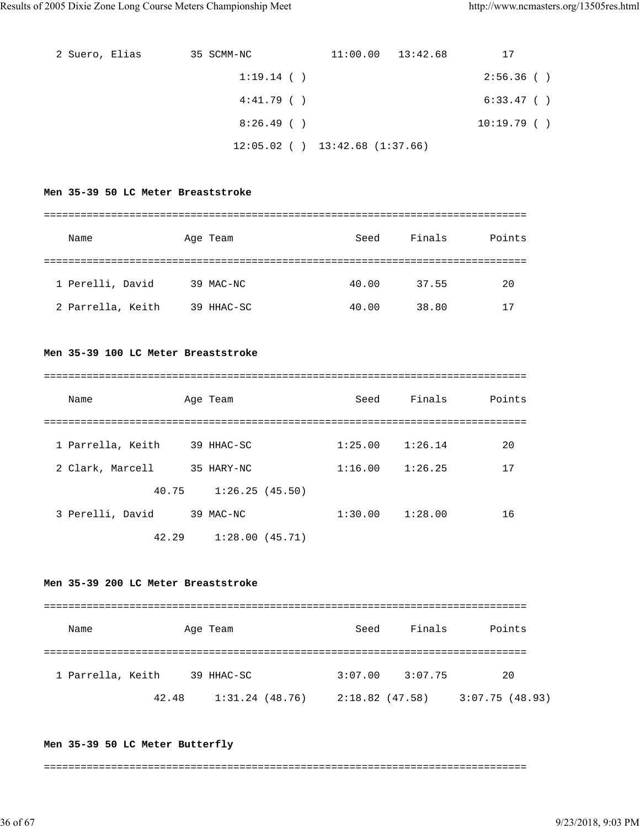| 2 Suero, Elias | 35 SCMM-NC   | $11:00.00$ $13:42.68$               | 17         |
|----------------|--------------|-------------------------------------|------------|
|                | $1:19.14$ () |                                     | 2:56.36()  |
|                | 4:41.79(     |                                     | 6:33.47( ) |
|                | 8:26.49(     |                                     | 10:19.79() |
|                |              | $12:05.02$ ( ) $13:42.68$ (1:37.66) |            |

#### **Men 35-39 50 LC Meter Breaststroke**

===============================================================================

| Name              | Age Team   | Seed  | Finals | Points |
|-------------------|------------|-------|--------|--------|
|                   |            |       |        |        |
| 1 Perelli, David  | 39 MAC-NC  | 40.00 | 37.55  | 20     |
| 2 Parrella, Keith | 39 HHAC-SC | 40.00 | 38.80  | 17     |

#### **Men 35-39 100 LC Meter Breaststroke**

===============================================================================

| Name              | Age Team       | Seed    | Finals  | Points |
|-------------------|----------------|---------|---------|--------|
|                   |                |         |         |        |
| 1 Parrella, Keith | 39 HHAC-SC     | 1:25.00 | 1:26.14 | 20     |
| 2 Clark, Marcell  | 35 HARY-NC     | 1:16.00 | 1:26.25 | 17     |
| 40.75             | 1:26.25(45.50) |         |         |        |
| 3 Perelli, David  | 39 MAC-NC      | 1:30.00 | 1:28.00 | 16     |

42.29 1:28.00 (45.71)

## **Men 35-39 200 LC Meter Breaststroke**

=============================================================================== Name Age Team Seed Finals Points =============================================================================== 1 Parrella, Keith 39 HHAC-SC 3:07.00 3:07.75 20 42.48 1:31.24 (48.76) 2:18.82 (47.58) 3:07.75 (48.93)

#### **Men 35-39 50 LC Meter Butterfly**

===============================================================================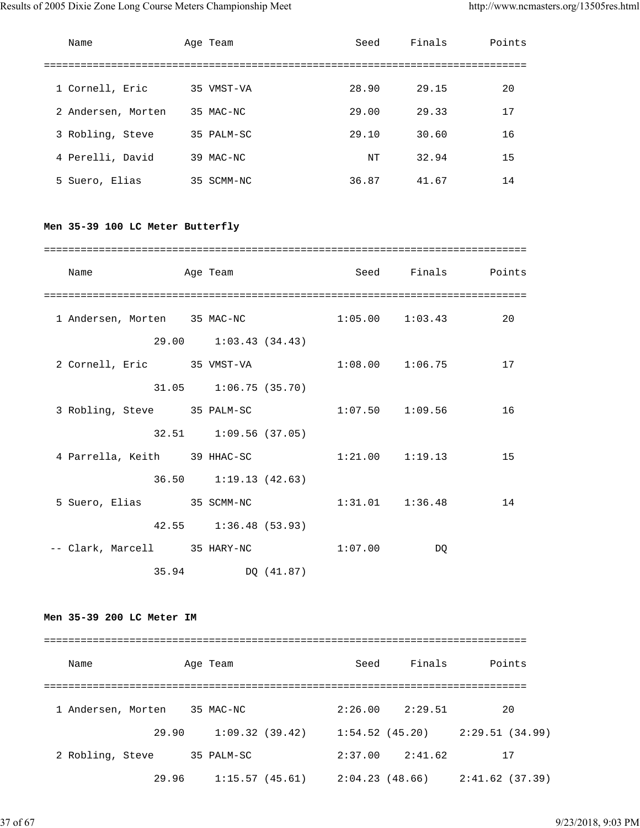| Name               | Age Team   | Seed  | Finals | Points |
|--------------------|------------|-------|--------|--------|
|                    |            |       |        |        |
| 1 Cornell, Eric    | 35 VMST-VA | 28.90 | 29.15  | 20     |
| 2 Andersen, Morten | 35 MAC-NC  | 29.00 | 29.33  | 17     |
| 3 Robling, Steve   | 35 PALM-SC | 29.10 | 30.60  | 16     |
| 4 Perelli, David   | 39 MAC-NC  | NΤ    | 32.94  | 15     |
| 5 Suero, Elias     | 35 SCMM-NC | 36.87 | 41.67  | 14     |

## **Men 35-39 100 LC Meter Butterfly**

| Name<br>and the Team Age Team |                           |         | Seed Finals Points  |    |
|-------------------------------|---------------------------|---------|---------------------|----|
| 1 Andersen, Morten 35 MAC-NC  |                           |         | $1:05.00$ $1:03.43$ | 20 |
| 2 Cornell, Eric 35 VMST-VA    | 29.00 1:03.43 (34.43)     |         | $1:08.00$ $1:06.75$ | 17 |
|                               | $31.05$ $1:06.75$ (35.70) |         |                     |    |
| 3 Robling, Steve 35 PALM-SC   |                           |         | $1:07.50$ $1:09.56$ | 16 |
| 4 Parrella, Keith 39 HHAC-SC  | 32.51 1:09.56 (37.05)     |         | $1:21.00$ $1:19.13$ | 15 |
|                               | 36.50 1:19.13 (42.63)     |         |                     |    |
| 5 Suero, Elias 35 SCMM-NC     |                           |         | $1:31.01$ $1:36.48$ | 14 |
|                               | 42.55 1:36.48 (53.93)     |         |                     |    |
| -- Clark, Marcell 35 HARY-NC  | 35.94 DQ (41.87)          | 1:07.00 | DQ                  |    |

## **Men 35-39 200 LC Meter IM**

| Name               | Age Team       | Seed           | Finals  | Points         |
|--------------------|----------------|----------------|---------|----------------|
|                    |                |                |         |                |
| 1 Andersen, Morten | 35 MAC-NC      | 2:26.00        | 2:29.51 | 20             |
| 29.90              | 1:09.32(39.42) | 1:54.52(45.20) |         | 2:29.51(34.99) |
| 2 Robling, Steve   | 35 PALM-SC     | 2:37.00        | 2:41.62 | 17             |
| 29.96              | 1:15.57(45.61) | 2:04.23(48.66) |         | 2:41.62(37.39) |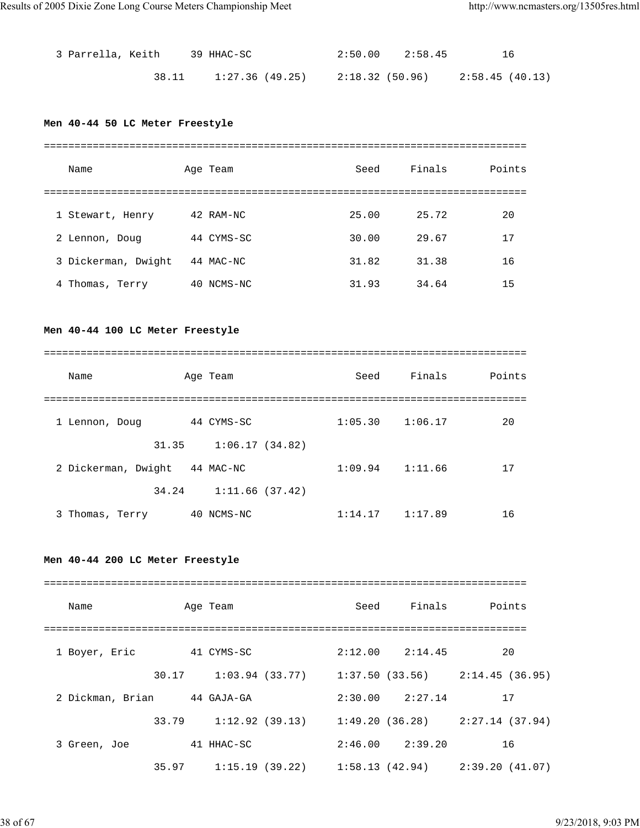| 3 Parrella, Keith |       | 39 HHAC-SC      | $2:50.00$ $2:58.45$ | 16             |
|-------------------|-------|-----------------|---------------------|----------------|
|                   | 38.11 | 1:27.36 (49.25) | 2:18.32 (50.96)     | 2:58.45(40.13) |

## **Men 40-44 50 LC Meter Freestyle**

| Name |                     |    | Age Team   | Seed  | Finals | Points |
|------|---------------------|----|------------|-------|--------|--------|
|      |                     |    |            |       |        |        |
|      | 1 Stewart, Henry    |    | 42 RAM-NC  | 25.00 | 25.72  | 20     |
|      | 2 Lennon, Doug      |    | 44 CYMS-SC | 30.00 | 29.67  | 17     |
|      | 3 Dickerman, Dwight |    | 44 MAC-NC  | 31.82 | 31.38  | 16     |
|      | 4 Thomas, Terry     | 40 | NCMS-NC    | 31.93 | 34.64  | 15     |

## **Men 40-44 100 LC Meter Freestyle**

| Name                | Age Team       | Seed    | Finals  | Points |
|---------------------|----------------|---------|---------|--------|
|                     |                |         |         |        |
| 1 Lennon, Doug      | 44 CYMS-SC     | 1:05.30 | 1:06.17 | 20     |
|                     |                |         |         |        |
| 31.35               | 1:06.17(34.82) |         |         |        |
| 2 Dickerman, Dwight | 44 MAC-NC      | 1:09.94 | 1:11.66 | 17     |
| 34.24               | 1:11.66(37.42) |         |         |        |
| 3 Thomas, Terry     | NCMS-NC<br>40  | 1:14.17 | 1:17.89 | 16     |

## **Men 40-44 200 LC Meter Freestyle**

| Name             |       | Age Team          | Seed | Finals              | Points                                                |
|------------------|-------|-------------------|------|---------------------|-------------------------------------------------------|
| 1 Boyer, Eric    |       | 41 CYMS-SC        |      | $2:12.00$ $2:14.45$ | 20                                                    |
|                  | 30.17 | $1:03.94$ (33.77) |      |                     | $1:37.50(33.56)$ $2:14.45(36.95)$                     |
| 2 Dickman, Brian |       | 44 GAJA-GA        |      | $2:30.00$ $2:27.14$ | 17                                                    |
|                  | 33.79 |                   |      |                     | $1:12.92$ (39.13) $1:49.20$ (36.28) $2:27.14$ (37.94) |
| 3 Green, Joe     |       | 41 HHAC-SC        |      | $2:46.00$ $2:39.20$ | 16                                                    |
|                  | 35.97 | 1:15.19(39.22)    |      |                     | $1:58.13$ (42.94) $2:39.20$ (41.07)                   |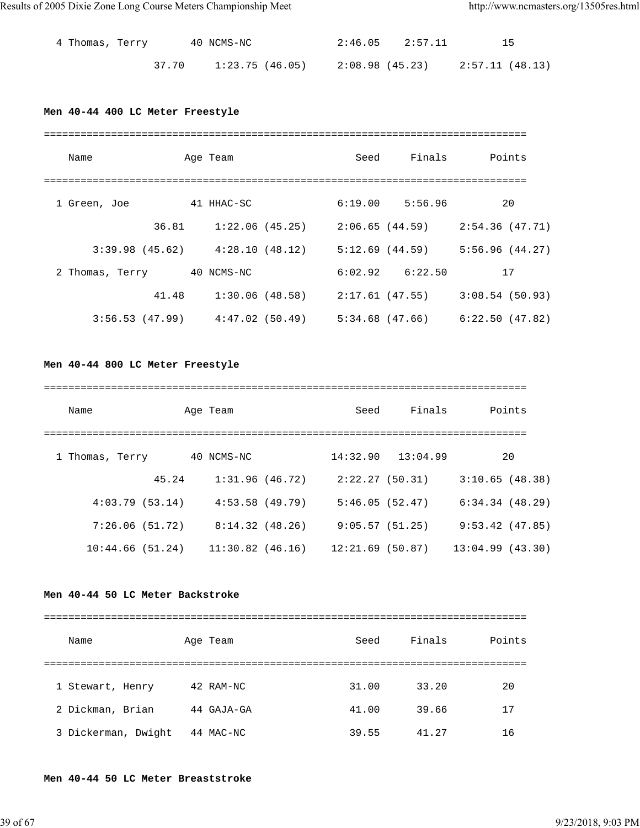| 4 Thomas, Terry |       | 40 NCMS-NC |                 | $2:46.05$ $2:57.11$ |                 |  |
|-----------------|-------|------------|-----------------|---------------------|-----------------|--|
|                 | 37.70 |            | 1:23.75 (46.05) | 2:08.98 (45.23)     | 2:57.11 (48.13) |  |

## **Men 40-44 400 LC Meter Freestyle**

| Name            |                                     | Age Team        | Seed                                | Finals              | Points         |
|-----------------|-------------------------------------|-----------------|-------------------------------------|---------------------|----------------|
|                 |                                     |                 |                                     |                     |                |
| 1 Green, Joe    |                                     | 41 HHAC-SC      |                                     | $6:19.00$ $5:56.96$ | 20             |
|                 | 36.81                               | 1:22.06 (45.25) |                                     | 2:06.65 (44.59)     | 2:54.36(47.71) |
|                 | $3:39.98$ (45.62) $4:28.10$ (48.12) |                 |                                     | 5:12.69(44.59)      | 5:56.96(44.27) |
| 2 Thomas, Terry |                                     | 40 NCMS-NC      |                                     | $6:02.92$ $6:22.50$ | 17             |
|                 | 41.48                               |                 | $1:30.06$ (48.58) $2:17.61$ (47.55) |                     | 3:08.54(50.93) |
|                 | $3:56.53$ (47.99) $4:47.02$ (50.49) |                 |                                     | 5:34.68 (47.66)     | 6:22.50(47.82) |

**Men 40-44 800 LC Meter Freestyle**

| Name            |       | Age Team           | Seed            | Finals   | Points          |
|-----------------|-------|--------------------|-----------------|----------|-----------------|
| 1 Thomas, Terry |       | 40 NCMS-NC         | 14:32.90        | 13:04.99 | 20              |
|                 | 45.24 | 1:31.96(46.72)     | 2:22.27(50.31)  |          | 3:10.65(48.38)  |
| 4:03.79(53.14)  |       | 4:53.58(49.79)     | 5:46.05(52.47)  |          | 6:34.34(48.29)  |
| 7:26.06(51.72)  |       | 8:14.32(48.26)     | 9:05.57(51.25)  |          | 9:53.42(47.85)  |
| 10:44.66(51.24) |       | $11:30.82$ (46.16) | 12:21.69(50.87) |          | 13:04.99(43.30) |

## **Men 40-44 50 LC Meter Backstroke**

| Name                | Age Team     | Seed  | Finals | Points |
|---------------------|--------------|-------|--------|--------|
|                     |              |       |        |        |
| 1 Stewart, Henry    | 42 RAM-NC    | 31.00 | 33.20  | 20     |
| 2 Dickman, Brian    | 44 GAJA-GA   | 41.00 | 39.66  | 17     |
| 3 Dickerman, Dwight | 44<br>MAC-NC | 39.55 | 41.27  | 16     |

**Men 40-44 50 LC Meter Breaststroke**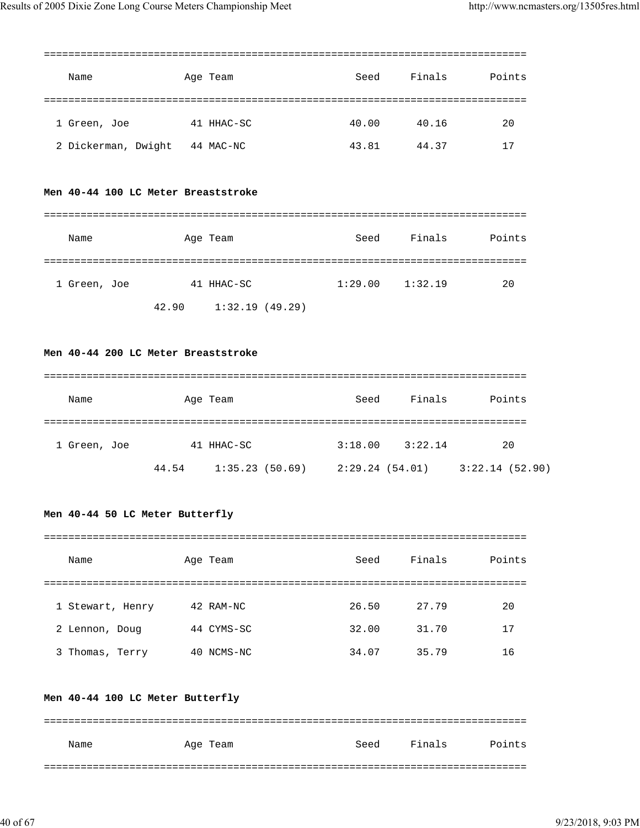| Name                | Age Team   | Seed  | Finals | Points |
|---------------------|------------|-------|--------|--------|
| 1 Green, Joe        | 41 HHAC-SC | 40.00 | 40.16  | 20     |
| 2 Dickerman, Dwight | 44 MAC-NC  | 43.81 | 44.37  | 17     |

## **Men 40-44 100 LC Meter Breaststroke**

| Name         |       | Age Team       | Seed    | Finals  | Points |
|--------------|-------|----------------|---------|---------|--------|
|              |       |                |         |         |        |
| 1 Green, Joe |       | 41 HHAC-SC     | 1:29.00 | 1:32.19 | 20     |
|              | 42.90 | 1:32.19(49.29) |         |         |        |

## **Men 40-44 200 LC Meter Breaststroke**

| Name         |       | Age Team       | Seed           | Finals  | Points         |
|--------------|-------|----------------|----------------|---------|----------------|
| 1 Green, Joe |       | 41 HHAC-SC     | 3:18.00        | 3:22.14 | 20             |
|              | 44.54 | 1:35.23(50.69) | 2:29.24(54.01) |         | 3:22.14(52.90) |

## **Men 40-44 50 LC Meter Butterfly**

| Name             | Age Team   | Seed  | Finals | Points |
|------------------|------------|-------|--------|--------|
|                  |            |       |        |        |
| 1 Stewart, Henry | 42 RAM-NC  | 26.50 | 27.79  | 20     |
| 2 Lennon, Doug   | 44 CYMS-SC | 32.00 | 31.70  | 17     |
| 3 Thomas, Terry  | 40 NCMS-NC | 34.07 | 35.79  | 16     |

## **Men 40-44 100 LC Meter Butterfly**

| Name | Age Team | Seed | Finals | Points |
|------|----------|------|--------|--------|
|      |          |      |        |        |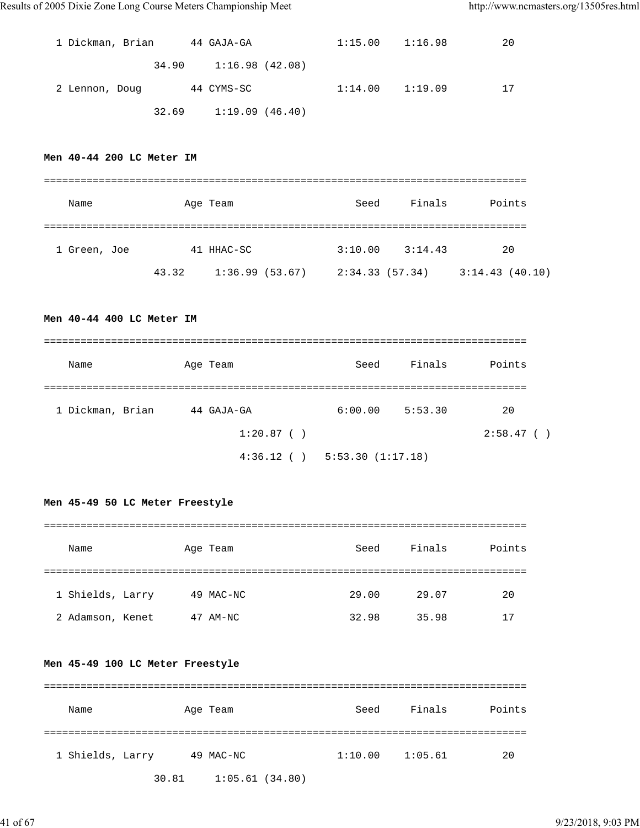| 1 Dickman, Brian | 44 GAJA-GA                | $1:15.00$ $1:16.98$ | 20 |
|------------------|---------------------------|---------------------|----|
|                  | 34.90 1:16.98 (42.08)     |                     |    |
| 2 Lennon, Doug   | 44 CYMS-SC                | $1:14.00$ $1:19.09$ | 17 |
|                  | $32.69$ $1:19.09$ (46.40) |                     |    |

#### **Men 40-44 200 LC Meter IM**

| Name         |       | Age Team       | Seed           | Finals  | Points         |
|--------------|-------|----------------|----------------|---------|----------------|
|              |       |                |                |         |                |
| 1 Green, Joe |       | 41 HHAC-SC     | 3:10.00        | 3:14.43 | 20             |
|              | 43.32 | 1:36.99(53.67) | 2:34.33(57.34) |         | 3:14.43(40.10) |

#### **Men 40-44 400 LC Meter IM**

| Name             | Age Team      | Seed                              | Finals  | Points   |
|------------------|---------------|-----------------------------------|---------|----------|
| 1 Dickman, Brian | 44 GAJA-GA    | 6:00.00                           | 5:53.30 | 20       |
|                  | $1:20.87$ ( ) |                                   |         | 2:58.47( |
|                  |               | $4:36.12$ ( ) $5:53.30$ (1:17.18) |         |          |

**Men 45-49 50 LC Meter Freestyle**

| Name             | Age Team  | Seed  | Finals | Points |
|------------------|-----------|-------|--------|--------|
|                  |           |       |        |        |
| 1 Shields, Larry | 49 MAC-NC | 29.00 | 29.07  | 20     |
| 2 Adamson, Kenet | 47 AM-NC  | 32.98 | 35.98  | 17     |

## **Men 45-49 100 LC Meter Freestyle**

| Name             |       | Age Team  |                | Seed    | Finals  | Points |
|------------------|-------|-----------|----------------|---------|---------|--------|
|                  |       |           |                |         |         |        |
| 1 Shields, Larry |       | 49 MAC-NC |                | 1:10.00 | 1:05.61 | 20     |
|                  | 30.81 |           | 1:05.61(34.80) |         |         |        |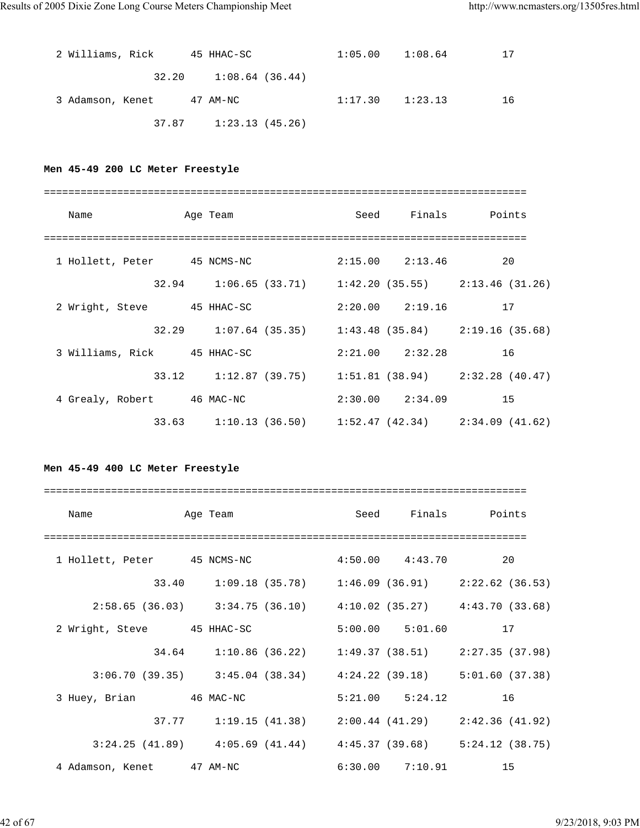| 2 Williams, Rick | 45 HHAC-SC                | 1:05.00 | 1:08.64 | 17 |
|------------------|---------------------------|---------|---------|----|
|                  | $32.20$ $1:08.64$ (36.44) |         |         |    |
| 3 Adamson, Kenet | 47 AM-NC                  | 1:17.30 | 1:23.13 | 16 |
|                  | $37.87$ $1:23.13$ (45.26) |         |         |    |

## **Men 45-49 200 LC Meter Freestyle**

| Name                        |  | Age Team |  |                        | Seed Finals Points                                    |
|-----------------------------|--|----------|--|------------------------|-------------------------------------------------------|
|                             |  |          |  |                        |                                                       |
| 1 Hollett, Peter 45 NCMS-NC |  |          |  | $2:15.00$ $2:13.46$ 20 |                                                       |
|                             |  |          |  |                        | 32.94 1:06.65 (33.71) 1:42.20 (35.55) 2:13.46 (31.26) |
| 2 Wright, Steve 45 HHAC-SC  |  |          |  | $2:20.00$ $2:19.16$ 17 |                                                       |
|                             |  |          |  |                        | 32.29 1:07.64 (35.35) 1:43.48 (35.84) 2:19.16 (35.68) |
| 3 Williams, Rick 45 HHAC-SC |  |          |  | $2:21.00$ $2:32.28$ 16 |                                                       |
|                             |  |          |  |                        | 33.12 1:12.87 (39.75) 1:51.81 (38.94) 2:32.28 (40.47) |
| 4 Grealy, Robert 46 MAC-NC  |  |          |  | $2:30.00$ $2:34.09$ 15 |                                                       |
|                             |  |          |  |                        | 33.63 1:10.13 (36.50) 1:52.47 (42.34) 2:34.09 (41.62) |

## **Men 45-49 400 LC Meter Freestyle**

| Name                        | Age Team                                                                |                     |                        | Seed Finals Points |
|-----------------------------|-------------------------------------------------------------------------|---------------------|------------------------|--------------------|
| 1 Hollett, Peter 45 NCMS-NC |                                                                         | $4:50.00$ $4:43.70$ |                        | 20                 |
|                             | 33.40 1:09.18 (35.78) 1:46.09 (36.91) 2:22.62 (36.53)                   |                     |                        |                    |
|                             | $2:58.65$ (36.03) $3:34.75$ (36.10) $4:10.02$ (35.27) $4:43.70$ (33.68) |                     |                        |                    |
| 2 Wright, Steve 45 HHAC-SC  |                                                                         |                     | $5:00.00$ $5:01.60$ 17 |                    |
|                             | 34.64 1:10.86 (36.22) 1:49.37 (38.51) 2:27.35 (37.98)                   |                     |                        |                    |
|                             | $3:06.70(39.35)$ $3:45.04(38.34)$ $4:24.22(39.18)$ $5:01.60(37.38)$     |                     |                        |                    |
| 3 Huey, Brian 46 MAC-NC     |                                                                         |                     | $5:21.00$ $5:24.12$    | 16                 |
|                             | $37.77$ 1:19.15 (41.38) 2:00.44 (41.29) 2:42.36 (41.92)                 |                     |                        |                    |
|                             | $3:24.25$ (41.89) $4:05.69$ (41.44) $4:45.37$ (39.68) $5:24.12$ (38.75) |                     |                        |                    |
| 4 Adamson, Kenet 47 AM-NC   |                                                                         |                     | $6:30.00$ $7:10.91$    | 15                 |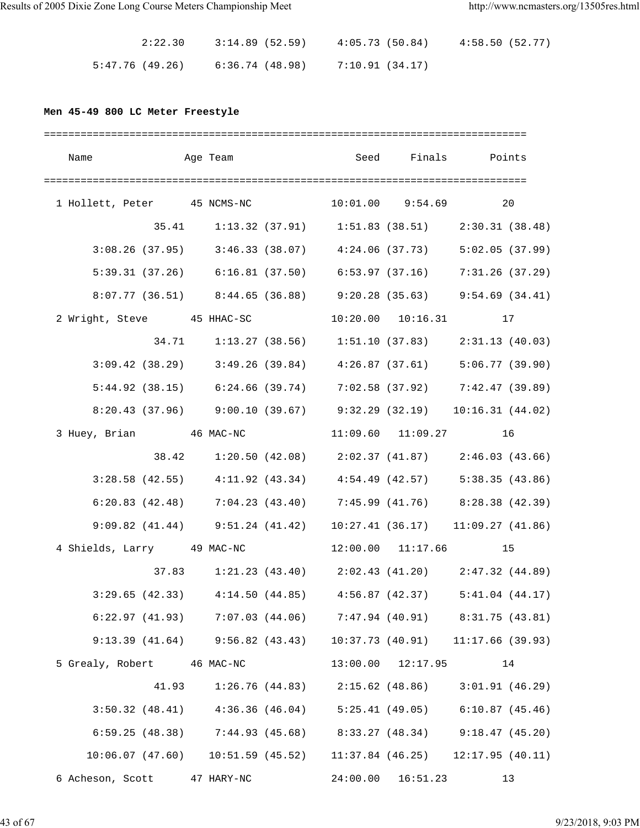| 2:22.30         | 3:14.89 (52.59) | 4:05.73(50.84)  | 4:58.50(52.77) |
|-----------------|-----------------|-----------------|----------------|
| 5:47.76 (49.26) | 6:36.74 (48.98) | 7:10.91 (34.17) |                |

## **Men 45-49 800 LC Meter Freestyle**

|                                                         |  |  |                    | Name    Age Team    Seed Finals    Points                                   |
|---------------------------------------------------------|--|--|--------------------|-----------------------------------------------------------------------------|
|                                                         |  |  |                    |                                                                             |
| 1 Hollett, Peter 45 NCMS-NC 10:01.00 9:54.69 20         |  |  |                    |                                                                             |
|                                                         |  |  |                    | 35.41 1:13.32 (37.91) 1:51.83 (38.51) 2:30.31 (38.48)                       |
|                                                         |  |  |                    | 3:08.26 (37.95) 3:46.33 (38.07) 4:24.06 (37.73) 5:02.05 (37.99)             |
|                                                         |  |  |                    | 5:39.31 (37.26) $6:16.81$ (37.50) $6:53.97$ (37.16) $7:31.26$ (37.29)       |
|                                                         |  |  |                    | 8:07.77 (36.51) 8:44.65 (36.88) 9:20.28 (35.63) 9:54.69 (34.41)             |
|                                                         |  |  |                    | 2 Wright, Steve 45 HHAC-SC 10:20.00 10:16.31 17                             |
|                                                         |  |  |                    | 34.71    1:13.27    (38.56)    1:51.10    (37.83)    2:31.13    (40.03)     |
|                                                         |  |  |                    | $3:09.42$ (38.29) $3:49.26$ (39.84) $4:26.87$ (37.61) $5:06.77$ (39.90)     |
|                                                         |  |  |                    | 5:44.92 (38.15) 6:24.66 (39.74) 7:02.58 (37.92) 7:42.47 (39.89)             |
|                                                         |  |  |                    | $8:20.43$ (37.96) $9:00.10$ (39.67) $9:32.29$ (32.19) $10:16.31$ (44.02)    |
| 3 Huey, Brian 		 46 MAC-NC 		 11:09.60 	 11:09.27 		 16 |  |  |                    |                                                                             |
|                                                         |  |  |                    | 38.42 1:20.50 (42.08) 2:02.37 (41.87) 2:46.03 (43.66)                       |
|                                                         |  |  |                    | $3:28.58$ (42.55) $4:11.92$ (43.34) $4:54.49$ (42.57) $5:38.35$ (43.86)     |
|                                                         |  |  |                    | $6:20.83$ (42.48) $7:04.23$ (43.40) $7:45.99$ (41.76) $8:28.38$ (42.39)     |
|                                                         |  |  |                    | 9:09.82 (41.44) 9:51.24 (41.42) 10:27.41 (36.17) 11:09.27 (41.86)           |
|                                                         |  |  |                    | 4 Shields, Larry 49 MAC-NC 12:00.00 11:17.66 15                             |
|                                                         |  |  |                    | 37.83 1:21.23 (43.40) 2:02.43 (41.20) 2:47.32 (44.89)                       |
|                                                         |  |  |                    | 3:29.65 (42.33) $4:14.50$ (44.85) $4:56.87$ (42.37) $5:41.04$ (44.17)       |
|                                                         |  |  |                    | $6:22.97$ (41.93) $7:07.03$ (44.06) $7:47.94$ (40.91) $8:31.75$ (43.81)     |
|                                                         |  |  |                    | 9:13.39 (41.64) 9:56.82 (43.43) 10:37.73 (40.91) 11:17.66 (39.93)           |
| 5 Grealy, Robert 46 MAC-NC                              |  |  | 13:00.00  12:17.95 | 14                                                                          |
|                                                         |  |  |                    | 41.93 1:26.76 (44.83) 2:15.62 (48.86) 3:01.91 (46.29)                       |
|                                                         |  |  |                    | $3:50.32$ (48.41) $4:36.36$ (46.04) $5:25.41$ (49.05) $6:10.87$ (45.46)     |
|                                                         |  |  |                    | 6:59.25 (48.38) 7:44.93 (45.68) 8:33.27 (48.34) 9:18.47 (45.20)             |
|                                                         |  |  |                    | $10:06.07$ (47.60) $10:51.59$ (45.52) $11:37.84$ (46.25) $12:17.95$ (40.11) |
| 6 Acheson, Scott 47 HARY-NC                             |  |  | 24:00.00 16:51.23  | 13                                                                          |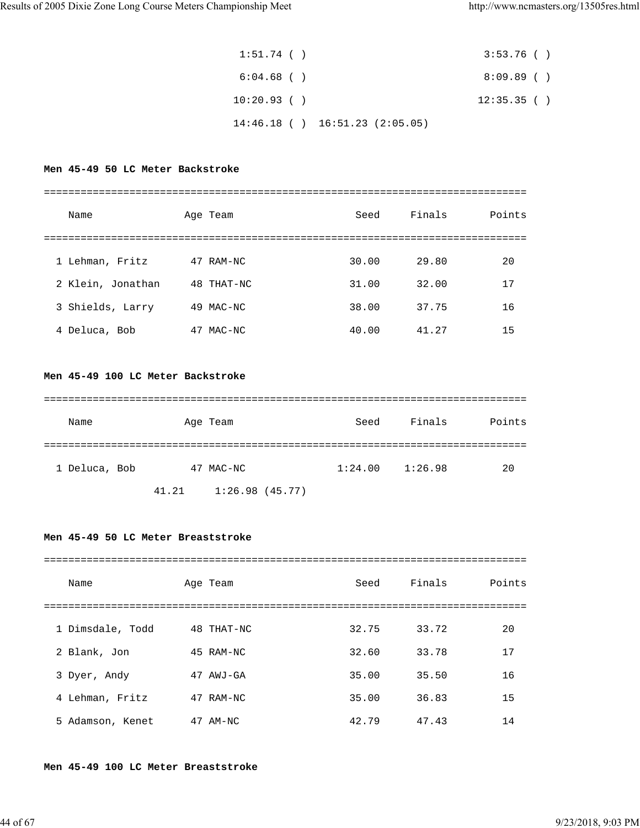| $1:51.74$ ( ) |                                     | 3:53.76()  |  |
|---------------|-------------------------------------|------------|--|
| $6:04.68$ ( ) |                                     | 8:09.89()  |  |
| $10:20.93$ () |                                     | 12:35.35() |  |
|               | $14:46.18$ ( ) $16:51.23$ (2:05.05) |            |  |

## **Men 45-49 50 LC Meter Backstroke**

| Name              | Age Team     | Seed  | Finals | Points |
|-------------------|--------------|-------|--------|--------|
|                   |              |       |        |        |
| 1 Lehman, Fritz   | 47 RAM-NC    | 30.00 | 29.80  | 20     |
| 2 Klein, Jonathan | 48 THAT-NC   | 31.00 | 32.00  | 17     |
| 3 Shields, Larry  | 49 MAC-NC    | 38.00 | 37.75  | 16     |
| 4 Deluca, Bob     | 47<br>MAC-NC | 40.00 | 41.27  | 15     |

## **Men 45-49 100 LC Meter Backstroke**

| Name          | Age Team  | Seed    | Finals  | Points |
|---------------|-----------|---------|---------|--------|
|               |           |         |         |        |
| 1 Deluca, Bob | 47 MAC-NC | 1:24.00 | 1:26.98 | 20     |

41.21 1:26.98 (45.77)

## **Men 45-49 50 LC Meter Breaststroke**

| Name             | Age Team   | Seed  | Finals | Points |
|------------------|------------|-------|--------|--------|
|                  |            |       |        |        |
| 1 Dimsdale, Todd | 48 THAT-NC | 32.75 | 33.72  | 20     |
| 2 Blank, Jon     | 45 RAM-NC  | 32.60 | 33.78  | 17     |
| 3 Dyer, Andy     | 47 AWJ-GA  | 35.00 | 35.50  | 16     |
| 4 Lehman, Fritz  | 47 RAM-NC  | 35.00 | 36.83  | 15     |
| 5 Adamson, Kenet | $47$ AM-NC | 42.79 | 47.43  | 14     |

#### **Men 45-49 100 LC Meter Breaststroke**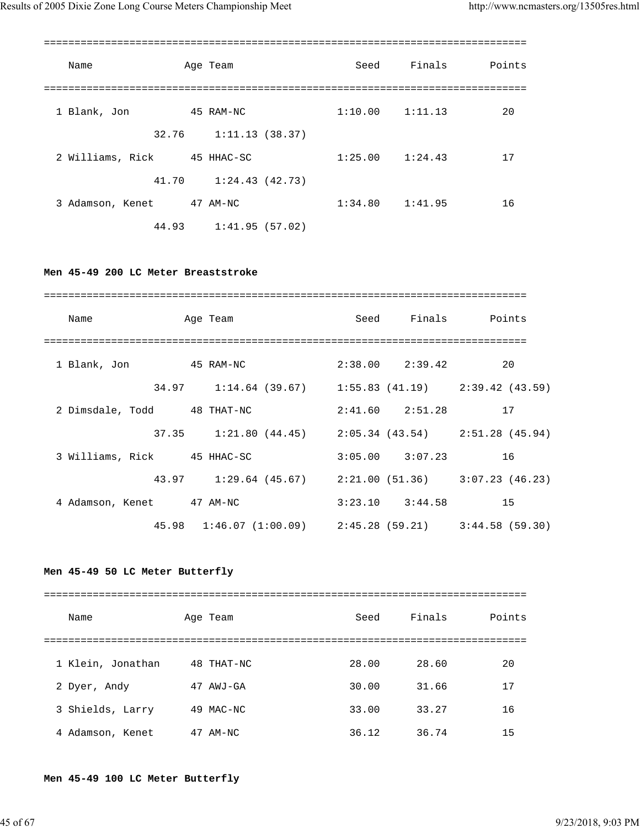| Name             | Age Team       | Seed                | Finals  | Points |
|------------------|----------------|---------------------|---------|--------|
| 1 Blank, Jon     | 45 RAM-NC      | $1:10.00$ $1:11.13$ |         | 20     |
| 32.76            | 1:11.13(38.37) |                     |         |        |
| 2 Williams, Rick | 45 HHAC-SC     | 1:25.00             | 1:24.43 | 17     |
| 41.70            | 1:24.43(42.73) |                     |         |        |
| 3 Adamson, Kenet | 47 AM-NC       | 1:34.80             | 1:41.95 | 16     |
| 44.93            | 1:41.95(57.02) |                     |         |        |

#### **Men 45-49 200 LC Meter Breaststroke**

| Name                        | Age Team                                                            |                     | Seed Finals Points |
|-----------------------------|---------------------------------------------------------------------|---------------------|--------------------|
|                             |                                                                     | $2:38.00$ $2:39.42$ | 20                 |
|                             | 34.97 1:14.64 (39.67) 1:55.83 (41.19) 2:39.42 (43.59)               |                     |                    |
| 2 Dimsdale, Todd 48 THAT-NC |                                                                     | $2:41.60$ $2:51.28$ | 17                 |
|                             | $37.35$ 1:21.80 (44.45) 2:05.34 (43.54) 2:51.28 (45.94)             |                     |                    |
| 3 Williams, Rick 45 HHAC-SC |                                                                     | $3:05.00$ $3:07.23$ | 16                 |
|                             | 43.97 1:29.64 (45.67) 2:21.00 (51.36) 3:07.23 (46.23)               |                     |                    |
| 4 Adamson, Kenet 47 AM-NC   |                                                                     | $3:23.10$ $3:44.58$ | 15                 |
|                             | 45.98   1:46.07   (1:00.09)   2:45.28   (59.21)   3:44.58   (59.30) |                     |                    |

## **Men 45-49 50 LC Meter Butterfly**

| Name              | Age Team     | Seed  | Finals | Points |
|-------------------|--------------|-------|--------|--------|
|                   |              |       |        |        |
| 1 Klein, Jonathan | 48 THAT-NC   | 28.00 | 28.60  | 20     |
| 2 Dyer, Andy      | AWJ-GA<br>47 | 30.00 | 31.66  | 17     |
| 3 Shields, Larry  | MAC-NC<br>49 | 33.00 | 33.27  | 16     |
| 4 Adamson, Kenet  | $47$ AM-NC   | 36.12 | 36.74  | 15     |

## **Men 45-49 100 LC Meter Butterfly**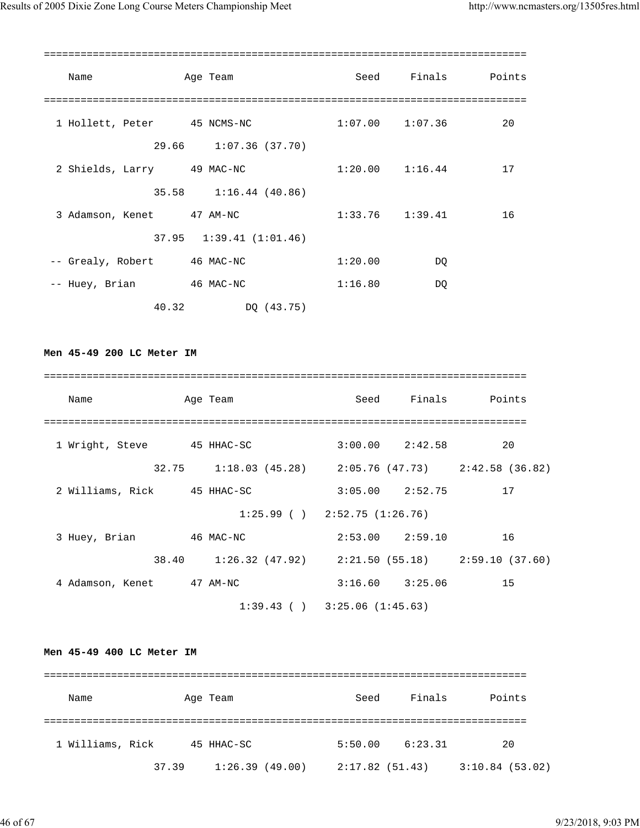| Name                        | Age Team                      |                     | Seed Finals | Points |
|-----------------------------|-------------------------------|---------------------|-------------|--------|
|                             |                               |                     |             |        |
| 1 Hollett, Peter 45 NCMS-NC |                               | $1:07.00$ $1:07.36$ |             | 20     |
|                             | 29.66 1:07.36 (37.70)         |                     |             |        |
| 2 Shields, Larry 49 MAC-NC  |                               | $1:20.00$ $1:16.44$ |             | 17     |
|                             | 35.58 1:16.44 (40.86)         |                     |             |        |
| 3 Adamson, Kenet 47 AM-NC   |                               | $1:33.76$ $1:39.41$ |             | 16     |
|                             | $37.95$ $1:39.41$ $(1:01.46)$ |                     |             |        |
| -- Grealy, Robert           | 46 MAC-NC                     | 1:20.00             | DQ          |        |
| -- Huey, Brian 46 MAC-NC    |                               | 1:16.80             | DQ          |        |
| 40.32                       | DQ (43.75)                    |                     |             |        |

**Men 45-49 200 LC Meter IM**

| Name                        | Age Team                                              |  |                     | Seed Finals Points |
|-----------------------------|-------------------------------------------------------|--|---------------------|--------------------|
|                             |                                                       |  |                     |                    |
| 1 Wright, Steve 45 HHAC-SC  |                                                       |  | $3:00.00$ $2:42.58$ | 20                 |
|                             | 32.75 1:18.03 (45.28) 2:05.76 (47.73) 2:42.58 (36.82) |  |                     |                    |
| 2 Williams, Rick 45 HHAC-SC |                                                       |  | $3:05.00$ $2:52.75$ | 17                 |
|                             | $1:25.99$ ( ) $2:52.75$ (1:26.76)                     |  |                     |                    |
| 3 Huey, Brian               | 46 MAC-NC                                             |  | $2:53.00$ $2:59.10$ | 16                 |
|                             | 38.40 1:26.32 (47.92) 2:21.50 (55.18) 2:59.10 (37.60) |  |                     |                    |
| 4 Adamson, Kenet 47 AM-NC   |                                                       |  | $3:16.60$ $3:25.06$ | 15                 |
|                             | $1:39.43$ ( ) $3:25.06$ (1:45.63)                     |  |                     |                    |

## **Men 45-49 400 LC Meter IM**

| Name             |       | Age Team       | Seed           | Finals  | Points         |
|------------------|-------|----------------|----------------|---------|----------------|
|                  |       |                |                |         |                |
| 1 Williams, Rick |       | 45 HHAC-SC     | 5:50.00        | 6:23.31 | 20             |
|                  | 37.39 | 1:26.39(49.00) | 2:17.82(51.43) |         | 3:10.84(53.02) |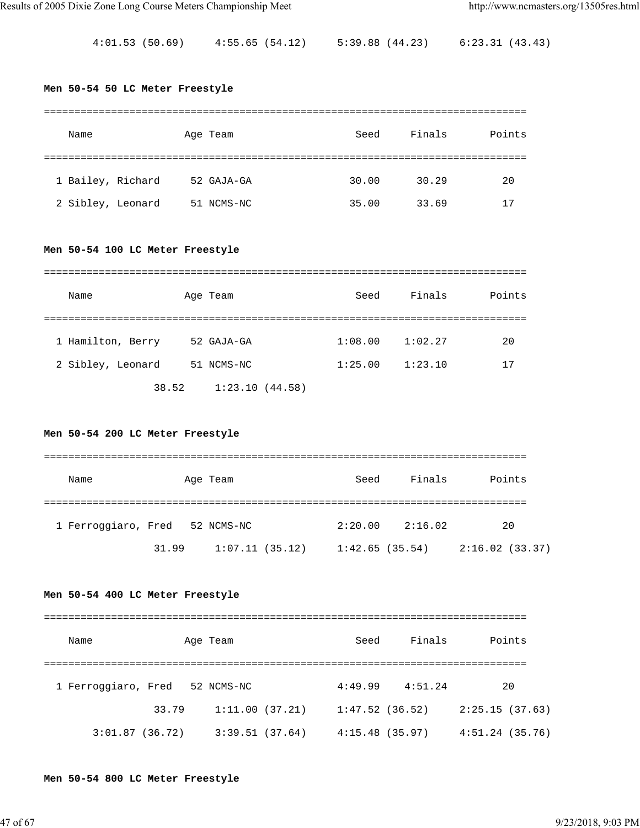4:01.53 (50.69) 4:55.65 (54.12) 5:39.88 (44.23) 6:23.31 (43.43)

#### **Men 50-54 50 LC Meter Freestyle**

| Name              | Age Team   | Seed  | Finals | Points |
|-------------------|------------|-------|--------|--------|
|                   |            |       |        |        |
| 1 Bailey, Richard | 52 GAJA-GA | 30.00 | 30.29  | 20     |
| 2 Sibley, Leonard | 51 NCMS-NC | 35.00 | 33.69  | 17     |

## **Men 50-54 100 LC Meter Freestyle**

| Name              | Age Team       | Seed    | Finals  | Points |
|-------------------|----------------|---------|---------|--------|
|                   |                |         |         |        |
| 1 Hamilton, Berry | 52 GAJA-GA     | 1:08.00 | 1:02.27 | 20     |
| 2 Sibley, Leonard | 51 NCMS-NC     | 1:25.00 | 1:23.10 | 17     |
| 38.52             | 1:23.10(44.58) |         |         |        |

#### **Men 50-54 200 LC Meter Freestyle**

| Name                           |       | Age Team       | Seed           | Finals  | Points         |
|--------------------------------|-------|----------------|----------------|---------|----------------|
| 1 Ferroggiaro, Fred 52 NCMS-NC |       |                | 2:20.00        | 2:16.02 | 20             |
|                                | 31.99 | 1:07.11(35.12) | 1:42.65(35.54) |         | 2:16.02(33.37) |

## **Men 50-54 400 LC Meter Freestyle**

| Name                |                | Age Team       | Seed           | Finals              | Points         |
|---------------------|----------------|----------------|----------------|---------------------|----------------|
|                     |                |                |                |                     |                |
| 1 Ferroggiaro, Fred |                | 52 NCMS-NC     |                | $4:49.99$ $4:51.24$ | 20             |
|                     | 33.79          | 1:11.00(37.21) | 1:47.52(36.52) |                     | 2:25.15(37.63) |
|                     | 3:01.87(36.72) | 3:39.51(37.64) | 4:15.48(35.97) |                     | 4:51.24(35.76) |

#### **Men 50-54 800 LC Meter Freestyle**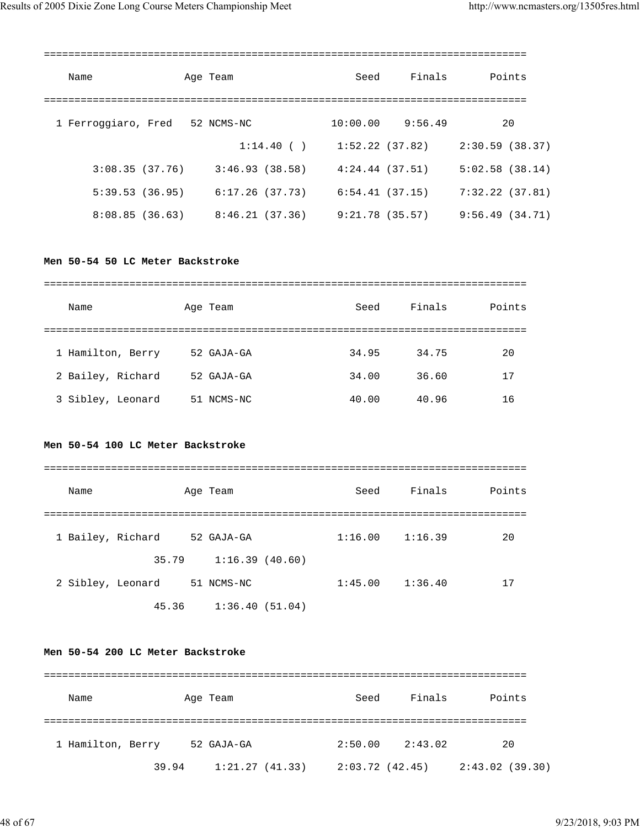| Name                | Age Team        | Seed            | Finals             | Points         |
|---------------------|-----------------|-----------------|--------------------|----------------|
| 1 Ferroggiaro, Fred | 52 NCMS-NC      |                 | $10:00.00$ 9:56.49 | 20             |
|                     | 1:14.40()       | 1:52.22(37.82)  |                    | 2:30.59(38.37) |
| 3:08.35(37.76)      | 3:46.93(38.58)  | 4:24.44(37.51)  |                    | 5:02.58(38.14) |
| 5:39.53(36.95)      | 6:17.26 (37.73) | 6:54.41(37.15)  |                    | 7:32.22(37.81) |
| 8:08.85(36.63)      | 8:46.21 (37.36) | 9:21.78 (35.57) |                    | 9:56.49(34.71) |
|                     |                 |                 |                    |                |

#### **Men 50-54 50 LC Meter Backstroke**

| Name              | Age Team   | Seed  | Finals | Points |
|-------------------|------------|-------|--------|--------|
|                   |            |       |        |        |
| 1 Hamilton, Berry | 52 GAJA-GA | 34.95 | 34.75  | 20     |
| 2 Bailey, Richard | 52 GAJA-GA | 34.00 | 36.60  | 17     |
| 3 Sibley, Leonard | 51 NCMS-NC | 40.00 | 40.96  | 16     |

## **Men 50-54 100 LC Meter Backstroke**

| Name              | Age Team       | Seed    | Finals  | Points |
|-------------------|----------------|---------|---------|--------|
|                   |                |         |         |        |
| 1 Bailey, Richard | 52 GAJA-GA     | 1:16.00 | 1:16.39 | 20     |
| 35.79             | 1:16.39(40.60) |         |         |        |
| 2 Sibley, Leonard | 51 NCMS-NC     | 1:45.00 | 1:36.40 | 17     |
| 45.36             | 1:36.40(51.04) |         |         |        |

## **Men 50-54 200 LC Meter Backstroke**

| Name              |       | Age Team       | Seed           | Finals  | Points         |
|-------------------|-------|----------------|----------------|---------|----------------|
| 1 Hamilton, Berry |       | 52 GAJA-GA     | 2:50.00        | 2:43.02 | 20             |
|                   | 39.94 | 1:21.27(41.33) | 2:03.72(42.45) |         | 2:43.02(39.30) |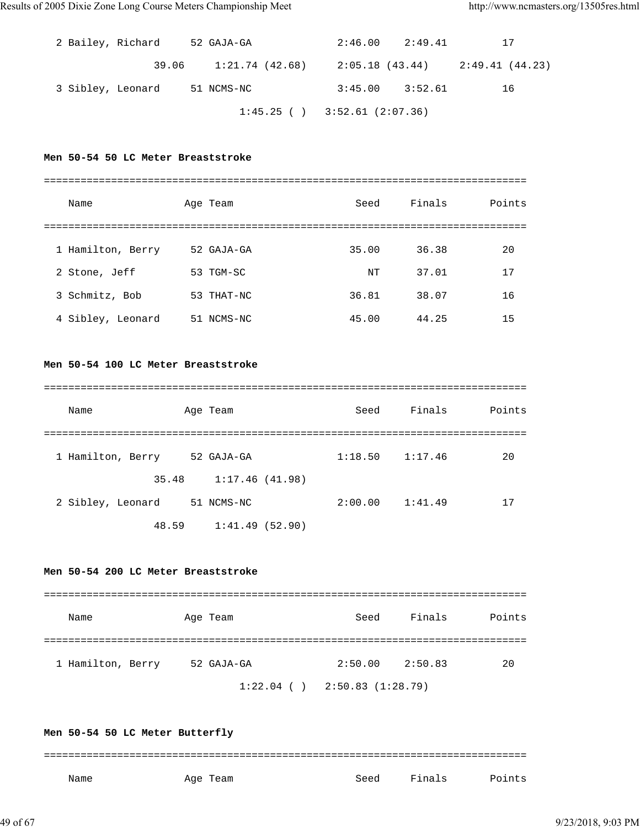|  |                   | 2 Bailey, Richard 52 GAJA-GA                            | $2:46.00$ $2:49.41$ | 17 |
|--|-------------------|---------------------------------------------------------|---------------------|----|
|  |                   | $39.06$ 1:21.74 (42.68) 2:05.18 (43.44) 2:49.41 (44.23) |                     |    |
|  | 3 Sibley, Leonard | 51 NCMS-NC                                              | $3:45.00$ $3:52.61$ | 16 |
|  |                   | $1:45.25$ ( ) $3:52.61$ (2:07.36)                       |                     |    |

#### **Men 50-54 50 LC Meter Breaststroke**

| Name              | Age Team   | Seed  | Finals | Points |
|-------------------|------------|-------|--------|--------|
|                   |            |       |        |        |
| 1 Hamilton, Berry | 52 GAJA-GA | 35.00 | 36.38  | 20     |
| 2 Stone, Jeff     | 53 TGM-SC  | NT    | 37.01  | 17     |
| 3 Schmitz, Bob    | 53 THAT-NC | 36.81 | 38.07  | 16     |
| 4 Sibley, Leonard | 51 NCMS-NC | 45.00 | 44.25  | 15     |

#### **Men 50-54 100 LC Meter Breaststroke**

| Name              | Age Team       | Seed    | Finals  | Points |
|-------------------|----------------|---------|---------|--------|
|                   |                |         |         |        |
| 1 Hamilton, Berry | 52 GAJA-GA     | 1:18.50 | 1:17.46 | 20     |
| 35.48             | 1:17.46(41.98) |         |         |        |
| 2 Sibley, Leonard | 51 NCMS-NC     | 2:00.00 | 1:41.49 | 17     |
| 48.59             | 1:41.49(52.90) |         |         |        |

#### **Men 50-54 200 LC Meter Breaststroke**

| Name              | Age Team      | Seed             | Finals  | Points |
|-------------------|---------------|------------------|---------|--------|
|                   |               |                  |         |        |
| 1 Hamilton, Berry | 52 GAJA-GA    | 2:50.00          | 2:50.83 | 20     |
|                   | $1:22.04$ ( ) | 2:50.83(1:28.79) |         |        |

**Men 50-54 50 LC Meter Butterfly** =============================================================================== Name Mage Team Seed Finals Points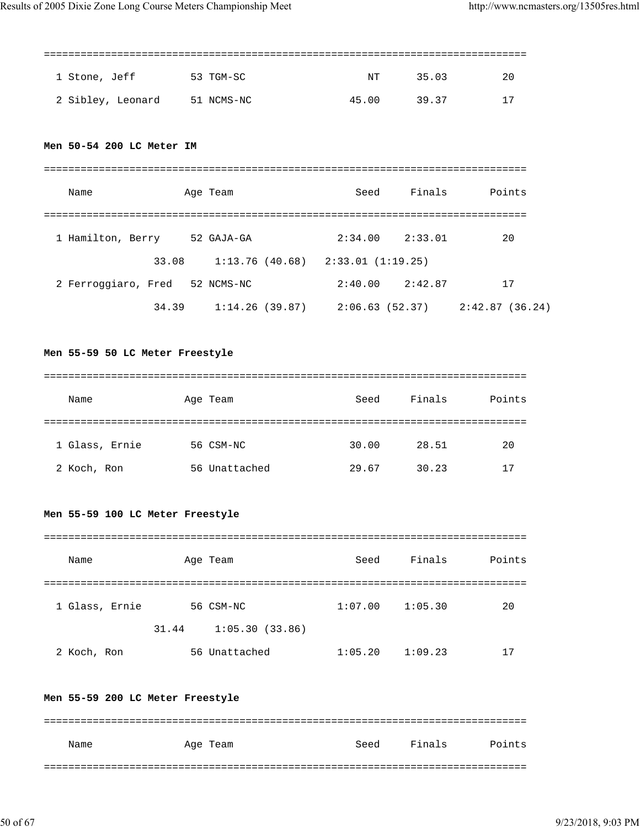===============================================================================

| 1 Stone, Jeff                | 53 TGM-SC | NT    | 35.03 | -20 |
|------------------------------|-----------|-------|-------|-----|
| 2 Sibley, Leonard 51 NCMS-NC |           | 45.00 | 39.37 | 17  |

## **Men 50-54 200 LC Meter IM**

| Name                | Age Team       | Seed                                | Finals  | Points         |
|---------------------|----------------|-------------------------------------|---------|----------------|
|                     |                |                                     |         |                |
| 1 Hamilton, Berry   | 52 GAJA-GA     | 2:34.00                             | 2:33.01 | 20             |
| 33.08               |                | $1:13.76(40.68)$ $2:33.01(1:19.25)$ |         |                |
| 2 Ferroggiaro, Fred | 52 NCMS-NC     | 2:40.00                             | 2:42.87 | 17             |
| 34.39               | 1:14.26(39.87) | 2:06.63(52.37)                      |         | 2:42.87(36.24) |

#### **Men 55-59 50 LC Meter Freestyle**

| Name           | Age Team      | Seed  | Finals | Points |
|----------------|---------------|-------|--------|--------|
|                |               |       |        |        |
| 1 Glass, Ernie | 56 CSM-NC     | 30.00 | 28.51  | 20     |
| 2 Koch, Ron    | 56 Unattached | 29.67 | 30.23  | 17     |

## **Men 55-59 100 LC Meter Freestyle**

| Name           | Age Team                | Seed    | Finals  | Points |
|----------------|-------------------------|---------|---------|--------|
|                |                         |         |         |        |
| 1 Glass, Ernie | 56 CSM-NC               | 1:07.00 | 1:05.30 | 20     |
|                | 1:05.30(33.86)<br>31.44 |         |         |        |
| 2 Koch, Ron    | 56 Unattached           | 1:05.20 | 1:09.23 |        |

#### **Men 55-59 200 LC Meter Freestyle**

| Name | Age Team | Seed | Finals | Points |
|------|----------|------|--------|--------|
|      |          |      |        |        |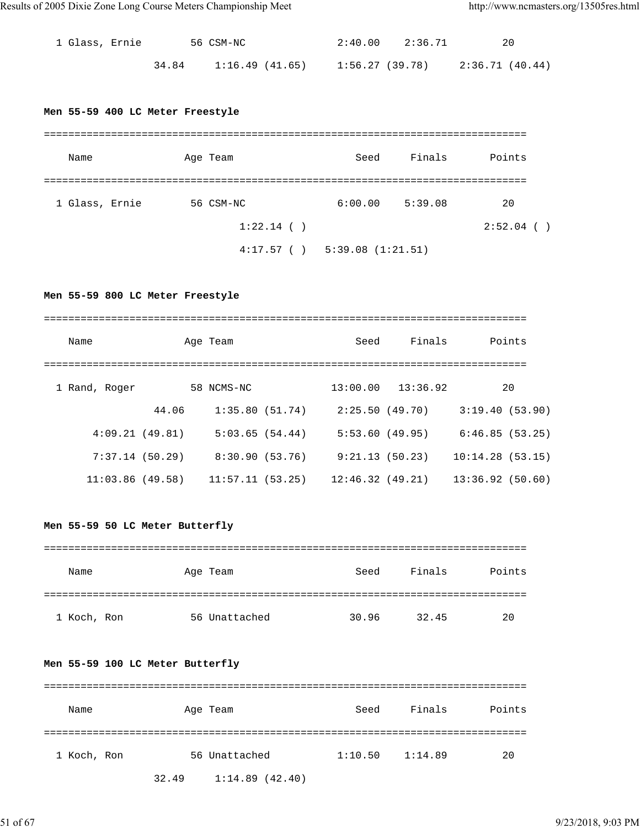| 1 Glass, Ernie |       | 56 CSM-NC       |                 | $2:40.00$ $2:36.71$ | 20              |
|----------------|-------|-----------------|-----------------|---------------------|-----------------|
|                | 34.84 | 1:16.49 (41.65) | 1:56.27 (39.78) |                     | 2:36.71 (40.44) |

#### **Men 55-59 400 LC Meter Freestyle**

| Name           | Age Team     | Seed             | Finals  | Points       |
|----------------|--------------|------------------|---------|--------------|
|                |              |                  |         |              |
| 1 Glass, Ernie | 56 CSM-NC    | 6:00.00          | 5:39.08 | 20           |
|                | $1:22.14$ () |                  |         | $2:52.04$ () |
|                | 4:17.57()    | 5:39.08(1:21.51) |         |              |

**Men 55-59 800 LC Meter Freestyle**

| Name            |       | Age Team        | Seed            | Finals                | Points          |
|-----------------|-------|-----------------|-----------------|-----------------------|-----------------|
| 1 Rand, Roger   |       | 58 NCMS-NC      |                 | $13:00.00$ $13:36.92$ | 20              |
|                 | 44.06 | 1:35.80(51.74)  |                 | 2:25.50(49.70)        | 3:19.40(53.90)  |
| 4:09.21(49.81)  |       | 5:03.65(54.44)  | 5:53.60(49.95)  |                       | 6:46.85(53.25)  |
| 7:37.14(50.29)  |       | 8:30.90(53.76)  |                 | 9:21.13(50.23)        | 10:14.28(53.15) |
| 11:03.86(49.58) |       | 11:57.11(53.25) | 12:46.32(49.21) |                       | 13:36.92(50.60) |

## **Men 55-59 50 LC Meter Butterfly**

| Name        | Age Team      | Seed  | Finals | Points |
|-------------|---------------|-------|--------|--------|
|             |               |       |        |        |
| 1 Koch, Ron | 56 Unattached | 30.96 | 32.45  | 20     |

#### **Men 55-59 100 LC Meter Butterfly**

| Name        | Age Team                | Seed    | Finals  | Points |
|-------------|-------------------------|---------|---------|--------|
|             |                         |         |         |        |
| 1 Koch, Ron | 56 Unattached           | 1:10.50 | 1:14.89 | 20     |
|             | 1:14.89(42.40)<br>32.49 |         |         |        |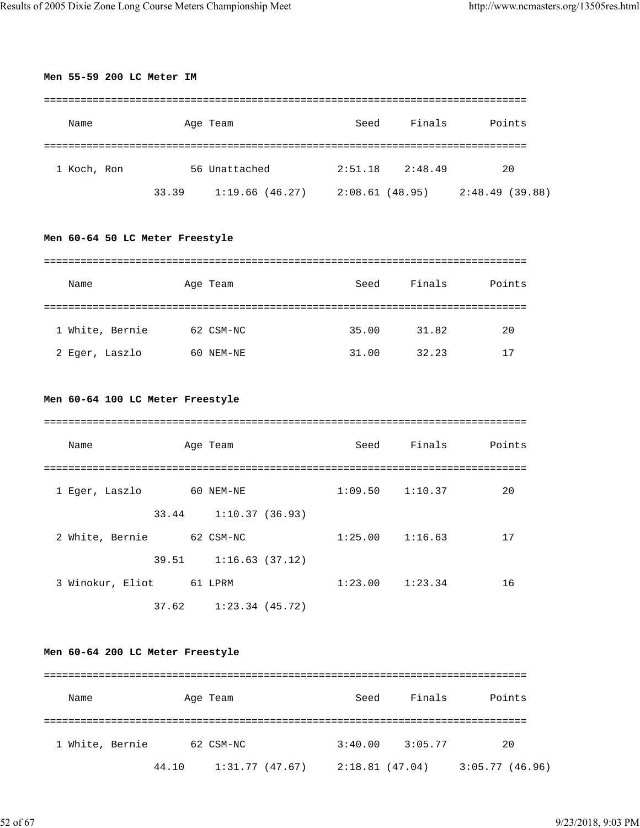**Men 55-59 200 LC Meter IM**

| Name                            |       | Age Team                                              | Seed | Finals              | Points |
|---------------------------------|-------|-------------------------------------------------------|------|---------------------|--------|
|                                 |       |                                                       |      |                     |        |
| 1 Koch, Ron                     |       | 56 Unattached                                         |      | $2:51.18$ $2:48.49$ | 20     |
|                                 | 33.39 | $1:19.66$ (46.27) $2:08.61$ (48.95) $2:48.49$ (39.88) |      |                     |        |
| Men 60-64 50 LC Meter Freestyle |       |                                                       |      |                     |        |
| Name                            |       | Age Team                                              | Seed | Finals              | Points |
|                                 |       |                                                       |      |                     |        |

| 1 White, Bernie | 62 CSM-NC | 35.00 | 31.82 | 20 |
|-----------------|-----------|-------|-------|----|
| 2 Eqer, Laszlo  | 60 NEM-NE | 31.00 | 32.23 | 17 |

## **Men 60-64 100 LC Meter Freestyle**

| Name             |         | Age Team                  | Seed                | Finals | Points |
|------------------|---------|---------------------------|---------------------|--------|--------|
|                  |         |                           |                     |        |        |
| 1 Eger, Laszlo   |         | 60 NEM-NE                 | $1:09.50$ $1:10.37$ |        | 20     |
|                  |         | 33.44 1:10.37 (36.93)     |                     |        |        |
| 2 White, Bernie  |         | 62 CSM-NC                 | $1:25.00$ $1:16.63$ |        | 17     |
|                  |         | $39.51$ $1:16.63$ (37.12) |                     |        |        |
| 3 Winokur, Eliot | 61 LPRM |                           | $1:23.00$ $1:23.34$ |        | 16     |
|                  | 37.62   | $1:23.34$ (45.72)         |                     |        |        |

## **Men 60-64 200 LC Meter Freestyle**

| Name            |       | Age Team       | Seed           | Finals  | Points         |
|-----------------|-------|----------------|----------------|---------|----------------|
| 1 White, Bernie |       | 62 CSM-NC      | 3:40.00        | 3:05.77 | 20             |
|                 | 44.10 | 1:31.77(47.67) | 2:18.81(47.04) |         | 3:05.77(46.96) |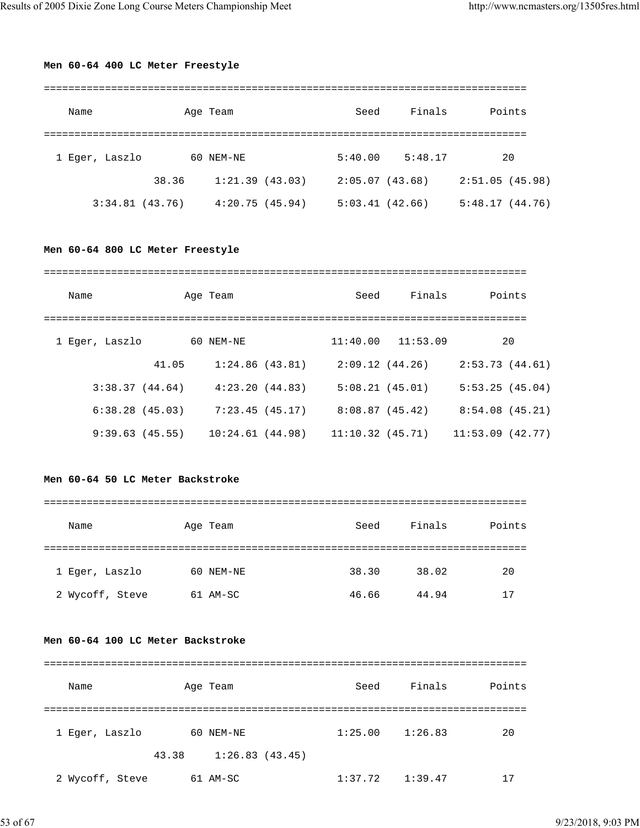#### **Men 60-64 400 LC Meter Freestyle**

| Name           |       | Age Team       | Seed           | Finals  | Points         |
|----------------|-------|----------------|----------------|---------|----------------|
|                |       |                |                |         |                |
| 1 Eger, Laszlo |       | 60 NEM-NE      | 5:40.00        | 5:48.17 | 20             |
|                | 38.36 | 1:21.39(43.03) | 2:05.07(43.68) |         | 2:51.05(45.98) |
| 3:34.81(43.76) |       | 4:20.75(45.94) | 5:03.41(42.66) |         | 5:48.17(44.76) |

#### **Men 60-64 800 LC Meter Freestyle**

| Name |                |       | Age Team        |                | Seed            | Finals         | Points          |
|------|----------------|-------|-----------------|----------------|-----------------|----------------|-----------------|
|      |                |       |                 |                |                 |                |                 |
|      | 1 Eger, Laszlo |       | 60 NEM-NE       |                | 11:40.00        | 11:53.09       | 20              |
|      |                | 41.05 |                 | 1:24.86(43.81) |                 | 2:09.12(44.26) | 2:53.73(44.61)  |
|      | 3:38.37(44.64) |       |                 | 4:23.20(44.83) |                 | 5:08.21(45.01) | 5:53.25(45.04)  |
|      | 6:38.28(45.03) |       |                 | 7:23.45(45.17) | 8:08.87(45.42)  |                | 8:54.08(45.21)  |
|      | 9:39.63(45.55) |       | 10:24.61(44.98) |                | 11:10.32(45.71) |                | 11:53.09(42.77) |

#### **Men 60-64 50 LC Meter Backstroke**

#### ===============================================================================

| Name            | Age Team  | Seed  | Finals | Points |
|-----------------|-----------|-------|--------|--------|
|                 |           |       |        |        |
| 1 Eger, Laszlo  | 60 NEM-NE | 38.30 | 38.02  | 20     |
| 2 Wycoff, Steve | 61 AM-SC  | 46.66 | 44.94  | 17     |

#### **Men 60-64 100 LC Meter Backstroke**

| Name            |       | Age Team       | Seed    | Finals  | Points |
|-----------------|-------|----------------|---------|---------|--------|
|                 |       |                |         |         |        |
| 1 Eger, Laszlo  |       | 60 NEM-NE      | 1:25.00 | 1:26.83 | 20     |
|                 | 43.38 | 1:26.83(43.45) |         |         |        |
| 2 Wycoff, Steve |       | 61 AM-SC       | 1:37.72 | 1:39.47 | 17     |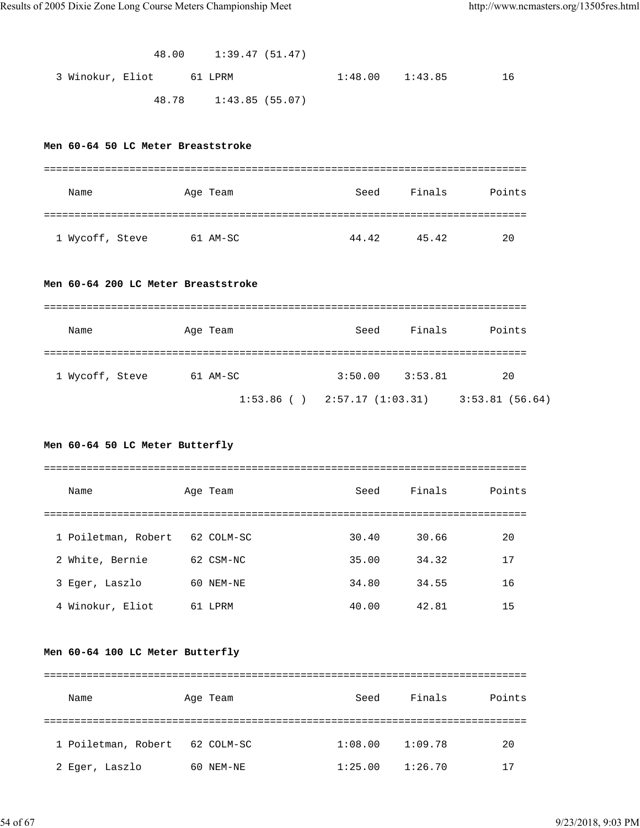|                                     | 48.00    1:39.47 (51.47) |      |                     |                                                         |  |
|-------------------------------------|--------------------------|------|---------------------|---------------------------------------------------------|--|
| 3 Winokur, Eliot 61 LPRM            |                          |      | $1:48.00$ $1:43.85$ | 16                                                      |  |
|                                     | 48.78 1:43.85 (55.07)    |      |                     |                                                         |  |
|                                     |                          |      |                     |                                                         |  |
| Men 60-64 50 LC Meter Breaststroke  |                          |      |                     |                                                         |  |
|                                     |                          |      |                     |                                                         |  |
| Name                                | Age Team                 | Seed |                     | Finals Points                                           |  |
|                                     |                          |      |                     |                                                         |  |
| 1 Wycoff, Steve 61 AM-SC            |                          |      | 44.42 45.42         | 20                                                      |  |
|                                     |                          |      |                     |                                                         |  |
| Men 60-64 200 LC Meter Breaststroke |                          |      |                     |                                                         |  |
|                                     |                          |      |                     |                                                         |  |
| Name                                | Age Team                 | Seed | Finals              | Points                                                  |  |
|                                     |                          |      |                     |                                                         |  |
| 1 Wycoff, Steve 61 AM-SC            |                          |      | $3:50.00$ $3:53.81$ | 20                                                      |  |
|                                     |                          |      |                     | $1:53.86$ ( ) $2:57.17$ $(1:03.31)$ $3:53.81$ $(56.64)$ |  |
|                                     |                          |      |                     |                                                         |  |
| Men 60-64 50 LC Meter Butterfly     |                          |      |                     |                                                         |  |
|                                     |                          |      |                     |                                                         |  |
| Name                                | Age Team                 | Seed | Finals              | Points                                                  |  |
|                                     |                          |      |                     |                                                         |  |

| 1 Poiletman, Robert 62 COLM-SC |           | 30.40 | 30.66 | 20 |
|--------------------------------|-----------|-------|-------|----|
| 2 White, Bernie                | 62 CSM-NC | 35.00 | 34.32 | 17 |
| 3 Eger, Laszlo                 | 60 NEM-NE | 34.80 | 34.55 | 16 |
| 4 Winokur, Eliot               | 61 LPRM   | 40.00 | 42.81 | 15 |

## **Men 60-64 100 LC Meter Butterfly**

| Name                | Age Team      | Seed    | Finals  | Points |
|---------------------|---------------|---------|---------|--------|
|                     |               |         |         |        |
| 1 Poiletman, Robert | 62 COLM-SC    | 1:08.00 | 1:09.78 | 20     |
| 2 Eger, Laszlo      | NEM-NE<br>60. | 1:25.00 | 1:26.70 | ۱7     |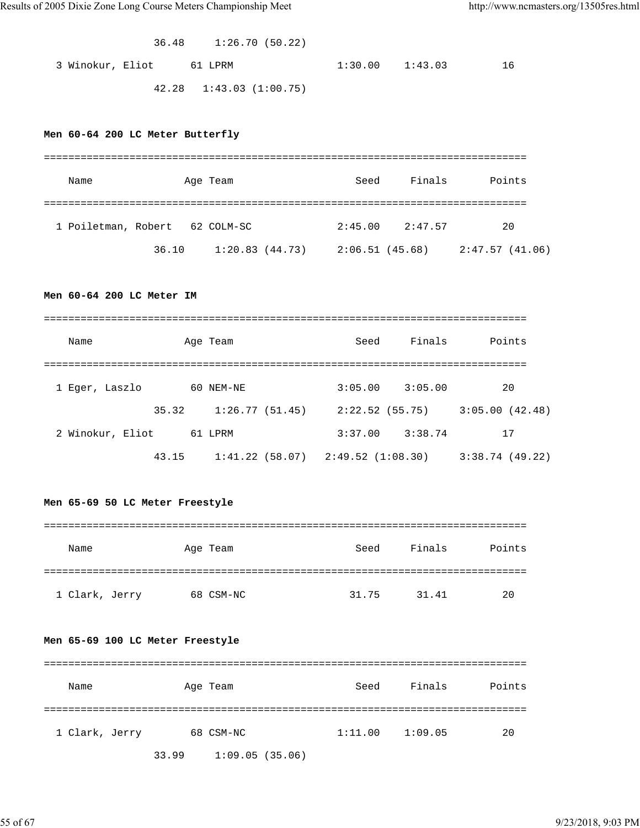36.48 1:26.70 (50.22)

3 Winokur, Eliot 61 LPRM 1:30.00 1:43.03 16

42.28 1:43.03 (1:00.75)

#### **Men 60-64 200 LC Meter Butterfly**

| Name                           |       | Age Team       | Seed            | Finals  | Points         |
|--------------------------------|-------|----------------|-----------------|---------|----------------|
|                                |       |                |                 |         |                |
| 1 Poiletman, Robert 62 COLM-SC |       |                | 2:45.00         | 2:47.57 | 20             |
|                                | 36.10 | 1:20.83(44.73) | 2:06.51 (45.68) |         | 2:47.57(41.06) |

## **Men 60-64 200 LC Meter IM**

| Name             |       | Age Team                              | Seed           | Finals  | Points         |
|------------------|-------|---------------------------------------|----------------|---------|----------------|
|                  |       |                                       |                |         |                |
| 1 Eger, Laszlo   |       | 60 NEM-NE                             | 3:05.00        | 3:05.00 | 20             |
|                  | 35.32 | 1:26.77(51.45)                        | 2:22.52(55.75) |         | 3:05.00(42.48) |
| 2 Winokur, Eliot |       | 61 LPRM                               | 3:37.00        | 3:38.74 | 17             |
|                  | 43.15 | $1:41.22$ (58.07) $2:49.52$ (1:08.30) |                |         | 3:38.74(49.22) |

#### **Men 65-69 50 LC Meter Freestyle**

| Name           | Age Team  | Seed  | Finals | Points |
|----------------|-----------|-------|--------|--------|
|                |           |       |        |        |
| 1 Clark, Jerry | 68 CSM-NC | 31.75 | 31.41  | 20     |

#### **Men 65-69 100 LC Meter Freestyle**

| Name           | Age Team |                | Seed    | Finals  | Points |
|----------------|----------|----------------|---------|---------|--------|
|                |          |                |         |         |        |
| 1 Clark, Jerry |          | 68 CSM-NC      | 1:11.00 | 1:09.05 | 20     |
|                | 33.99    | 1:09.05(35.06) |         |         |        |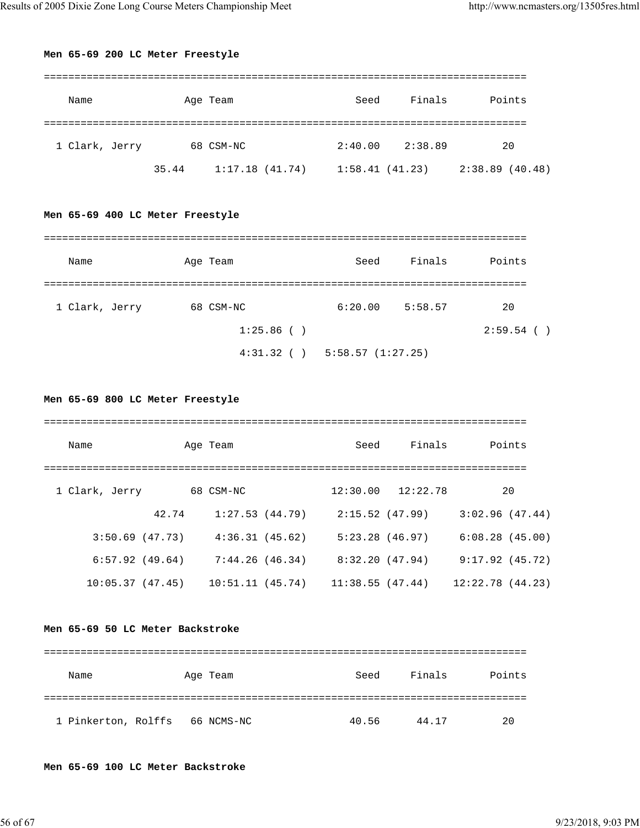#### **Men 65-69 200 LC Meter Freestyle**

| Name           |       | Age Team       | Seed           | Finals  | Points         |
|----------------|-------|----------------|----------------|---------|----------------|
|                |       |                |                |         |                |
| 1 Clark, Jerry |       | 68 CSM-NC      | 2:40.00        | 2:38.89 | 20             |
|                | 35.44 | 1:17.18(41.74) | 1:58.41(41.23) |         | 2:38.89(40.48) |

## **Men 65-69 400 LC Meter Freestyle**

| Name           | Age Team      | Seed                                | Finals  | Points       |
|----------------|---------------|-------------------------------------|---------|--------------|
|                |               |                                     |         |              |
| 1 Clark, Jerry | 68 CSM-NC     | 6:20.00                             | 5:58.57 | 20           |
|                | $1:25.86$ ( ) |                                     |         | $2:59.54$ () |
|                |               | $4:31.32$ ( ) $5:58.57$ $(1:27.25)$ |         |              |

**Men 65-69 800 LC Meter Freestyle**

| Name           |                   | Age Team        |                | Seed              | Finals                | Points          |
|----------------|-------------------|-----------------|----------------|-------------------|-----------------------|-----------------|
| 1 Clark, Jerry |                   | 68 CSM-NC       |                |                   | $12:30.00$ $12:22.78$ | 20              |
|                | 42.74             |                 | 1:27.53(44.79) |                   | 2:15.52(47.99)        | 3:02.96(47.44)  |
|                | 3:50.69(47.73)    | 4:36.31(45.62)  |                | $5:23.28$ (46.97) |                       | 6:08.28(45.00)  |
|                | $6:57.92$ (49.64) | 7:44.26(46.34)  |                |                   | 8:32.20 (47.94)       | 9:17.92(45.72)  |
|                | 10:05.37(47.45)   | 10:51.11(45.74) |                | 11:38.55(47.44)   |                       | 12:22.78(44.23) |

#### **Men 65-69 50 LC Meter Backstroke**

| Name                | Age Team   | Seed  | Finals | Points |
|---------------------|------------|-------|--------|--------|
|                     |            |       |        |        |
| 1 Pinkerton, Rolffs | 66 NCMS-NC | 40.56 | 44.17  | 20     |

**Men 65-69 100 LC Meter Backstroke**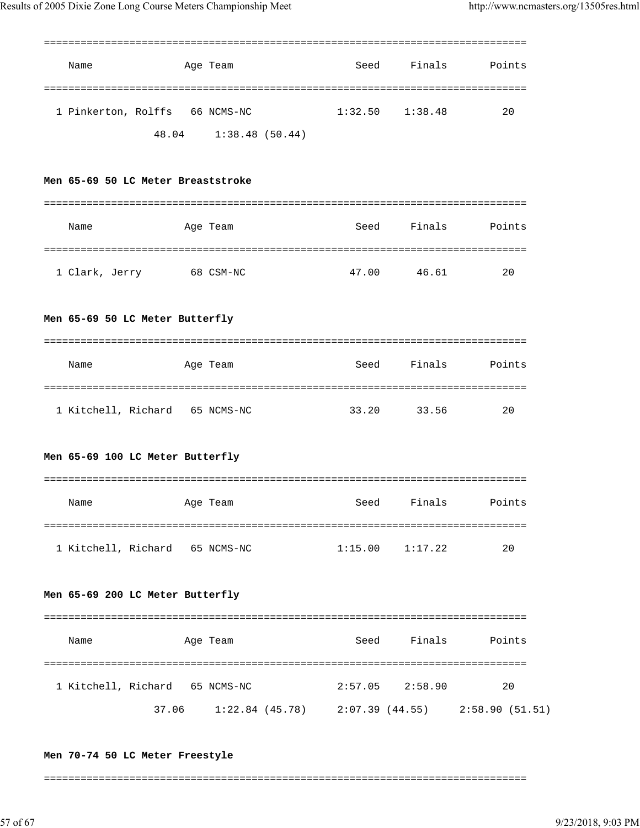| Name                               | Age Team                                              | Seed                | Finals              | Points             |
|------------------------------------|-------------------------------------------------------|---------------------|---------------------|--------------------|
| 1 Pinkerton, Rolffs 66 NCMS-NC     | 48.04 1:38.48 (50.44)                                 | 1:32.50             | 1:38.48             | 20                 |
| Men 65-69 50 LC Meter Breaststroke |                                                       |                     |                     |                    |
| Name                               | Age Team                                              | Seed                | Finals              | Points             |
| 1 Clark, Jerry                     | 68 CSM-NC                                             |                     | 47.00 46.61         | 20                 |
| Men 65-69 50 LC Meter Butterfly    |                                                       |                     |                     |                    |
| Name                               | Age Team                                              | Seed                | Finals              | Points             |
| 1 Kitchell, Richard 65 NCMS-NC     |                                                       | 33.20               | 33.56               | 20                 |
| Men 65-69 100 LC Meter Butterfly   |                                                       |                     |                     |                    |
| Name                               | Age Team                                              | Seed                | Finals              | Points             |
| 1 Kitchell, Richard 65 NCMS-NC     |                                                       | $1:15.00$ $1:17.22$ |                     | 20                 |
| Men 65-69 200 LC Meter Butterfly   |                                                       |                     |                     |                    |
| Name                               | Age Team                                              |                     |                     | Seed Finals Points |
| 1 Kitchell, Richard 65 NCMS-NC     | 37.06 1:22.84 (45.78) 2:07.39 (44.55) 2:58.90 (51.51) |                     | $2:57.05$ $2:58.90$ | 20                 |

===============================================================================

#### **Men 70-74 50 LC Meter Freestyle**

===============================================================================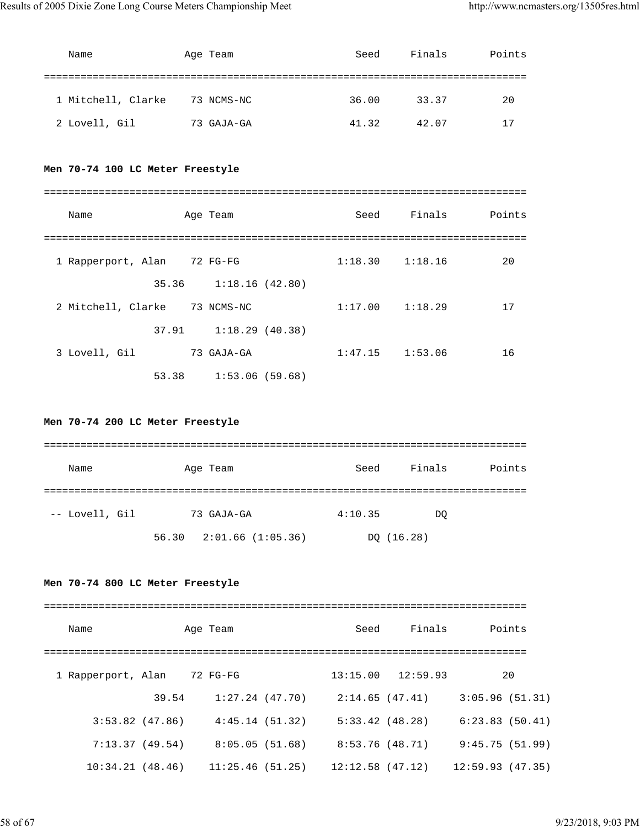| Name               | Age Team   | Seed  | Finals | Points |
|--------------------|------------|-------|--------|--------|
|                    |            |       |        |        |
| 1 Mitchell, Clarke | 73 NCMS-NC | 36.00 | 33.37  | 20     |
| 2 Lovell, Gil      | 73 GAJA-GA | 41.32 | 42.07  | 17     |

## **Men 70-74 100 LC Meter Freestyle**

| Name               |       | Age Team       | Seed    | Finals              | Points |
|--------------------|-------|----------------|---------|---------------------|--------|
| 1 Rapperport, Alan |       | 72 FG-FG       |         | $1:18.30$ $1:18.16$ | 20     |
|                    | 35.36 | 1:18.16(42.80) |         |                     |        |
| 2 Mitchell, Clarke |       | 73 NCMS-NC     | 1:17.00 | 1:18.29             | 17     |
|                    | 37.91 | 1:18.29(40.38) |         |                     |        |
| 3 Lovell, Gil      |       | 73 GAJA-GA     | 1:47.15 | 1:53.06             | 16     |
|                    | 53.38 | 1:53.06(59.68) |         |                     |        |

## **Men 70-74 200 LC Meter Freestyle**

| Name           | Age Team                      | Seed    | Finals     | Points |
|----------------|-------------------------------|---------|------------|--------|
|                |                               |         |            |        |
| -- Lovell, Gil | 73 GAJA-GA                    | 4:10.35 | DO         |        |
|                | $56.30$ $2:01.66$ $(1:05.36)$ |         | DQ (16.28) |        |

## **Men 70-74 800 LC Meter Freestyle**

| Name               |                   | Age Team         | Seed            | Finals                | Points           |
|--------------------|-------------------|------------------|-----------------|-----------------------|------------------|
|                    |                   |                  |                 |                       |                  |
| 1 Rapperport, Alan |                   | 72 FG-FG         |                 | $13:15.00$ $12:59.93$ | 20               |
|                    | 39.54             | 1:27.24 (47.70)  | 2:14.65(47.41)  |                       | 3:05.96(51.31)   |
|                    | $3:53.82$ (47.86) | 4:45.14(51.32)   | 5:33.42(48.28)  |                       | 6:23.83(50.41)   |
|                    | 7:13.37(49.54)    | 8:05.05(51.68)   | 8:53.76 (48.71) |                       | 9:45.75(51.99)   |
| 10:34.21(48.46)    |                   | 11:25.46 (51.25) |                 | 12:12.58 (47.12)      | 12:59.93 (47.35) |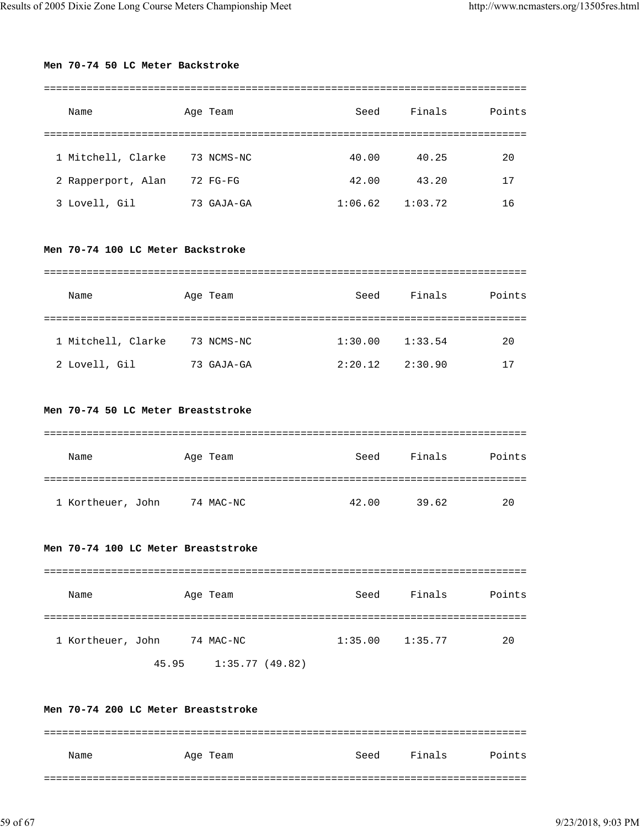#### **Men 70-74 50 LC Meter Backstroke**

| Name               | Age Team      | Seed    | Finals  | Points |
|--------------------|---------------|---------|---------|--------|
|                    |               |         |         |        |
| 1 Mitchell, Clarke | 73 NCMS-NC    | 40.00   | 40.25   | 20     |
| 2 Rapperport, Alan | 72 FG-FG      | 42.00   | 43.20   | 17     |
| 3 Lovell, Gil      | GAJA-GA<br>73 | 1:06.62 | 1:03.72 | 16     |

#### **Men 70-74 100 LC Meter Backstroke**

| Name               | Age Team       | Seed    | Finals  | Points |
|--------------------|----------------|---------|---------|--------|
|                    |                |         |         |        |
| 1 Mitchell, Clarke | 73 NCMS-NC     | 1:30.00 | 1:33.54 | 20     |
| 2 Lovell, Gil      | GAJA-GA<br>73. | 2:20.12 | 2:30.90 | 17     |

#### **Men 70-74 50 LC Meter Breaststroke**

| Name              | Age Team  | Seed  | Finals | Points |
|-------------------|-----------|-------|--------|--------|
|                   |           |       |        |        |
| 1 Kortheuer, John | 74 MAC-NC | 42.00 | 39.62  | 20     |

#### **Men 70-74 100 LC Meter Breaststroke**

| Name              |             | Age Team            | Seed    | Finals  | Points |
|-------------------|-------------|---------------------|---------|---------|--------|
|                   |             |                     |         |         |        |
| 1 Kortheuer, John |             | 74 MAC-NC           | 1:35.00 | 1:35.77 | 20     |
|                   | $AT$ $\cap$ | $1.25.77$ $110.021$ |         |         |        |

45.95 1:35.77 (49.82)

## **Men 70-74 200 LC Meter Breaststroke** =============================================================================== Name Age Team Seed Finals Points ===============================================================================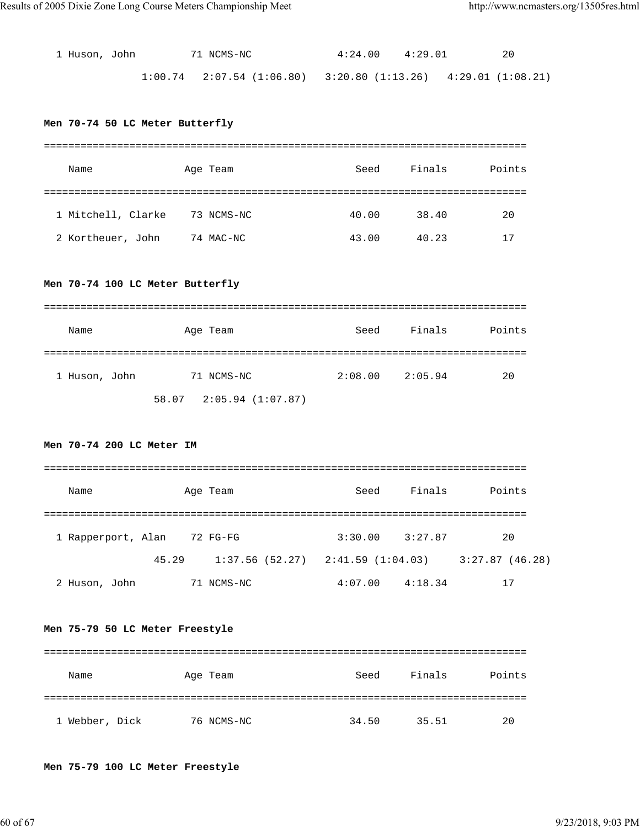| 1 Huson, John | 71 NCMS-NC                                                                  | $4:24.00$ $4:29.01$ |  |
|---------------|-----------------------------------------------------------------------------|---------------------|--|
|               | $1:00.74$ $2:07.54$ $(1:06.80)$ $3:20.80$ $(1:13.26)$ $4:29.01$ $(1:08.21)$ |                     |  |

## **Men 70-74 50 LC Meter Butterfly**

| Name               | Age Team   | Seed  | Finals | Points |
|--------------------|------------|-------|--------|--------|
|                    |            |       |        |        |
| 1 Mitchell, Clarke | 73 NCMS-NC | 40.00 | 38.40  | 20     |
| 2 Kortheuer, John  | 74 MAC-NC  | 43.00 | 40.23  |        |

## **Men 70-74 100 LC Meter Butterfly**

| Name          | Age Team                      | Seed    | Finals  | Points |
|---------------|-------------------------------|---------|---------|--------|
|               |                               |         |         |        |
| 1 Huson, John | 71 NCMS-NC                    | 2:08.00 | 2:05.94 | 20     |
|               | $58.07$ $2:05.94$ $(1:07.87)$ |         |         |        |

## **Men 70-74 200 LC Meter IM**

| Name               |       | Age Team | Seed                                  | Finals  | Points         |  |
|--------------------|-------|----------|---------------------------------------|---------|----------------|--|
|                    |       |          |                                       |         |                |  |
| 1 Rapperport, Alan |       | 72 FG-FG | 3:30.00                               | 3:27.87 | 20             |  |
|                    | 45.29 |          | $1:37.56$ (52.27) $2:41.59$ (1:04.03) |         | 3:27.87(46.28) |  |
| 2 Huson, John      | 71    | NCMS-NC  | 4:07.00                               | 4:18.34 | 17             |  |

## **Men 75-79 50 LC Meter Freestyle**

| Name           | Age Team   | Seed  | Finals | Points |
|----------------|------------|-------|--------|--------|
|                |            |       |        |        |
| 1 Webber, Dick | 76 NCMS-NC | 34.50 | 35.51  | 20     |

## **Men 75-79 100 LC Meter Freestyle**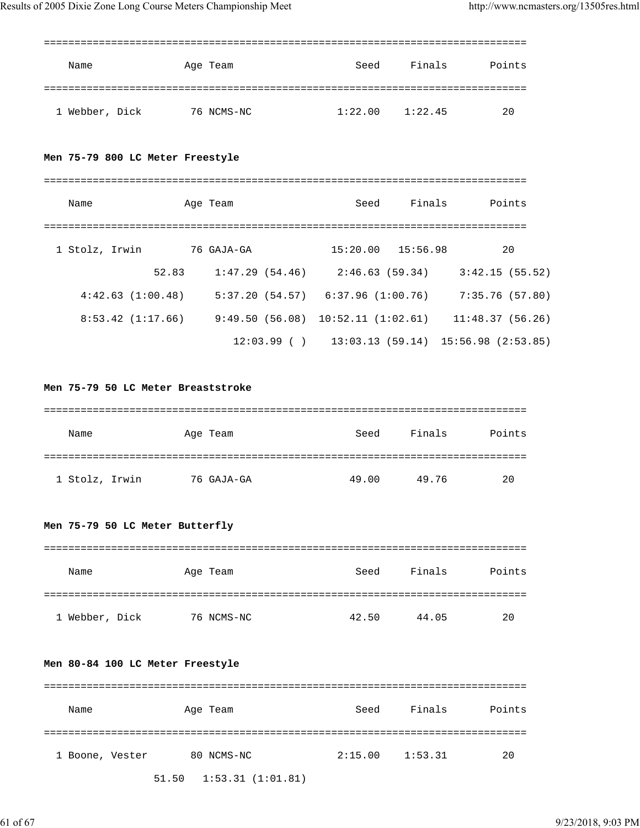| Name                             | Age Team   | Seed                  | Finals              | Points                                                                    |
|----------------------------------|------------|-----------------------|---------------------|---------------------------------------------------------------------------|
| 1 Webber, Dick                   | 76 NCMS-NC |                       | $1:22.00$ $1:22.45$ | 20                                                                        |
| Men 75-79 800 LC Meter Freestyle |            |                       |                     |                                                                           |
| Name                             | Age Team   | Seed                  | Finals              | Points                                                                    |
| 1 Stolz, Irwin                   | 76 GAJA-GA | $15:20.00$ $15:56.98$ |                     | 20                                                                        |
| 52.83                            |            |                       |                     | $1:47.29(54.46)$ $2:46.63(59.34)$ $3:42.15(55.52)$                        |
| 4:42.63(1:00.48)                 |            |                       |                     | 5:37.20 (54.57)    6:37.96 (1:00.76)    7:35.76 (57.80)                   |
|                                  |            |                       |                     | $8:53.42$ (1:17.66) $9:49.50$ (56.08) 10:52.11 (1:02.61) 11:48.37 (56.26) |
|                                  |            |                       |                     | $12:03.99$ ( ) $13:03.13$ (59.14) $15:56.98$ (2:53.85)                    |

## **Men 75-79 50 LC Meter Breaststroke**

| Name           | Age Team   | Seed  | Finals | Points |
|----------------|------------|-------|--------|--------|
|                |            |       |        |        |
| 1 Stolz, Irwin | 76 GAJA-GA | 49.00 | 49.76  | 20     |

## **Men 75-79 50 LC Meter Butterfly**

| Name           | Age Team   | Seed  | Finals | Points |
|----------------|------------|-------|--------|--------|
|                |            |       |        |        |
| 1 Webber, Dick | 76 NCMS-NC | 42.50 | 44.05  | 20     |

#### **Men 80-84 100 LC Meter Freestyle**

| Name            | Age Team                              | Seed    | Finals  | Points |
|-----------------|---------------------------------------|---------|---------|--------|
|                 |                                       |         |         |        |
| 1 Boone, Vester | 80 NCMS-NC                            | 2:15.00 | 1:53.31 | 20     |
|                 | $51.50 \quad 1:53.31 \quad (1:01.81)$ |         |         |        |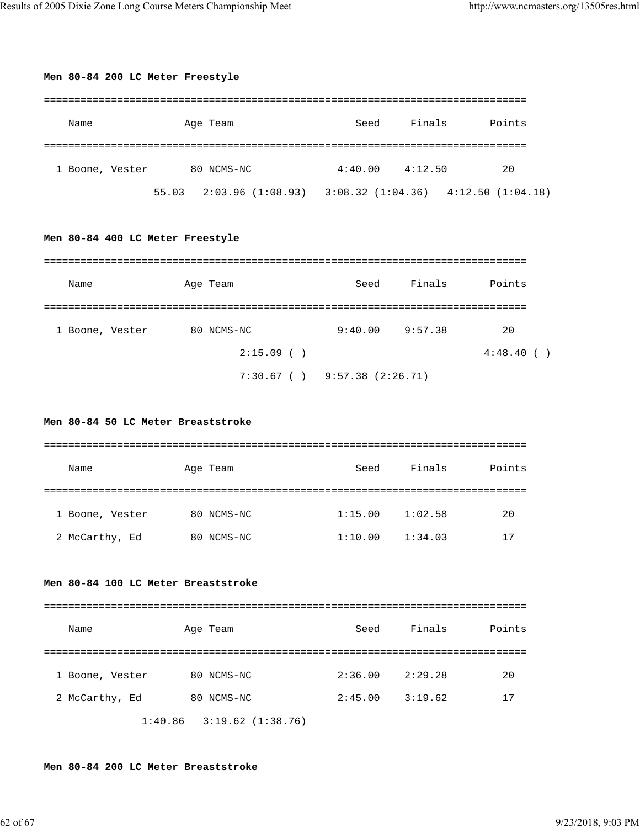| Men 80-84 200 LC Meter Freestyle |                                                                                 |      |                     |        |
|----------------------------------|---------------------------------------------------------------------------------|------|---------------------|--------|
| Name                             | Age Team                                                                        | Seed | Finals              | Points |
| 1 Boone, Vester                  | 80 NCMS-NC<br>55.03  2:03.96  (1:08.93)  3:08.32  (1:04.36)  4:12.50  (1:04.18) |      | $4:40.00$ $4:12.50$ | 20     |
| Men 80-84 400 LC Meter Freestyle |                                                                                 |      |                     |        |

| Name            | Age Team     | Seed                              | Finals  | Points   |
|-----------------|--------------|-----------------------------------|---------|----------|
| 1 Boone, Vester | 80 NCMS-NC   | 9:40.00                           | 9:57.38 | 20       |
|                 | $2:15.09$ () |                                   |         | 4:48.40( |
|                 |              | $7:30.67$ ( ) $9:57.38$ (2:26.71) |         |          |

## **Men 80-84 50 LC Meter Breaststroke**

| Name            | Age Team   | Seed    | Finals  | Points |
|-----------------|------------|---------|---------|--------|
|                 |            |         |         |        |
| 1 Boone, Vester | 80 NCMS-NC | 1:15.00 | 1:02.58 | 20     |
| 2 McCarthy, Ed  | 80 NCMS-NC | 1:10.00 | 1:34.03 | 17     |

## **Men 80-84 100 LC Meter Breaststroke**

| Name            | Age Team                      | Seed    | Finals  | Points |
|-----------------|-------------------------------|---------|---------|--------|
|                 |                               |         |         |        |
| 1 Boone, Vester | 80 NCMS-NC                    | 2:36.00 | 2:29.28 | 20     |
| 2 McCarthy, Ed  | 80 NCMS-NC                    | 2:45.00 | 3:19.62 | 17     |
|                 | $1:40.86$ $3:19.62$ (1:38.76) |         |         |        |

#### **Men 80-84 200 LC Meter Breaststroke**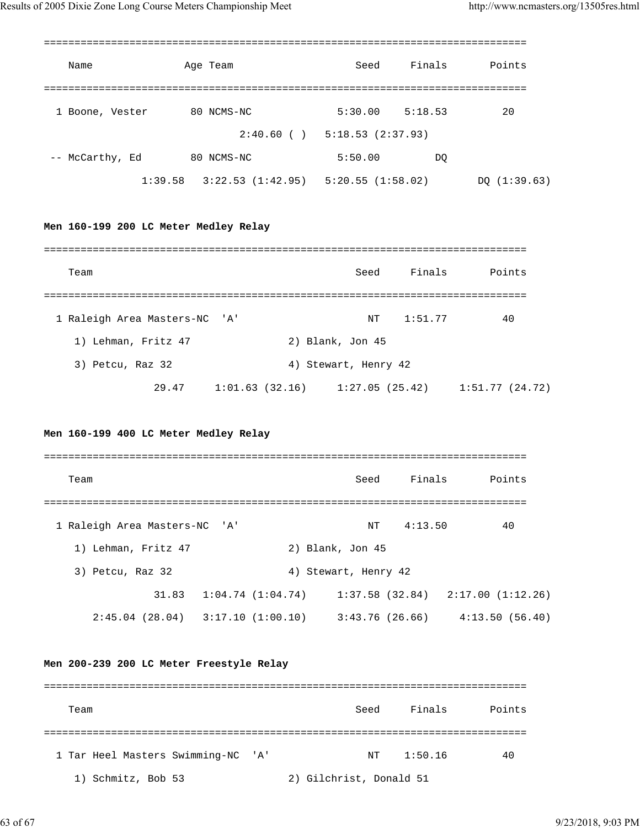| Age Team<br>Name                         | Finals Points<br>Seed                                                     |
|------------------------------------------|---------------------------------------------------------------------------|
|                                          |                                                                           |
| 1 Boone, Vester 80 NCMS-NC               | $5:30.00$ $5:18.53$<br>$\sim$ 20                                          |
|                                          | $2:40.60$ ( ) $5:18.53$ (2:37.93)                                         |
| -- McCarthy, Ed 80 NCMS-NC               | 5:50.00<br>DO                                                             |
|                                          |                                                                           |
|                                          |                                                                           |
| Men 160-199 200 LC Meter Medley Relay    |                                                                           |
|                                          |                                                                           |
| Team                                     | Seed Finals Points                                                        |
|                                          |                                                                           |
| 1 Raleigh Area Masters-NC 'A'            | NT 1:51.77<br>40                                                          |
| 1) Lehman, Fritz 47                      | 2) Blank, Jon 45                                                          |
| 3) Petcu, Raz 32                         | 4) Stewart, Henry 42                                                      |
|                                          | 29.47 1:01.63 (32.16) 1:27.05 (25.42) 1:51.77 (24.72)                     |
|                                          |                                                                           |
| Men 160-199 400 LC Meter Medley Relay    |                                                                           |
|                                          |                                                                           |
| Team                                     | Finals Points<br>Seed                                                     |
|                                          |                                                                           |
| 1 Raleigh Area Masters-NC 'A'            | 4:13.50<br>40<br>NT                                                       |
| 1) Lehman, Fritz 47                      | 2) Blank, Jon 45                                                          |
| 3) Petcu, Raz 32                         | 4) Stewart, Henry 42                                                      |
|                                          | 31.83   1:04.74 $(1:04.74)$ 1:37.58 $(32.84)$ 2:17.00 $(1:12.26)$         |
|                                          | $2:45.04$ (28.04) $3:17.10$ (1:00.10) $3:43.76$ (26.66) $4:13.50$ (56.40) |
|                                          |                                                                           |
| Men 200-239 200 LC Meter Freestyle Relay |                                                                           |
|                                          |                                                                           |
| Team                                     | Finals Points<br>Seed                                                     |
|                                          |                                                                           |
|                                          |                                                                           |
| 1 Tar Heel Masters Swimming-NC 'A'       | 1:50.16<br>40<br>NΤ                                                       |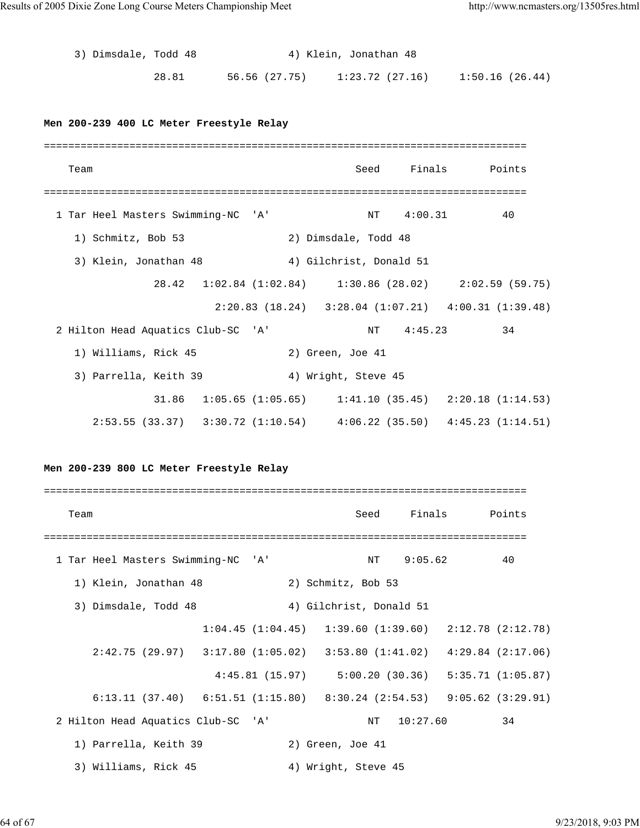3) Dimsdale, Todd 48 4) Klein, Jonathan 48 28.81 56.56 (27.75) 1:23.72 (27.16) 1:50.16 (26.44) **Men 200-239 400 LC Meter Freestyle Relay** =============================================================================== Team Seed Finals Points =============================================================================== 1 Tar Heel Masters Swimming-NC 'A' NT 4:00.31 40 1) Schmitz, Bob 53 2) Dimsdale, Todd 48 3) Klein, Jonathan 48 4) Gilchrist, Donald 51 28.42 1:02.84 (1:02.84) 1:30.86 (28.02) 2:02.59 (59.75) 2:20.83 (18.24) 3:28.04 (1:07.21) 4:00.31 (1:39.48) 2 Hilton Head Aquatics Club-SC 'A' NT 4:45.23 34

3) Parrella, Keith 39 4) Wright, Steve 45

1) Williams, Rick 45 2) Green, Joe 41

 31.86 1:05.65 (1:05.65) 1:41.10 (35.45) 2:20.18 (1:14.53) 2:53.55 (33.37) 3:30.72 (1:10.54) 4:06.22 (35.50) 4:45.23 (1:14.51)

## **Men 200-239 800 LC Meter Freestyle Relay**

=============================================================================== Team Team Communications of the Seed Finals Points =============================================================================== 1 Tar Heel Masters Swimming-NC 'A' NT 9:05.62 40 1) Klein, Jonathan 48 2) Schmitz, Bob 53 3) Dimsdale, Todd 48 4) Gilchrist, Donald 51 1:04.45 (1:04.45) 1:39.60 (1:39.60) 2:12.78 (2:12.78) 2:42.75 (29.97) 3:17.80 (1:05.02) 3:53.80 (1:41.02) 4:29.84 (2:17.06) 4:45.81 (15.97) 5:00.20 (30.36) 5:35.71 (1:05.87) 6:13.11 (37.40) 6:51.51 (1:15.80) 8:30.24 (2:54.53) 9:05.62 (3:29.91) 2 Hilton Head Aquatics Club-SC 'A' NT 10:27.60 34 1) Parrella, Keith 39 2) Green, Joe 41 3) Williams, Rick 45 4) Wright, Steve 45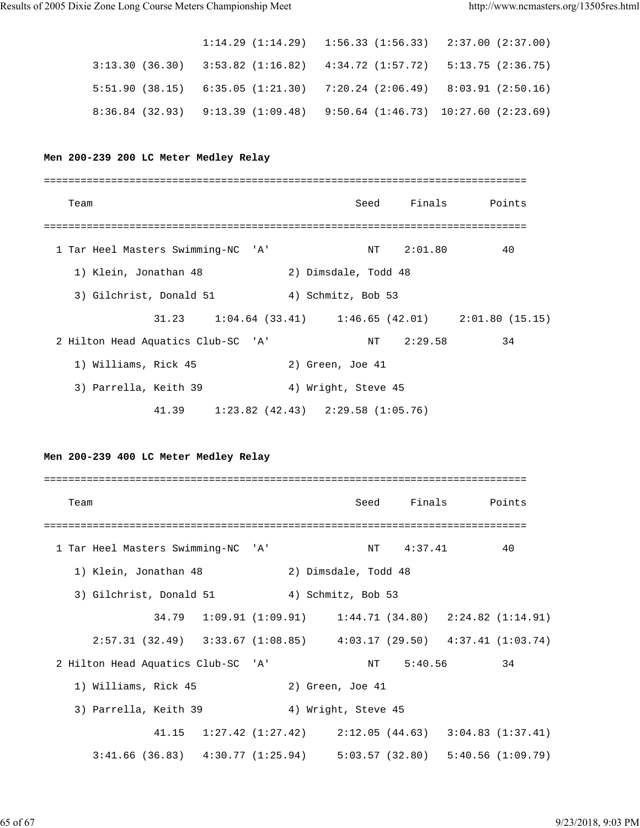|                                                                               |  | $1:14.29$ $(1:14.29)$ $1:56.33$ $(1:56.33)$ $2:37.00$ $(2:37.00)$ |  |
|-------------------------------------------------------------------------------|--|-------------------------------------------------------------------|--|
| $3:13.30$ (36.30) $3:53.82$ (1:16.82) $4:34.72$ (1:57.72) $5:13.75$ (2:36.75) |  |                                                                   |  |
| $5:51.90$ (38.15) $6:35.05$ (1:21.30) $7:20.24$ (2:06.49) $8:03.91$ (2:50.16) |  |                                                                   |  |
| $8:36.84$ (32.93) $9:13.39$ (1:09.48) $9:50.64$ (1:46.73) 10:27.60 (2:23.69)  |  |                                                                   |  |

#### **Men 200-239 200 LC Meter Medley Relay**

| Team                                                          |                      |            | Seed Finals Points |
|---------------------------------------------------------------|----------------------|------------|--------------------|
|                                                               |                      |            |                    |
| 1 Tar Heel Masters Swimming-NC 'A'                            |                      | NT 2:01.80 | 40                 |
| 1) Klein, Jonathan 48                                         | 2) Dimsdale, Todd 48 |            |                    |
| 3) Gilchrist, Donald 51                                       | 4) Schmitz, Bob 53   |            |                    |
| $31.23$ $1:04.64$ (33.41) $1:46.65$ (42.01) $2:01.80$ (15.15) |                      |            |                    |
| 2 Hilton Head Aquatics Club-SC 'A'                            |                      | NT 2:29.58 | 34                 |
| 1) Williams, Rick 45                                          | 2) Green, Joe 41     |            |                    |
| 3) Parrella, Keith 39                                         | 4) Wright, Steve 45  |            |                    |
| $41.39$ $1:23.82$ $(42.43)$ $2:29.58$ $(1:05.76)$             |                      |            |                    |

**Men 200-239 400 LC Meter Medley Relay**

=============================================================================== Team Seed Finals Points =============================================================================== 1 Tar Heel Masters Swimming-NC 'A' NT 4:37.41 40 1) Klein, Jonathan 48 2) Dimsdale, Todd 48 3) Gilchrist, Donald 51 4) Schmitz, Bob 53 34.79 1:09.91 (1:09.91) 1:44.71 (34.80) 2:24.82 (1:14.91) 2:57.31 (32.49) 3:33.67 (1:08.85) 4:03.17 (29.50) 4:37.41 (1:03.74) 2 Hilton Head Aquatics Club-SC 'A' NT 5:40.56 34 1) Williams, Rick 45 2) Green, Joe 41 3) Parrella, Keith 39 4) Wright, Steve 45 41.15 1:27.42 (1:27.42) 2:12.05 (44.63) 3:04.83 (1:37.41) 3:41.66 (36.83) 4:30.77 (1:25.94) 5:03.57 (32.80) 5:40.56 (1:09.79)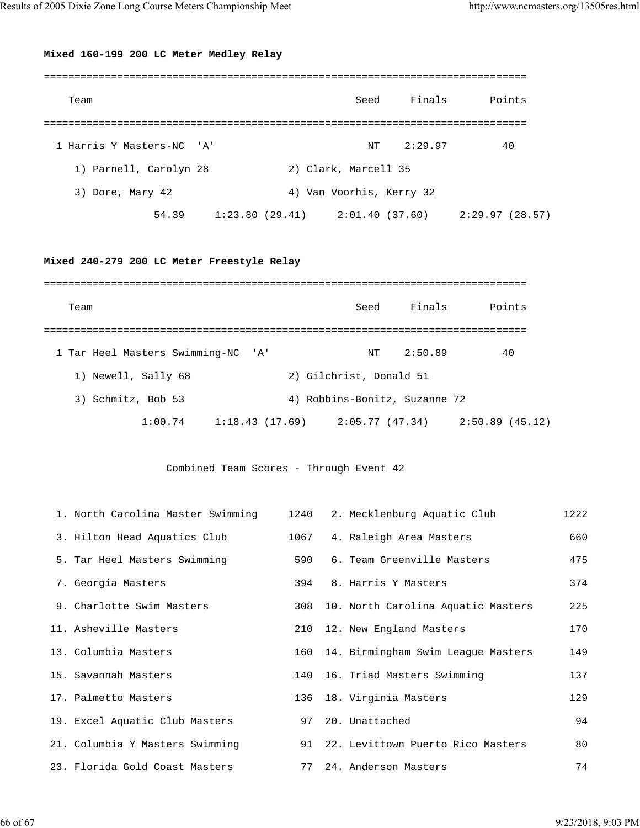## **Mixed 160-199 200 LC Meter Medley Relay**

| Team                      |  | Seed                     | Finals  | Points                                                |
|---------------------------|--|--------------------------|---------|-------------------------------------------------------|
|                           |  |                          |         |                                                       |
| 1 Harris Y Masters-NC 'A' |  | NΤ                       | 2:29.97 | 40                                                    |
| 1) Parnell, Carolyn 28    |  | 2) Clark, Marcell 35     |         |                                                       |
| 3) Dore, Mary 42          |  | 4) Van Voorhis, Kerry 32 |         |                                                       |
| 54.39                     |  |                          |         | $1:23.80$ (29.41) $2:01.40$ (37.60) $2:29.97$ (28.57) |

## **Mixed 240-279 200 LC Meter Freestyle Relay**

| Team                               |         |  | Seed                                | Finals  | Points         |
|------------------------------------|---------|--|-------------------------------------|---------|----------------|
|                                    |         |  |                                     |         |                |
| 1 Tar Heel Masters Swimming-NC 'A' |         |  | ΝT                                  | 2:50.89 | 40             |
| 1) Newell, Sally 68                |         |  | 2) Gilchrist, Donald 51             |         |                |
| Schmitz, Bob 53<br>3)              |         |  | 4) Robbins-Bonitz, Suzanne 72       |         |                |
|                                    | 1:00.74 |  | $1:18.43$ (17.69) $2:05.77$ (47.34) |         | 2:50.89(45.12) |

Combined Team Scores - Through Event 42

| 1. North Carolina Master Swimming | 1240 | 2. Mecklenburg Aquatic Club          | 1222 |
|-----------------------------------|------|--------------------------------------|------|
| 3. Hilton Head Aquatics Club      | 1067 | 4. Raleigh Area Masters              | 660  |
| 5. Tar Heel Masters Swimming      | 590  | 6. Team Greenville Masters           | 475  |
| 7. Georgia Masters                | 394  | 8. Harris Y Masters                  | 374  |
| 9. Charlotte Swim Masters         | 308  | 10. North Carolina Aquatic Masters   | 225  |
| 11. Asheville Masters             | 210  | 12. New England Masters              | 170  |
| 13. Columbia Masters              | 160  | 14. Birmingham Swim League Masters   | 149  |
| 15. Savannah Masters              | 140  | 16. Triad Masters Swimming           | 137  |
| 17. Palmetto Masters              |      | 136 18. Virginia Masters             | 129  |
| 19. Excel Aquatic Club Masters    | 97   | 20. Unattached                       | 94   |
| 21. Columbia Y Masters Swimming   |      | 91 22. Levittown Puerto Rico Masters | 80   |
| 23. Florida Gold Coast Masters    | 77   | 24. Anderson Masters                 | 74   |